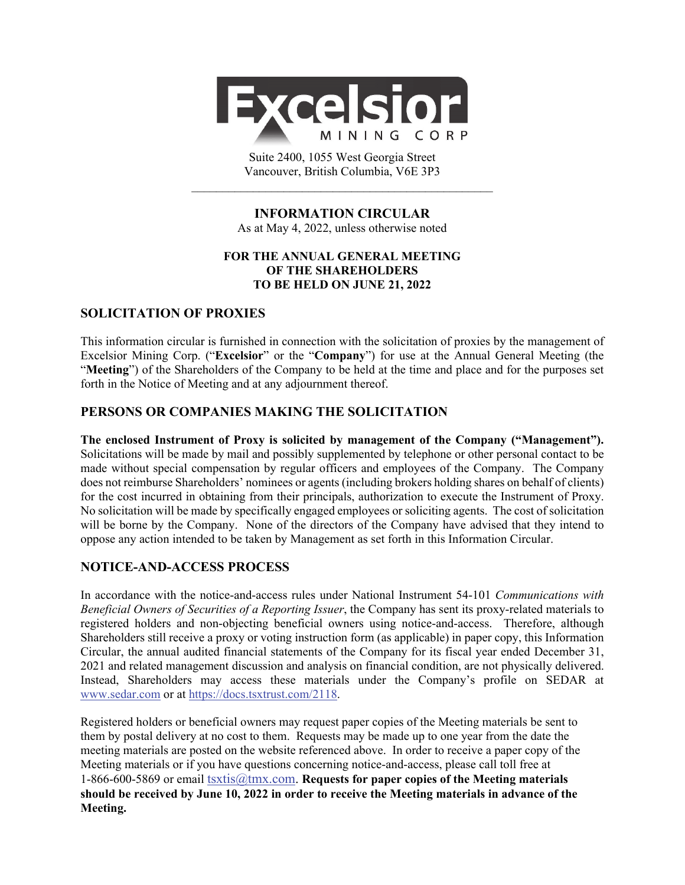

Suite 2400, 1055 West Georgia Street Vancouver, British Columbia, V6E 3P3  $\mathcal{L}_\text{max}$  and the contract of the contract of the contract of the contract of the contract of the contract of the contract of the contract of the contract of the contract of the contract of the contract of the contrac

## **INFORMATION CIRCULAR**  As at May 4, 2022, unless otherwise noted

# **FOR THE ANNUAL GENERAL MEETING OF THE SHAREHOLDERS TO BE HELD ON JUNE 21, 2022**

# **SOLICITATION OF PROXIES**

This information circular is furnished in connection with the solicitation of proxies by the management of Excelsior Mining Corp. ("**Excelsior**" or the "**Company**") for use at the Annual General Meeting (the "**Meeting**") of the Shareholders of the Company to be held at the time and place and for the purposes set forth in the Notice of Meeting and at any adjournment thereof.

# **PERSONS OR COMPANIES MAKING THE SOLICITATION**

**The enclosed Instrument of Proxy is solicited by management of the Company ("Management").** Solicitations will be made by mail and possibly supplemented by telephone or other personal contact to be made without special compensation by regular officers and employees of the Company. The Company does not reimburse Shareholders' nominees or agents (including brokers holding shares on behalf of clients) for the cost incurred in obtaining from their principals, authorization to execute the Instrument of Proxy. No solicitation will be made by specifically engaged employees or soliciting agents. The cost of solicitation will be borne by the Company. None of the directors of the Company have advised that they intend to oppose any action intended to be taken by Management as set forth in this Information Circular.

# **NOTICE-AND-ACCESS PROCESS**

In accordance with the notice-and-access rules under National Instrument 54-101 *Communications with Beneficial Owners of Securities of a Reporting Issuer*, the Company has sent its proxy-related materials to registered holders and non-objecting beneficial owners using notice-and-access. Therefore, although Shareholders still receive a proxy or voting instruction form (as applicable) in paper copy, this Information Circular, the annual audited financial statements of the Company for its fiscal year ended December 31, 2021 and related management discussion and analysis on financial condition, are not physically delivered. Instead, Shareholders may access these materials under the Company's profile on SEDAR at www.sedar.com or at https://docs.tsxtrust.com/2118.

Registered holders or beneficial owners may request paper copies of the Meeting materials be sent to them by postal delivery at no cost to them. Requests may be made up to one year from the date the meeting materials are posted on the website referenced above. In order to receive a paper copy of the Meeting materials or if you have questions concerning notice-and-access, please call toll free at 1-866-600-5869 or email tsxtis@tmx.com. **Requests for paper copies of the Meeting materials should be received by June 10, 2022 in order to receive the Meeting materials in advance of the Meeting.**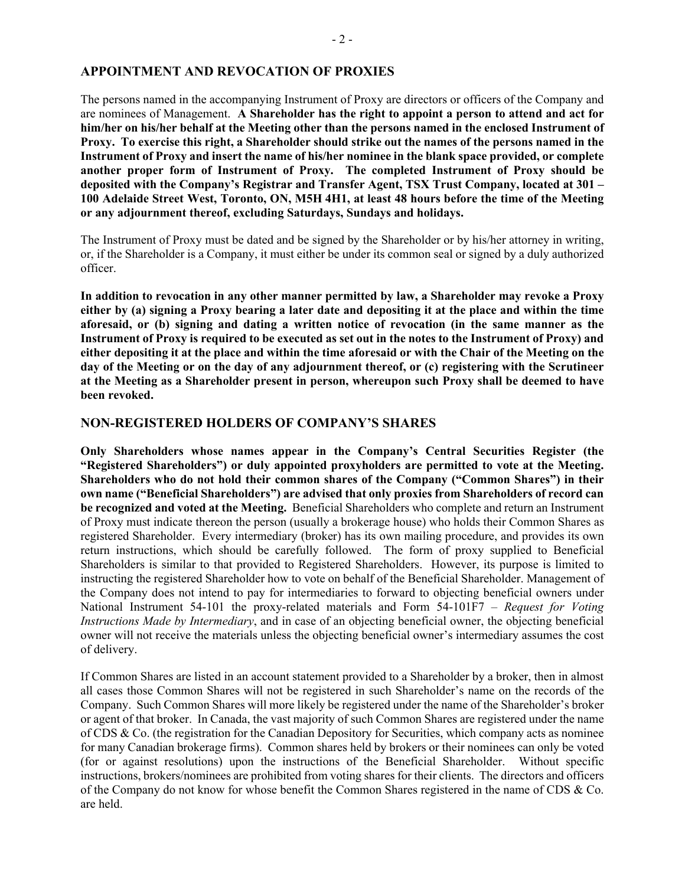### **APPOINTMENT AND REVOCATION OF PROXIES**

The persons named in the accompanying Instrument of Proxy are directors or officers of the Company and are nominees of Management. **A Shareholder has the right to appoint a person to attend and act for him/her on his/her behalf at the Meeting other than the persons named in the enclosed Instrument of Proxy. To exercise this right, a Shareholder should strike out the names of the persons named in the Instrument of Proxy and insert the name of his/her nominee in the blank space provided, or complete another proper form of Instrument of Proxy. The completed Instrument of Proxy should be deposited with the Company's Registrar and Transfer Agent, TSX Trust Company, located at 301 – 100 Adelaide Street West, Toronto, ON, M5H 4H1, at least 48 hours before the time of the Meeting or any adjournment thereof, excluding Saturdays, Sundays and holidays.**

The Instrument of Proxy must be dated and be signed by the Shareholder or by his/her attorney in writing, or, if the Shareholder is a Company, it must either be under its common seal or signed by a duly authorized officer.

**In addition to revocation in any other manner permitted by law, a Shareholder may revoke a Proxy either by (a) signing a Proxy bearing a later date and depositing it at the place and within the time aforesaid, or (b) signing and dating a written notice of revocation (in the same manner as the Instrument of Proxy is required to be executed as set out in the notes to the Instrument of Proxy) and either depositing it at the place and within the time aforesaid or with the Chair of the Meeting on the day of the Meeting or on the day of any adjournment thereof, or (c) registering with the Scrutineer at the Meeting as a Shareholder present in person, whereupon such Proxy shall be deemed to have been revoked.** 

#### **NON-REGISTERED HOLDERS OF COMPANY'S SHARES**

**Only Shareholders whose names appear in the Company's Central Securities Register (the "Registered Shareholders") or duly appointed proxyholders are permitted to vote at the Meeting. Shareholders who do not hold their common shares of the Company ("Common Shares") in their own name ("Beneficial Shareholders") are advised that only proxies from Shareholders of record can be recognized and voted at the Meeting.** Beneficial Shareholders who complete and return an Instrument of Proxy must indicate thereon the person (usually a brokerage house) who holds their Common Shares as registered Shareholder. Every intermediary (broker) has its own mailing procedure, and provides its own return instructions, which should be carefully followed. The form of proxy supplied to Beneficial Shareholders is similar to that provided to Registered Shareholders. However, its purpose is limited to instructing the registered Shareholder how to vote on behalf of the Beneficial Shareholder. Management of the Company does not intend to pay for intermediaries to forward to objecting beneficial owners under National Instrument 54-101 the proxy-related materials and Form 54-101F7 – *Request for Voting Instructions Made by Intermediary*, and in case of an objecting beneficial owner, the objecting beneficial owner will not receive the materials unless the objecting beneficial owner's intermediary assumes the cost of delivery.

If Common Shares are listed in an account statement provided to a Shareholder by a broker, then in almost all cases those Common Shares will not be registered in such Shareholder's name on the records of the Company. Such Common Shares will more likely be registered under the name of the Shareholder's broker or agent of that broker. In Canada, the vast majority of such Common Shares are registered under the name of CDS & Co. (the registration for the Canadian Depository for Securities, which company acts as nominee for many Canadian brokerage firms). Common shares held by brokers or their nominees can only be voted (for or against resolutions) upon the instructions of the Beneficial Shareholder. Without specific instructions, brokers/nominees are prohibited from voting shares for their clients. The directors and officers of the Company do not know for whose benefit the Common Shares registered in the name of CDS & Co. are held.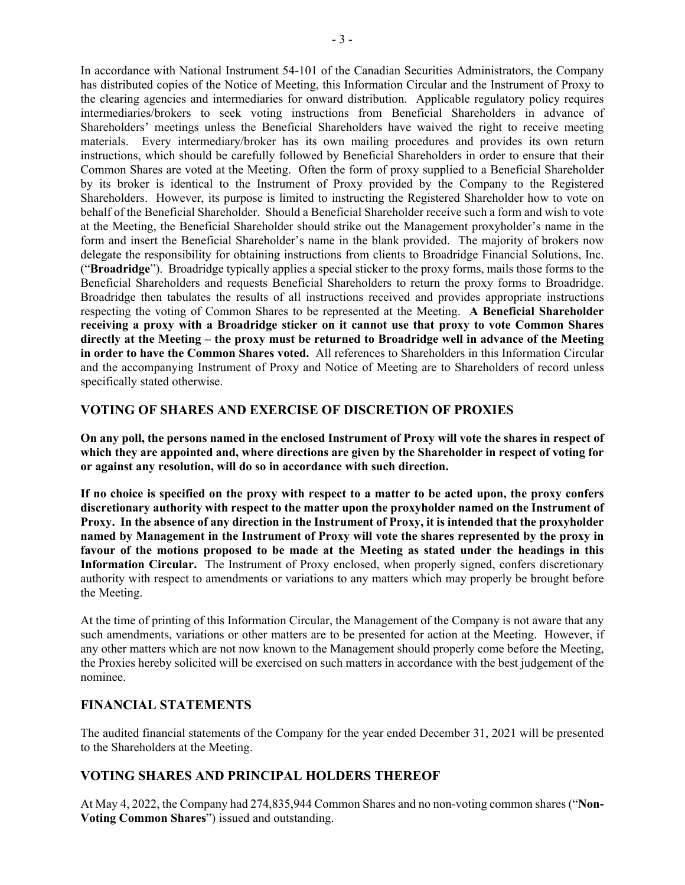In accordance with National Instrument 54-101 of the Canadian Securities Administrators, the Company has distributed copies of the Notice of Meeting, this Information Circular and the Instrument of Proxy to the clearing agencies and intermediaries for onward distribution. Applicable regulatory policy requires intermediaries/brokers to seek voting instructions from Beneficial Shareholders in advance of Shareholders' meetings unless the Beneficial Shareholders have waived the right to receive meeting materials. Every intermediary/broker has its own mailing procedures and provides its own return instructions, which should be carefully followed by Beneficial Shareholders in order to ensure that their Common Shares are voted at the Meeting. Often the form of proxy supplied to a Beneficial Shareholder by its broker is identical to the Instrument of Proxy provided by the Company to the Registered Shareholders. However, its purpose is limited to instructing the Registered Shareholder how to vote on behalf of the Beneficial Shareholder. Should a Beneficial Shareholder receive such a form and wish to vote at the Meeting, the Beneficial Shareholder should strike out the Management proxyholder's name in the form and insert the Beneficial Shareholder's name in the blank provided. The majority of brokers now delegate the responsibility for obtaining instructions from clients to Broadridge Financial Solutions, Inc. ("**Broadridge**"). Broadridge typically applies a special sticker to the proxy forms, mails those forms to the Beneficial Shareholders and requests Beneficial Shareholders to return the proxy forms to Broadridge. Broadridge then tabulates the results of all instructions received and provides appropriate instructions respecting the voting of Common Shares to be represented at the Meeting. **A Beneficial Shareholder receiving a proxy with a Broadridge sticker on it cannot use that proxy to vote Common Shares directly at the Meeting – the proxy must be returned to Broadridge well in advance of the Meeting in order to have the Common Shares voted.** All references to Shareholders in this Information Circular and the accompanying Instrument of Proxy and Notice of Meeting are to Shareholders of record unless specifically stated otherwise.

## **VOTING OF SHARES AND EXERCISE OF DISCRETION OF PROXIES**

**On any poll, the persons named in the enclosed Instrument of Proxy will vote the shares in respect of which they are appointed and, where directions are given by the Shareholder in respect of voting for or against any resolution, will do so in accordance with such direction.** 

**If no choice is specified on the proxy with respect to a matter to be acted upon, the proxy confers discretionary authority with respect to the matter upon the proxyholder named on the Instrument of Proxy. In the absence of any direction in the Instrument of Proxy, it is intended that the proxyholder named by Management in the Instrument of Proxy will vote the shares represented by the proxy in favour of the motions proposed to be made at the Meeting as stated under the headings in this Information Circular.** The Instrument of Proxy enclosed, when properly signed, confers discretionary authority with respect to amendments or variations to any matters which may properly be brought before the Meeting.

At the time of printing of this Information Circular, the Management of the Company is not aware that any such amendments, variations or other matters are to be presented for action at the Meeting. However, if any other matters which are not now known to the Management should properly come before the Meeting, the Proxies hereby solicited will be exercised on such matters in accordance with the best judgement of the nominee.

### **FINANCIAL STATEMENTS**

The audited financial statements of the Company for the year ended December 31, 2021 will be presented to the Shareholders at the Meeting.

# **VOTING SHARES AND PRINCIPAL HOLDERS THEREOF**

At May 4, 2022, the Company had 274,835,944 Common Shares and no non-voting common shares ("**Non-Voting Common Shares**") issued and outstanding.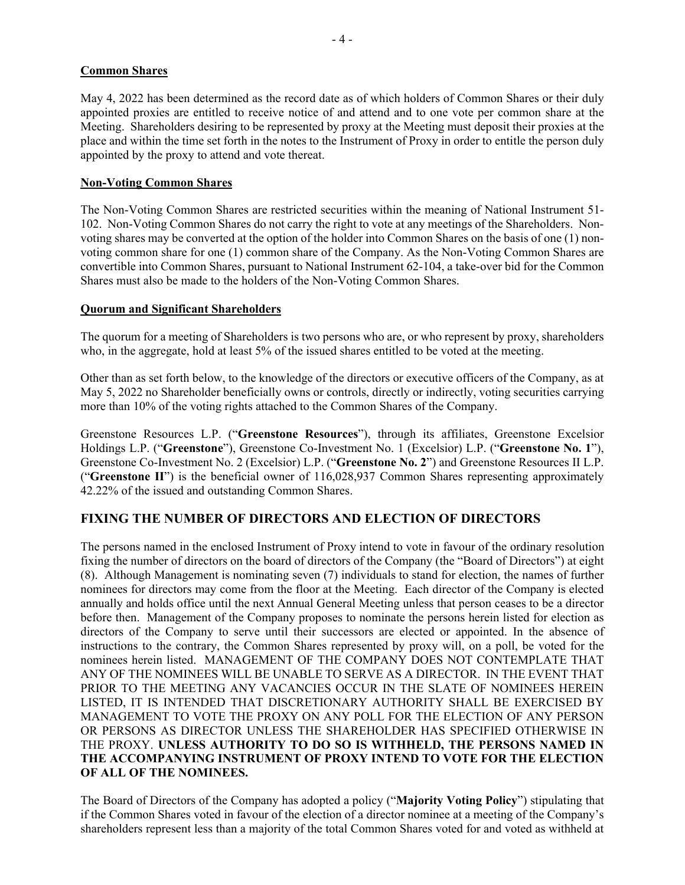## **Common Shares**

May 4, 2022 has been determined as the record date as of which holders of Common Shares or their duly appointed proxies are entitled to receive notice of and attend and to one vote per common share at the Meeting. Shareholders desiring to be represented by proxy at the Meeting must deposit their proxies at the place and within the time set forth in the notes to the Instrument of Proxy in order to entitle the person duly appointed by the proxy to attend and vote thereat.

## **Non-Voting Common Shares**

The Non-Voting Common Shares are restricted securities within the meaning of National Instrument 51- 102. Non-Voting Common Shares do not carry the right to vote at any meetings of the Shareholders. Nonvoting shares may be converted at the option of the holder into Common Shares on the basis of one (1) nonvoting common share for one (1) common share of the Company. As the Non-Voting Common Shares are convertible into Common Shares, pursuant to National Instrument 62-104, a take-over bid for the Common Shares must also be made to the holders of the Non-Voting Common Shares.

## **Quorum and Significant Shareholders**

The quorum for a meeting of Shareholders is two persons who are, or who represent by proxy, shareholders who, in the aggregate, hold at least 5% of the issued shares entitled to be voted at the meeting.

Other than as set forth below, to the knowledge of the directors or executive officers of the Company, as at May 5, 2022 no Shareholder beneficially owns or controls, directly or indirectly, voting securities carrying more than 10% of the voting rights attached to the Common Shares of the Company.

Greenstone Resources L.P. ("**Greenstone Resources**"), through its affiliates, Greenstone Excelsior Holdings L.P. ("**Greenstone**"), Greenstone Co-Investment No. 1 (Excelsior) L.P. ("**Greenstone No. 1**"), Greenstone Co-Investment No. 2 (Excelsior) L.P. ("**Greenstone No. 2**") and Greenstone Resources II L.P. ("**Greenstone II**") is the beneficial owner of 116,028,937 Common Shares representing approximately 42.22% of the issued and outstanding Common Shares.

# **FIXING THE NUMBER OF DIRECTORS AND ELECTION OF DIRECTORS**

The persons named in the enclosed Instrument of Proxy intend to vote in favour of the ordinary resolution fixing the number of directors on the board of directors of the Company (the "Board of Directors") at eight (8). Although Management is nominating seven (7) individuals to stand for election, the names of further nominees for directors may come from the floor at the Meeting. Each director of the Company is elected annually and holds office until the next Annual General Meeting unless that person ceases to be a director before then. Management of the Company proposes to nominate the persons herein listed for election as directors of the Company to serve until their successors are elected or appointed. In the absence of instructions to the contrary, the Common Shares represented by proxy will, on a poll, be voted for the nominees herein listed. MANAGEMENT OF THE COMPANY DOES NOT CONTEMPLATE THAT ANY OF THE NOMINEES WILL BE UNABLE TO SERVE AS A DIRECTOR. IN THE EVENT THAT PRIOR TO THE MEETING ANY VACANCIES OCCUR IN THE SLATE OF NOMINEES HEREIN LISTED, IT IS INTENDED THAT DISCRETIONARY AUTHORITY SHALL BE EXERCISED BY MANAGEMENT TO VOTE THE PROXY ON ANY POLL FOR THE ELECTION OF ANY PERSON OR PERSONS AS DIRECTOR UNLESS THE SHAREHOLDER HAS SPECIFIED OTHERWISE IN THE PROXY. **UNLESS AUTHORITY TO DO SO IS WITHHELD, THE PERSONS NAMED IN THE ACCOMPANYING INSTRUMENT OF PROXY INTEND TO VOTE FOR THE ELECTION OF ALL OF THE NOMINEES.** 

The Board of Directors of the Company has adopted a policy ("**Majority Voting Policy**") stipulating that if the Common Shares voted in favour of the election of a director nominee at a meeting of the Company's shareholders represent less than a majority of the total Common Shares voted for and voted as withheld at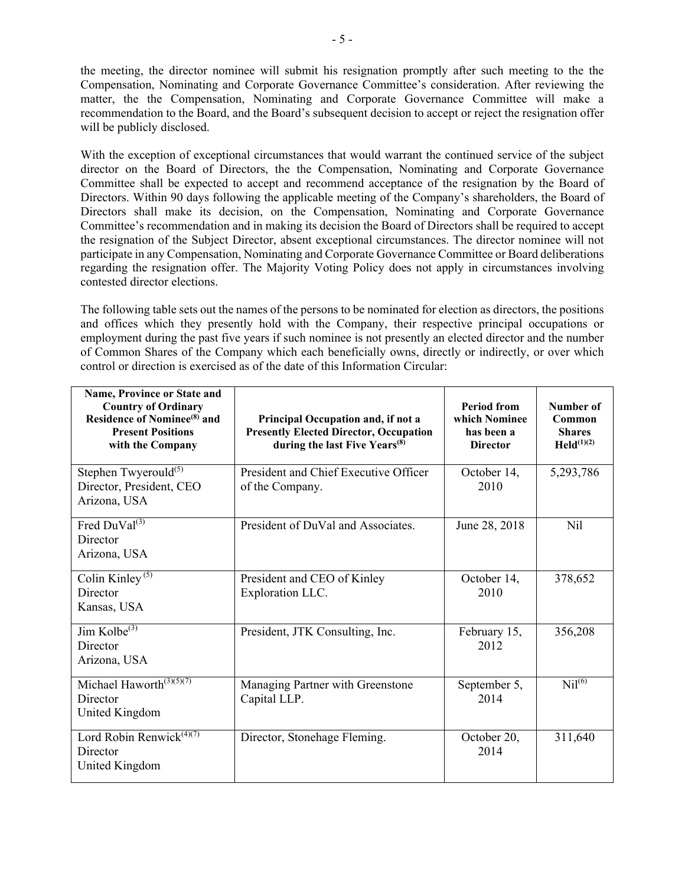the meeting, the director nominee will submit his resignation promptly after such meeting to the the Compensation, Nominating and Corporate Governance Committee's consideration. After reviewing the matter, the the Compensation, Nominating and Corporate Governance Committee will make a recommendation to the Board, and the Board's subsequent decision to accept or reject the resignation offer will be publicly disclosed.

With the exception of exceptional circumstances that would warrant the continued service of the subject director on the Board of Directors, the the Compensation, Nominating and Corporate Governance Committee shall be expected to accept and recommend acceptance of the resignation by the Board of Directors. Within 90 days following the applicable meeting of the Company's shareholders, the Board of Directors shall make its decision, on the Compensation, Nominating and Corporate Governance Committee's recommendation and in making its decision the Board of Directors shall be required to accept the resignation of the Subject Director, absent exceptional circumstances. The director nominee will not participate in any Compensation, Nominating and Corporate Governance Committee or Board deliberations regarding the resignation offer. The Majority Voting Policy does not apply in circumstances involving contested director elections.

The following table sets out the names of the persons to be nominated for election as directors, the positions and offices which they presently hold with the Company, their respective principal occupations or employment during the past five years if such nominee is not presently an elected director and the number of Common Shares of the Company which each beneficially owns, directly or indirectly, or over which control or direction is exercised as of the date of this Information Circular:

| Name, Province or State and<br><b>Country of Ordinary</b><br><b>Residence of Nominee<sup>(8)</sup></b> and<br><b>Present Positions</b><br>with the Company | Principal Occupation and, if not a<br><b>Presently Elected Director, Occupation</b><br>during the last Five Years <sup>(8)</sup> | <b>Period from</b><br>which Nominee<br>has been a<br><b>Director</b> | Number of<br>Common<br><b>Shares</b><br>$\text{Held}^{(1)(2)}$ |
|------------------------------------------------------------------------------------------------------------------------------------------------------------|----------------------------------------------------------------------------------------------------------------------------------|----------------------------------------------------------------------|----------------------------------------------------------------|
| Stephen Twyerould $(5)$<br>Director, President, CEO<br>Arizona, USA                                                                                        | President and Chief Executive Officer<br>of the Company.                                                                         | October 14,<br>2010                                                  | 5,293,786                                                      |
| Fred $DuVal^{(3)}$<br>Director<br>Arizona, USA                                                                                                             | President of DuVal and Associates.                                                                                               | June 28, 2018                                                        | Nil                                                            |
| Colin Kinley $(5)$<br>Director<br>Kansas, USA                                                                                                              | President and CEO of Kinley<br>Exploration LLC.                                                                                  | October 14,<br>2010                                                  | 378,652                                                        |
| Jim Kolbe $\overline{^{(3)}}$<br>Director<br>Arizona, USA                                                                                                  | President, JTK Consulting, Inc.                                                                                                  | February 15,<br>2012                                                 | 356,208                                                        |
| Michael Haworth $(3)(5)(7)$<br>Director<br>United Kingdom                                                                                                  | Managing Partner with Greenstone<br>Capital LLP.                                                                                 | September 5,<br>2014                                                 | Nil <sup>(6)</sup>                                             |
| Lord Robin Renwick $(4)(7)$<br>Director<br>United Kingdom                                                                                                  | Director, Stonehage Fleming.                                                                                                     | October 20,<br>2014                                                  | 311,640                                                        |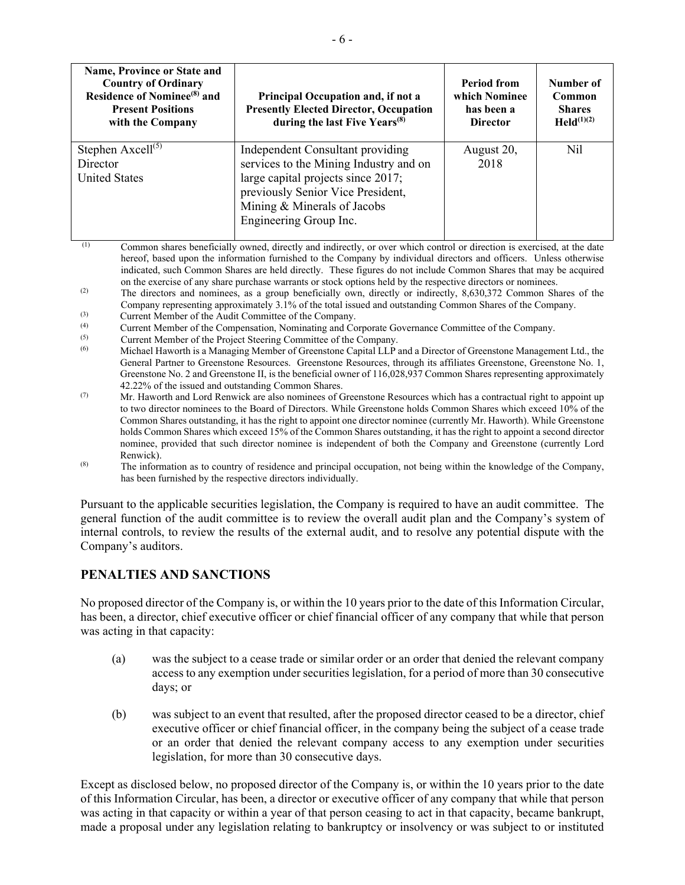| Name, Province or State and<br><b>Country of Ordinary</b><br>Residence of Nominee <sup>(8)</sup> and<br><b>Present Positions</b><br>with the Company | <b>Principal Occupation and, if not a</b><br><b>Presently Elected Director, Occupation</b><br>during the last Five Years <sup>(8)</sup>                                                                        | <b>Period from</b><br>which Nominee<br>has been a<br><b>Director</b> | Number of<br>Common<br><b>Shares</b><br>$Held^{(1)(2)}$ |
|------------------------------------------------------------------------------------------------------------------------------------------------------|----------------------------------------------------------------------------------------------------------------------------------------------------------------------------------------------------------------|----------------------------------------------------------------------|---------------------------------------------------------|
| Stephen $Axcell^{(5)}$<br>Director<br><b>United States</b>                                                                                           | Independent Consultant providing<br>services to the Mining Industry and on<br>large capital projects since 2017;<br>previously Senior Vice President,<br>Mining & Minerals of Jacobs<br>Engineering Group Inc. | August 20,<br>2018                                                   | Nil                                                     |

 (1) Common shares beneficially owned, directly and indirectly, or over which control or direction is exercised, at the date hereof, based upon the information furnished to the Company by individual directors and officers. Unless otherwise indicated, such Common Shares are held directly. These figures do not include Common Shares that may be acquired on the exercise of any share purchase warrants or stock options held by the respective directors or nominees.

- (2) The directors and nominees, as a group beneficially own, directly or indirectly, 8,630,372 Common Shares of the Company representing approximately 3.1% of the total issued and outstanding Common Shares of the Company.
- (3) Current Member of the Audit Committee of the Company.
- (4) Current Member of the Compensation, Nominating and Corporate Governance Committee of the Company.<br>
Current Mamber of the Project Steering Committee of the Company.
- $\frac{(5)}{(6)}$  Current Member of the Project Steering Committee of the Company.
- Michael Haworth is a Managing Member of Greenstone Capital LLP and a Director of Greenstone Management Ltd., the General Partner to Greenstone Resources. Greenstone Resources, through its affiliates Greenstone, Greenstone No. 1, Greenstone No. 2 and Greenstone II, is the beneficial owner of 116,028,937 Common Shares representing approximately 42.22% of the issued and outstanding Common Shares.
- (7) Mr. Haworth and Lord Renwick are also nominees of Greenstone Resources which has a contractual right to appoint up to two director nominees to the Board of Directors. While Greenstone holds Common Shares which exceed 10% of the Common Shares outstanding, it has the right to appoint one director nominee (currently Mr. Haworth). While Greenstone holds Common Shares which exceed 15% of the Common Shares outstanding, it has the right to appoint a second director nominee, provided that such director nominee is independent of both the Company and Greenstone (currently Lord Renwick).
- (8) The information as to country of residence and principal occupation, not being within the knowledge of the Company, has been furnished by the respective directors individually.

Pursuant to the applicable securities legislation, the Company is required to have an audit committee. The general function of the audit committee is to review the overall audit plan and the Company's system of internal controls, to review the results of the external audit, and to resolve any potential dispute with the Company's auditors.

# **PENALTIES AND SANCTIONS**

No proposed director of the Company is, or within the 10 years prior to the date of this Information Circular, has been, a director, chief executive officer or chief financial officer of any company that while that person was acting in that capacity:

- (a) was the subject to a cease trade or similar order or an order that denied the relevant company access to any exemption under securities legislation, for a period of more than 30 consecutive days; or
- (b) was subject to an event that resulted, after the proposed director ceased to be a director, chief executive officer or chief financial officer, in the company being the subject of a cease trade or an order that denied the relevant company access to any exemption under securities legislation, for more than 30 consecutive days.

Except as disclosed below, no proposed director of the Company is, or within the 10 years prior to the date of this Information Circular, has been, a director or executive officer of any company that while that person was acting in that capacity or within a year of that person ceasing to act in that capacity, became bankrupt, made a proposal under any legislation relating to bankruptcy or insolvency or was subject to or instituted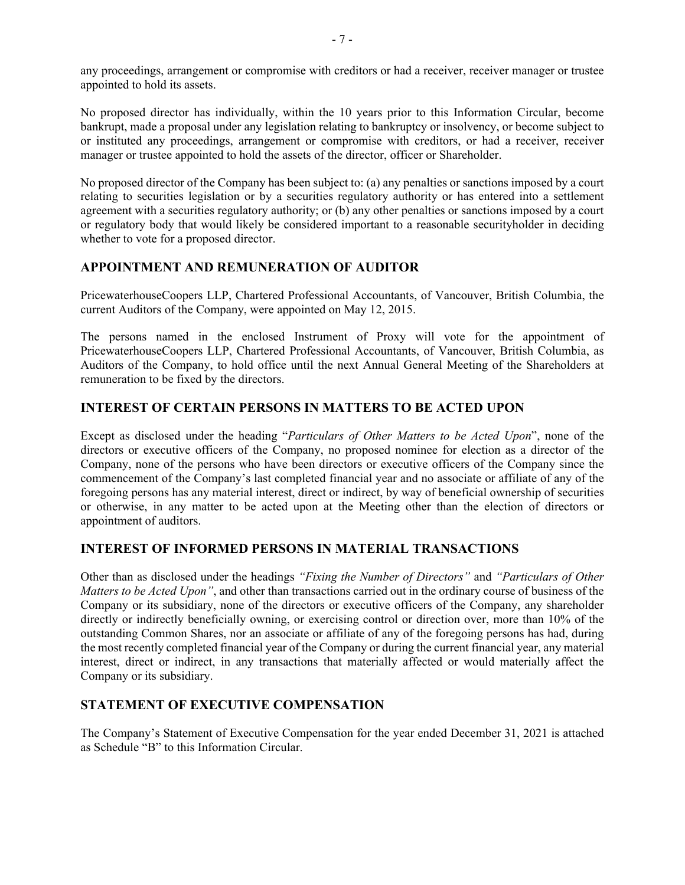any proceedings, arrangement or compromise with creditors or had a receiver, receiver manager or trustee appointed to hold its assets.

No proposed director has individually, within the 10 years prior to this Information Circular, become bankrupt, made a proposal under any legislation relating to bankruptcy or insolvency, or become subject to or instituted any proceedings, arrangement or compromise with creditors, or had a receiver, receiver manager or trustee appointed to hold the assets of the director, officer or Shareholder.

No proposed director of the Company has been subject to: (a) any penalties or sanctions imposed by a court relating to securities legislation or by a securities regulatory authority or has entered into a settlement agreement with a securities regulatory authority; or (b) any other penalties or sanctions imposed by a court or regulatory body that would likely be considered important to a reasonable securityholder in deciding whether to vote for a proposed director.

# **APPOINTMENT AND REMUNERATION OF AUDITOR**

PricewaterhouseCoopers LLP, Chartered Professional Accountants, of Vancouver, British Columbia, the current Auditors of the Company, were appointed on May 12, 2015.

The persons named in the enclosed Instrument of Proxy will vote for the appointment of PricewaterhouseCoopers LLP, Chartered Professional Accountants, of Vancouver, British Columbia, as Auditors of the Company, to hold office until the next Annual General Meeting of the Shareholders at remuneration to be fixed by the directors.

# **INTEREST OF CERTAIN PERSONS IN MATTERS TO BE ACTED UPON**

Except as disclosed under the heading "*Particulars of Other Matters to be Acted Upon*", none of the directors or executive officers of the Company, no proposed nominee for election as a director of the Company, none of the persons who have been directors or executive officers of the Company since the commencement of the Company's last completed financial year and no associate or affiliate of any of the foregoing persons has any material interest, direct or indirect, by way of beneficial ownership of securities or otherwise, in any matter to be acted upon at the Meeting other than the election of directors or appointment of auditors.

# **INTEREST OF INFORMED PERSONS IN MATERIAL TRANSACTIONS**

Other than as disclosed under the headings *"Fixing the Number of Directors"* and *"Particulars of Other Matters to be Acted Upon"*, and other than transactions carried out in the ordinary course of business of the Company or its subsidiary, none of the directors or executive officers of the Company, any shareholder directly or indirectly beneficially owning, or exercising control or direction over, more than 10% of the outstanding Common Shares, nor an associate or affiliate of any of the foregoing persons has had, during the most recently completed financial year of the Company or during the current financial year, any material interest, direct or indirect, in any transactions that materially affected or would materially affect the Company or its subsidiary.

# **STATEMENT OF EXECUTIVE COMPENSATION**

The Company's Statement of Executive Compensation for the year ended December 31, 2021 is attached as Schedule "B" to this Information Circular.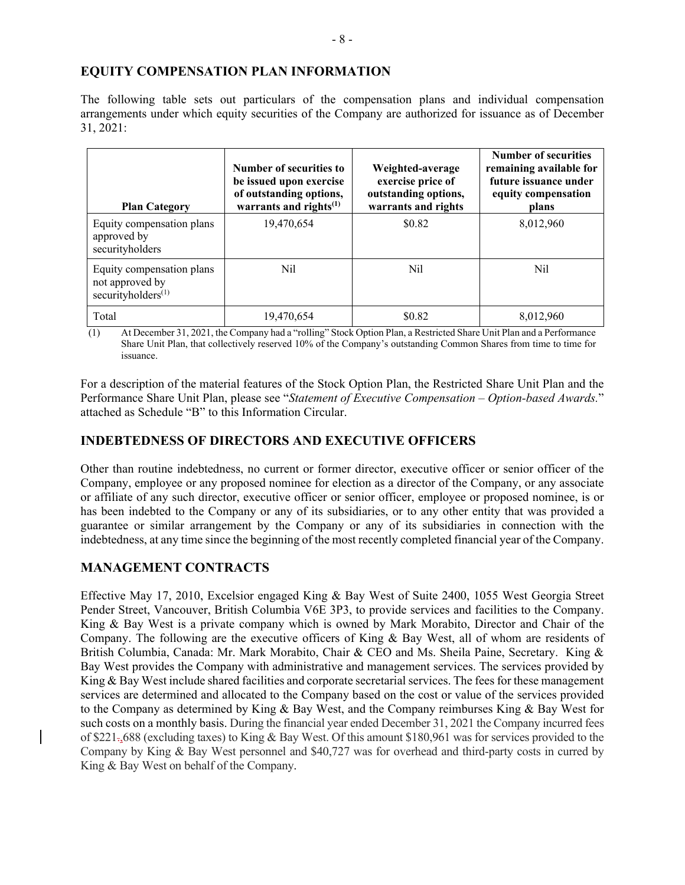## **EQUITY COMPENSATION PLAN INFORMATION**

The following table sets out particulars of the compensation plans and individual compensation arrangements under which equity securities of the Company are authorized for issuance as of December 31, 2021:

| <b>Plan Category</b>                                                           | Number of securities to<br>be issued upon exercise<br>of outstanding options,<br>warrants and rights <sup>(1)</sup> | Weighted-average<br>exercise price of<br>outstanding options,<br>warrants and rights | Number of securities<br>remaining available for<br>future issuance under<br>equity compensation<br>plans |
|--------------------------------------------------------------------------------|---------------------------------------------------------------------------------------------------------------------|--------------------------------------------------------------------------------------|----------------------------------------------------------------------------------------------------------|
| Equity compensation plans<br>approved by<br>securityholders                    | 19,470,654                                                                                                          | \$0.82                                                                               | 8,012,960                                                                                                |
| Equity compensation plans<br>not approved by<br>securityholders <sup>(1)</sup> | Nil                                                                                                                 | Nil                                                                                  | Nil                                                                                                      |
| Total                                                                          | 19.470.654                                                                                                          | \$0.82                                                                               | 8,012,960                                                                                                |

(1) At December 31, 2021, the Company had a "rolling" Stock Option Plan, a Restricted Share Unit Plan and a Performance Share Unit Plan, that collectively reserved 10% of the Company's outstanding Common Shares from time to time for issuance.

For a description of the material features of the Stock Option Plan, the Restricted Share Unit Plan and the Performance Share Unit Plan, please see "*Statement of Executive Compensation – Option-based Awards.*" attached as Schedule "B" to this Information Circular.

# **INDEBTEDNESS OF DIRECTORS AND EXECUTIVE OFFICERS**

Other than routine indebtedness, no current or former director, executive officer or senior officer of the Company, employee or any proposed nominee for election as a director of the Company, or any associate or affiliate of any such director, executive officer or senior officer, employee or proposed nominee, is or has been indebted to the Company or any of its subsidiaries, or to any other entity that was provided a guarantee or similar arrangement by the Company or any of its subsidiaries in connection with the indebtedness, at any time since the beginning of the most recently completed financial year of the Company.

# **MANAGEMENT CONTRACTS**

Effective May 17, 2010, Excelsior engaged King & Bay West of Suite 2400, 1055 West Georgia Street Pender Street, Vancouver, British Columbia V6E 3P3, to provide services and facilities to the Company. King & Bay West is a private company which is owned by Mark Morabito, Director and Chair of the Company. The following are the executive officers of King & Bay West, all of whom are residents of British Columbia, Canada: Mr. Mark Morabito, Chair & CEO and Ms. Sheila Paine, Secretary. King & Bay West provides the Company with administrative and management services. The services provided by King & Bay West include shared facilities and corporate secretarial services. The fees for these management services are determined and allocated to the Company based on the cost or value of the services provided to the Company as determined by King & Bay West, and the Company reimburses King & Bay West for such costs on a monthly basis. During the financial year ended December 31, 2021 the Company incurred fees of \$221.,688 (excluding taxes) to King & Bay West. Of this amount \$180,961 was for services provided to the Company by King & Bay West personnel and \$40,727 was for overhead and third-party costs in curred by King & Bay West on behalf of the Company.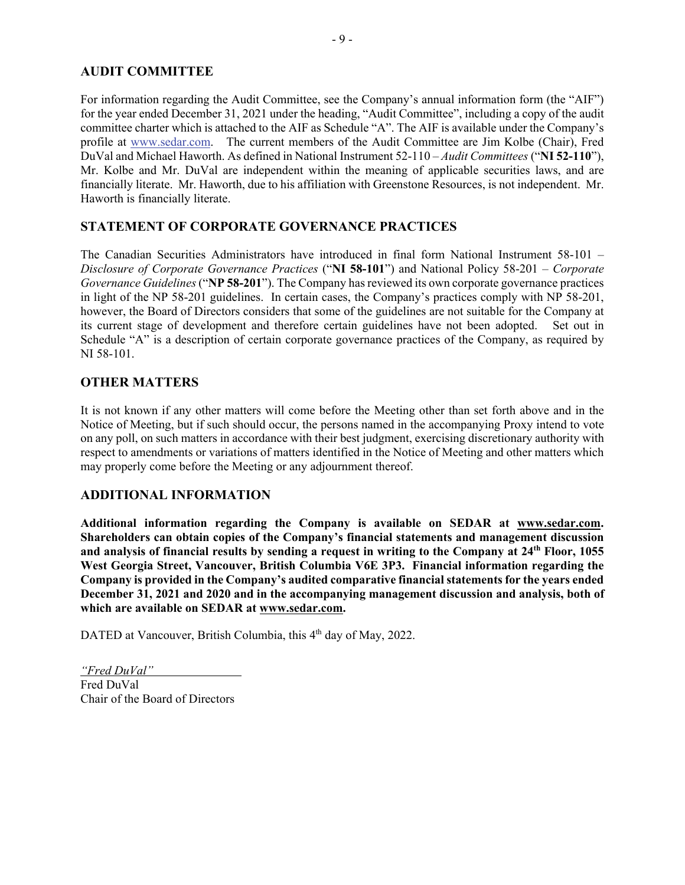# **AUDIT COMMITTEE**

For information regarding the Audit Committee, see the Company's annual information form (the "AIF") for the year ended December 31, 2021 under the heading, "Audit Committee", including a copy of the audit committee charter which is attached to the AIF as Schedule "A". The AIF is available under the Company's profile at www.sedar.com. The current members of the Audit Committee are Jim Kolbe (Chair), Fred DuVal and Michael Haworth. As defined in National Instrument 52-110 – *Audit Committees* ("**NI 52-110**"), Mr. Kolbe and Mr. DuVal are independent within the meaning of applicable securities laws, and are financially literate. Mr. Haworth, due to his affiliation with Greenstone Resources, is not independent. Mr. Haworth is financially literate.

# **STATEMENT OF CORPORATE GOVERNANCE PRACTICES**

The Canadian Securities Administrators have introduced in final form National Instrument 58-101 – *Disclosure of Corporate Governance Practices* ("**NI 58-101**") and National Policy 58-201 – *Corporate Governance Guidelines* ("**NP 58-201**"). The Company has reviewed its own corporate governance practices in light of the NP 58-201 guidelines. In certain cases, the Company's practices comply with NP 58-201, however, the Board of Directors considers that some of the guidelines are not suitable for the Company at its current stage of development and therefore certain guidelines have not been adopted. Set out in Schedule "A" is a description of certain corporate governance practices of the Company, as required by NI 58-101.

# **OTHER MATTERS**

It is not known if any other matters will come before the Meeting other than set forth above and in the Notice of Meeting, but if such should occur, the persons named in the accompanying Proxy intend to vote on any poll, on such matters in accordance with their best judgment, exercising discretionary authority with respect to amendments or variations of matters identified in the Notice of Meeting and other matters which may properly come before the Meeting or any adjournment thereof.

### **ADDITIONAL INFORMATION**

**Additional information regarding the Company is available on SEDAR at www.sedar.com. Shareholders can obtain copies of the Company's financial statements and management discussion and analysis of financial results by sending a request in writing to the Company at 24th Floor, 1055 West Georgia Street, Vancouver, British Columbia V6E 3P3. Financial information regarding the Company is provided in the Company's audited comparative financial statements for the years ended December 31, 2021 and 2020 and in the accompanying management discussion and analysis, both of which are available on SEDAR at www.sedar.com.** 

DATED at Vancouver, British Columbia, this 4<sup>th</sup> day of May, 2022.

*"Fred DuVal"*  Fred DuVal Chair of the Board of Directors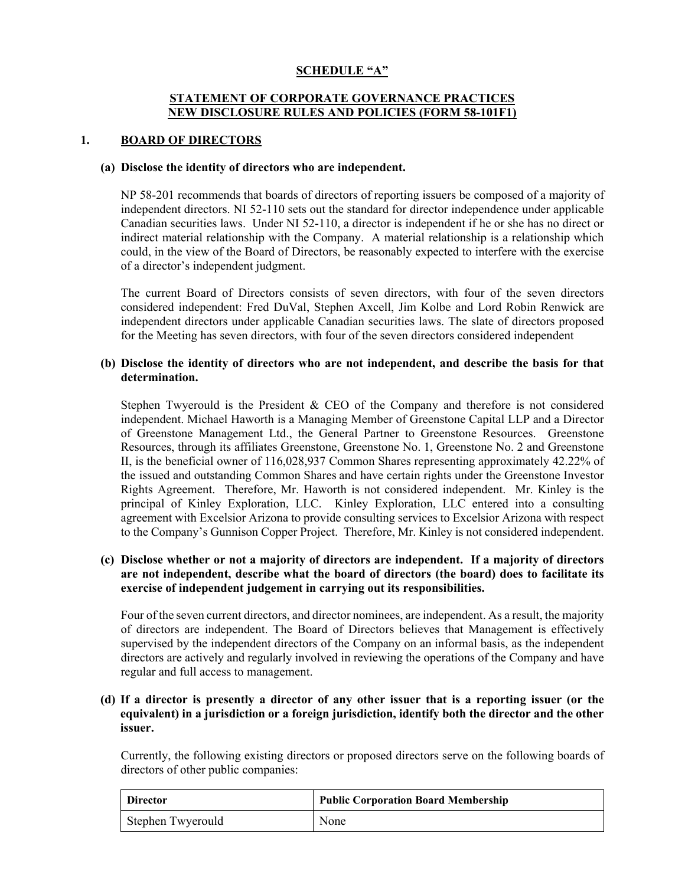## **SCHEDULE "A"**

## **STATEMENT OF CORPORATE GOVERNANCE PRACTICES NEW DISCLOSURE RULES AND POLICIES (FORM 58-101F1)**

### **1. BOARD OF DIRECTORS**

#### **(a) Disclose the identity of directors who are independent.**

NP 58-201 recommends that boards of directors of reporting issuers be composed of a majority of independent directors. NI 52-110 sets out the standard for director independence under applicable Canadian securities laws. Under NI 52-110, a director is independent if he or she has no direct or indirect material relationship with the Company. A material relationship is a relationship which could, in the view of the Board of Directors, be reasonably expected to interfere with the exercise of a director's independent judgment.

The current Board of Directors consists of seven directors, with four of the seven directors considered independent: Fred DuVal, Stephen Axcell, Jim Kolbe and Lord Robin Renwick are independent directors under applicable Canadian securities laws. The slate of directors proposed for the Meeting has seven directors, with four of the seven directors considered independent

#### **(b) Disclose the identity of directors who are not independent, and describe the basis for that determination.**

Stephen Twyerould is the President & CEO of the Company and therefore is not considered independent. Michael Haworth is a Managing Member of Greenstone Capital LLP and a Director of Greenstone Management Ltd., the General Partner to Greenstone Resources. Greenstone Resources, through its affiliates Greenstone, Greenstone No. 1, Greenstone No. 2 and Greenstone II, is the beneficial owner of 116,028,937 Common Shares representing approximately 42.22% of the issued and outstanding Common Shares and have certain rights under the Greenstone Investor Rights Agreement. Therefore, Mr. Haworth is not considered independent. Mr. Kinley is the principal of Kinley Exploration, LLC. Kinley Exploration, LLC entered into a consulting agreement with Excelsior Arizona to provide consulting services to Excelsior Arizona with respect to the Company's Gunnison Copper Project. Therefore, Mr. Kinley is not considered independent.

## **(c) Disclose whether or not a majority of directors are independent. If a majority of directors are not independent, describe what the board of directors (the board) does to facilitate its exercise of independent judgement in carrying out its responsibilities.**

Four of the seven current directors, and director nominees, are independent. As a result, the majority of directors are independent. The Board of Directors believes that Management is effectively supervised by the independent directors of the Company on an informal basis, as the independent directors are actively and regularly involved in reviewing the operations of the Company and have regular and full access to management.

## **(d) If a director is presently a director of any other issuer that is a reporting issuer (or the equivalent) in a jurisdiction or a foreign jurisdiction, identify both the director and the other issuer.**

Currently, the following existing directors or proposed directors serve on the following boards of directors of other public companies:

| Director          | <b>Public Corporation Board Membership</b> |
|-------------------|--------------------------------------------|
| Stephen Twyerould | None                                       |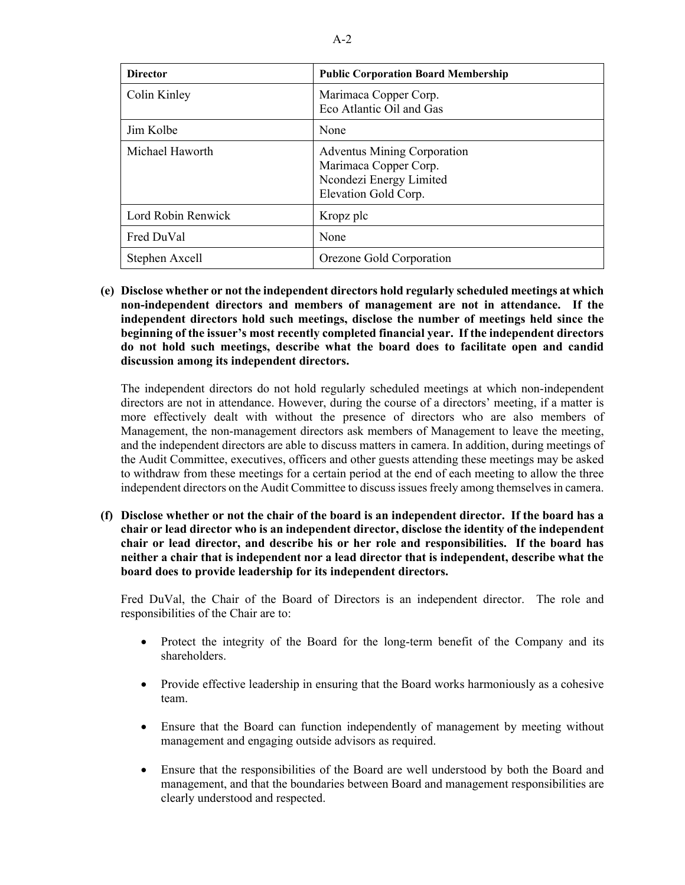| <b>Director</b>    | <b>Public Corporation Board Membership</b>                                                                     |
|--------------------|----------------------------------------------------------------------------------------------------------------|
| Colin Kinley       | Marimaca Copper Corp.<br>Eco Atlantic Oil and Gas                                                              |
| Jim Kolbe          | None                                                                                                           |
| Michael Haworth    | <b>Adventus Mining Corporation</b><br>Marimaca Copper Corp.<br>Ncondezi Energy Limited<br>Elevation Gold Corp. |
| Lord Robin Renwick | Kropz plc                                                                                                      |
| Fred DuVal         | None                                                                                                           |
| Stephen Axcell     | Orezone Gold Corporation                                                                                       |

**(e) Disclose whether or not the independent directors hold regularly scheduled meetings at which non-independent directors and members of management are not in attendance. If the independent directors hold such meetings, disclose the number of meetings held since the beginning of the issuer's most recently completed financial year. If the independent directors do not hold such meetings, describe what the board does to facilitate open and candid discussion among its independent directors.** 

The independent directors do not hold regularly scheduled meetings at which non-independent directors are not in attendance. However, during the course of a directors' meeting, if a matter is more effectively dealt with without the presence of directors who are also members of Management, the non-management directors ask members of Management to leave the meeting, and the independent directors are able to discuss matters in camera. In addition, during meetings of the Audit Committee, executives, officers and other guests attending these meetings may be asked to withdraw from these meetings for a certain period at the end of each meeting to allow the three independent directors on the Audit Committee to discuss issues freely among themselves in camera.

**(f) Disclose whether or not the chair of the board is an independent director. If the board has a chair or lead director who is an independent director, disclose the identity of the independent chair or lead director, and describe his or her role and responsibilities. If the board has neither a chair that is independent nor a lead director that is independent, describe what the board does to provide leadership for its independent directors.** 

Fred DuVal, the Chair of the Board of Directors is an independent director. The role and responsibilities of the Chair are to:

- Protect the integrity of the Board for the long-term benefit of the Company and its shareholders.
- Provide effective leadership in ensuring that the Board works harmoniously as a cohesive team.
- Ensure that the Board can function independently of management by meeting without management and engaging outside advisors as required.
- Ensure that the responsibilities of the Board are well understood by both the Board and management, and that the boundaries between Board and management responsibilities are clearly understood and respected.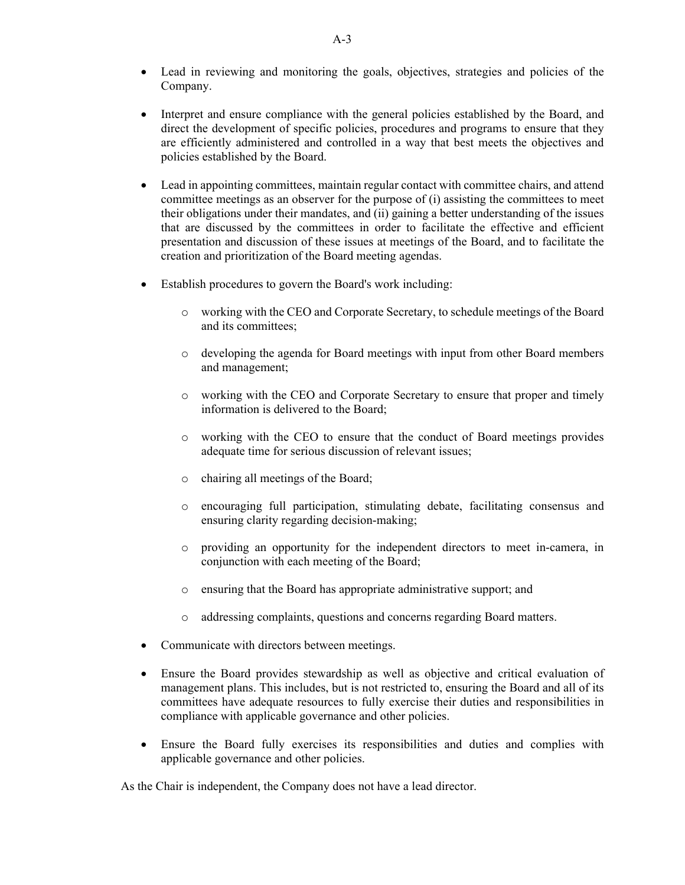- Lead in reviewing and monitoring the goals, objectives, strategies and policies of the Company.
- Interpret and ensure compliance with the general policies established by the Board, and direct the development of specific policies, procedures and programs to ensure that they are efficiently administered and controlled in a way that best meets the objectives and policies established by the Board.
- Lead in appointing committees, maintain regular contact with committee chairs, and attend committee meetings as an observer for the purpose of (i) assisting the committees to meet their obligations under their mandates, and (ii) gaining a better understanding of the issues that are discussed by the committees in order to facilitate the effective and efficient presentation and discussion of these issues at meetings of the Board, and to facilitate the creation and prioritization of the Board meeting agendas.
- Establish procedures to govern the Board's work including:
	- o working with the CEO and Corporate Secretary, to schedule meetings of the Board and its committees;
	- o developing the agenda for Board meetings with input from other Board members and management;
	- o working with the CEO and Corporate Secretary to ensure that proper and timely information is delivered to the Board;
	- o working with the CEO to ensure that the conduct of Board meetings provides adequate time for serious discussion of relevant issues;
	- o chairing all meetings of the Board;
	- o encouraging full participation, stimulating debate, facilitating consensus and ensuring clarity regarding decision-making;
	- o providing an opportunity for the independent directors to meet in-camera, in conjunction with each meeting of the Board;
	- o ensuring that the Board has appropriate administrative support; and
	- o addressing complaints, questions and concerns regarding Board matters.
- Communicate with directors between meetings.
- Ensure the Board provides stewardship as well as objective and critical evaluation of management plans. This includes, but is not restricted to, ensuring the Board and all of its committees have adequate resources to fully exercise their duties and responsibilities in compliance with applicable governance and other policies.
- Ensure the Board fully exercises its responsibilities and duties and complies with applicable governance and other policies.

As the Chair is independent, the Company does not have a lead director.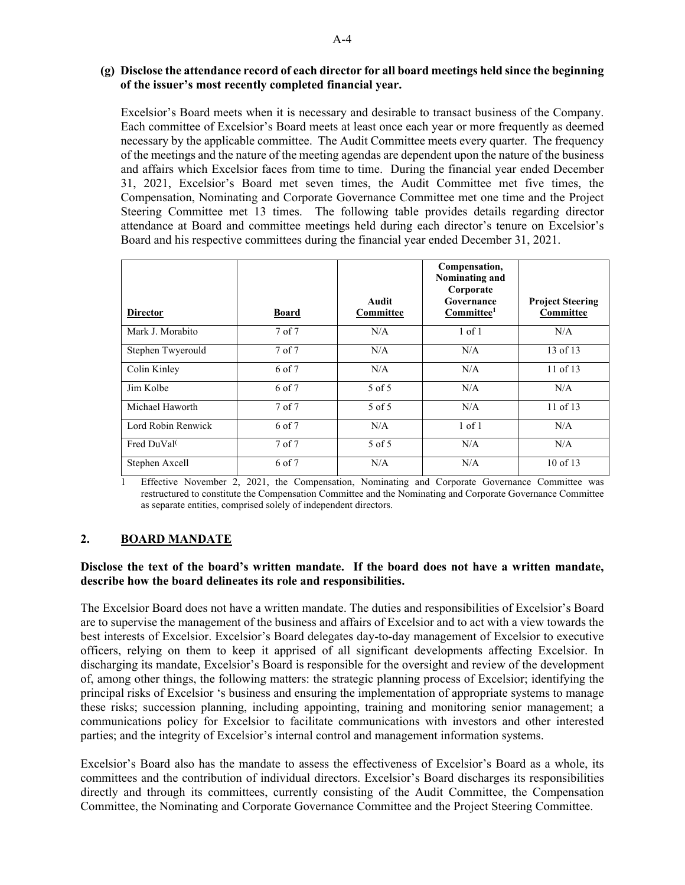### **(g) Disclose the attendance record of each director for all board meetings held since the beginning of the issuer's most recently completed financial year.**

Excelsior's Board meets when it is necessary and desirable to transact business of the Company. Each committee of Excelsior's Board meets at least once each year or more frequently as deemed necessary by the applicable committee. The Audit Committee meets every quarter. The frequency of the meetings and the nature of the meeting agendas are dependent upon the nature of the business and affairs which Excelsior faces from time to time.During the financial year ended December 31, 2021, Excelsior's Board met seven times, the Audit Committee met five times, the Compensation, Nominating and Corporate Governance Committee met one time and the Project Steering Committee met 13 times. The following table provides details regarding director attendance at Board and committee meetings held during each director's tenure on Excelsior's Board and his respective committees during the financial year ended December 31, 2021.

| <b>Director</b>    | <b>Board</b>      | Audit<br>Committee | Compensation,<br>Nominating and<br>Corporate<br>Governance<br>Committee <sup>1</sup> | <b>Project Steering</b><br>Committee |
|--------------------|-------------------|--------------------|--------------------------------------------------------------------------------------|--------------------------------------|
| Mark J. Morabito   | $7$ of $7$        | N/A                | $1$ of $1$                                                                           | N/A                                  |
| Stephen Twyerould  | 7 of 7            | N/A                | N/A                                                                                  | 13 of 13                             |
| Colin Kinley       | 6 of 7            | N/A                | N/A                                                                                  | $11$ of $13$                         |
| Jim Kolbe          | 6 of 7            | $5$ of $5$         | N/A                                                                                  | N/A                                  |
| Michael Haworth    | 7 of 7            | 5 of 5             | N/A                                                                                  | $11$ of $13$                         |
| Lord Robin Renwick | 6 of 7            | N/A                | $1$ of $1$                                                                           | N/A                                  |
| Fred DuVal         | 7 <sub>of</sub> 7 | 5 of 5             | N/A                                                                                  | N/A                                  |
| Stephen Axcell     | 6 of 7            | N/A                | N/A                                                                                  | $10$ of $13$                         |

1 Effective November 2, 2021, the Compensation, Nominating and Corporate Governance Committee was restructured to constitute the Compensation Committee and the Nominating and Corporate Governance Committee as separate entities, comprised solely of independent directors.

# **2. BOARD MANDATE**

### **Disclose the text of the board's written mandate. If the board does not have a written mandate, describe how the board delineates its role and responsibilities.**

The Excelsior Board does not have a written mandate. The duties and responsibilities of Excelsior's Board are to supervise the management of the business and affairs of Excelsior and to act with a view towards the best interests of Excelsior. Excelsior's Board delegates day-to-day management of Excelsior to executive officers, relying on them to keep it apprised of all significant developments affecting Excelsior. In discharging its mandate, Excelsior's Board is responsible for the oversight and review of the development of, among other things, the following matters: the strategic planning process of Excelsior; identifying the principal risks of Excelsior 's business and ensuring the implementation of appropriate systems to manage these risks; succession planning, including appointing, training and monitoring senior management; a communications policy for Excelsior to facilitate communications with investors and other interested parties; and the integrity of Excelsior's internal control and management information systems.

Excelsior's Board also has the mandate to assess the effectiveness of Excelsior's Board as a whole, its committees and the contribution of individual directors. Excelsior's Board discharges its responsibilities directly and through its committees, currently consisting of the Audit Committee, the Compensation Committee, the Nominating and Corporate Governance Committee and the Project Steering Committee.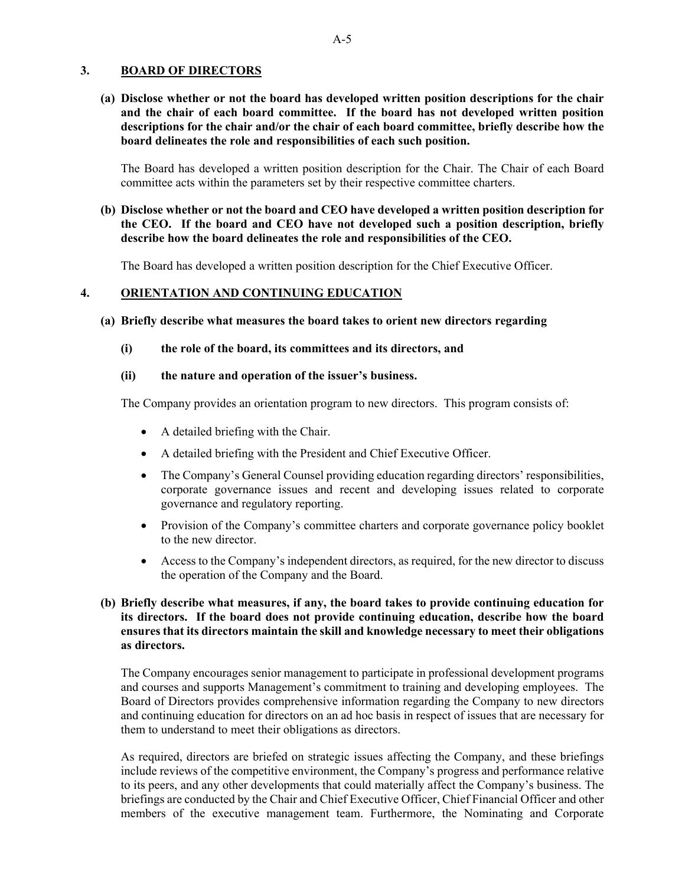#### **3. BOARD OF DIRECTORS**

**(a) Disclose whether or not the board has developed written position descriptions for the chair and the chair of each board committee. If the board has not developed written position descriptions for the chair and/or the chair of each board committee, briefly describe how the board delineates the role and responsibilities of each such position.** 

The Board has developed a written position description for the Chair. The Chair of each Board committee acts within the parameters set by their respective committee charters.

## **(b) Disclose whether or not the board and CEO have developed a written position description for the CEO. If the board and CEO have not developed such a position description, briefly describe how the board delineates the role and responsibilities of the CEO.**

The Board has developed a written position description for the Chief Executive Officer.

#### **4. ORIENTATION AND CONTINUING EDUCATION**

#### **(a) Briefly describe what measures the board takes to orient new directors regarding**

#### **(i) the role of the board, its committees and its directors, and**

#### **(ii) the nature and operation of the issuer's business.**

The Company provides an orientation program to new directors. This program consists of:

- A detailed briefing with the Chair.
- A detailed briefing with the President and Chief Executive Officer.
- The Company's General Counsel providing education regarding directors' responsibilities, corporate governance issues and recent and developing issues related to corporate governance and regulatory reporting.
- Provision of the Company's committee charters and corporate governance policy booklet to the new director.
- Access to the Company's independent directors, as required, for the new director to discuss the operation of the Company and the Board.

## **(b) Briefly describe what measures, if any, the board takes to provide continuing education for its directors. If the board does not provide continuing education, describe how the board ensures that its directors maintain the skill and knowledge necessary to meet their obligations as directors.**

The Company encourages senior management to participate in professional development programs and courses and supports Management's commitment to training and developing employees. The Board of Directors provides comprehensive information regarding the Company to new directors and continuing education for directors on an ad hoc basis in respect of issues that are necessary for them to understand to meet their obligations as directors.

As required, directors are briefed on strategic issues affecting the Company, and these briefings include reviews of the competitive environment, the Company's progress and performance relative to its peers, and any other developments that could materially affect the Company's business. The briefings are conducted by the Chair and Chief Executive Officer, Chief Financial Officer and other members of the executive management team. Furthermore, the Nominating and Corporate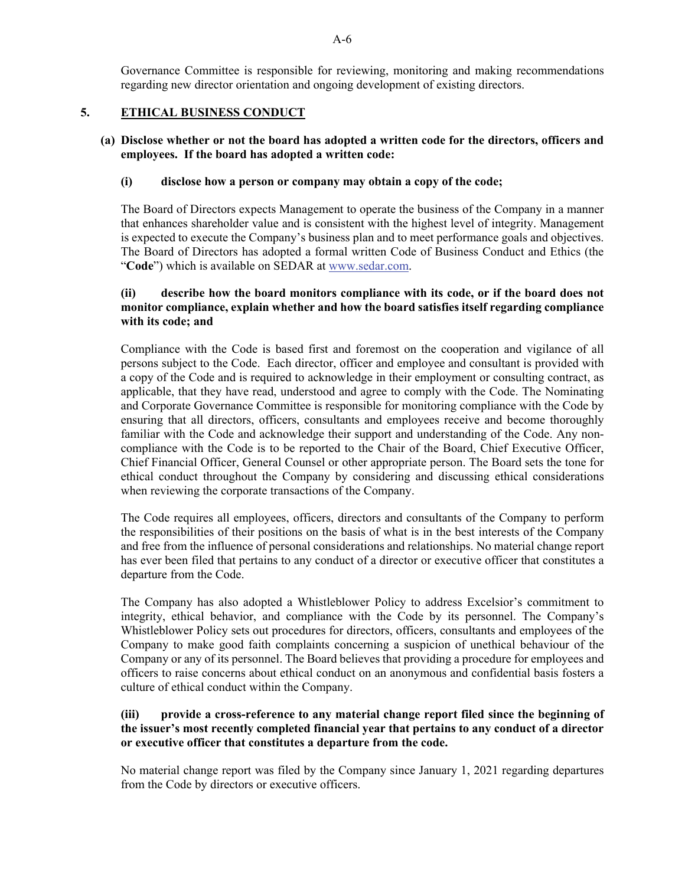Governance Committee is responsible for reviewing, monitoring and making recommendations regarding new director orientation and ongoing development of existing directors.

## **5. ETHICAL BUSINESS CONDUCT**

## **(a) Disclose whether or not the board has adopted a written code for the directors, officers and employees. If the board has adopted a written code:**

## **(i) disclose how a person or company may obtain a copy of the code;**

The Board of Directors expects Management to operate the business of the Company in a manner that enhances shareholder value and is consistent with the highest level of integrity. Management is expected to execute the Company's business plan and to meet performance goals and objectives. The Board of Directors has adopted a formal written Code of Business Conduct and Ethics (the "**Code**") which is available on SEDAR at www.sedar.com.

## **(ii) describe how the board monitors compliance with its code, or if the board does not monitor compliance, explain whether and how the board satisfies itself regarding compliance with its code; and**

Compliance with the Code is based first and foremost on the cooperation and vigilance of all persons subject to the Code. Each director, officer and employee and consultant is provided with a copy of the Code and is required to acknowledge in their employment or consulting contract, as applicable, that they have read, understood and agree to comply with the Code. The Nominating and Corporate Governance Committee is responsible for monitoring compliance with the Code by ensuring that all directors, officers, consultants and employees receive and become thoroughly familiar with the Code and acknowledge their support and understanding of the Code. Any noncompliance with the Code is to be reported to the Chair of the Board, Chief Executive Officer, Chief Financial Officer, General Counsel or other appropriate person. The Board sets the tone for ethical conduct throughout the Company by considering and discussing ethical considerations when reviewing the corporate transactions of the Company.

The Code requires all employees, officers, directors and consultants of the Company to perform the responsibilities of their positions on the basis of what is in the best interests of the Company and free from the influence of personal considerations and relationships. No material change report has ever been filed that pertains to any conduct of a director or executive officer that constitutes a departure from the Code.

The Company has also adopted a Whistleblower Policy to address Excelsior's commitment to integrity, ethical behavior, and compliance with the Code by its personnel. The Company's Whistleblower Policy sets out procedures for directors, officers, consultants and employees of the Company to make good faith complaints concerning a suspicion of unethical behaviour of the Company or any of its personnel. The Board believes that providing a procedure for employees and officers to raise concerns about ethical conduct on an anonymous and confidential basis fosters a culture of ethical conduct within the Company.

## **(iii) provide a cross-reference to any material change report filed since the beginning of the issuer's most recently completed financial year that pertains to any conduct of a director or executive officer that constitutes a departure from the code.**

No material change report was filed by the Company since January 1, 2021 regarding departures from the Code by directors or executive officers.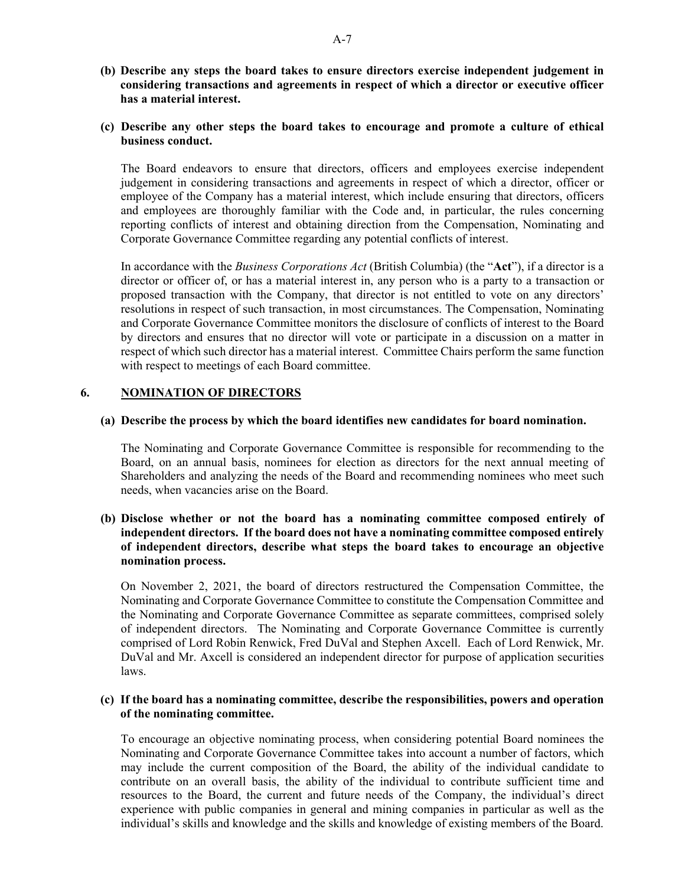- **(b) Describe any steps the board takes to ensure directors exercise independent judgement in considering transactions and agreements in respect of which a director or executive officer has a material interest.**
- **(c) Describe any other steps the board takes to encourage and promote a culture of ethical business conduct.**

The Board endeavors to ensure that directors, officers and employees exercise independent judgement in considering transactions and agreements in respect of which a director, officer or employee of the Company has a material interest, which include ensuring that directors, officers and employees are thoroughly familiar with the Code and, in particular, the rules concerning reporting conflicts of interest and obtaining direction from the Compensation, Nominating and Corporate Governance Committee regarding any potential conflicts of interest.

In accordance with the *Business Corporations Act* (British Columbia) (the "**Act**"), if a director is a director or officer of, or has a material interest in, any person who is a party to a transaction or proposed transaction with the Company, that director is not entitled to vote on any directors' resolutions in respect of such transaction, in most circumstances. The Compensation, Nominating and Corporate Governance Committee monitors the disclosure of conflicts of interest to the Board by directors and ensures that no director will vote or participate in a discussion on a matter in respect of which such director has a material interest. Committee Chairs perform the same function with respect to meetings of each Board committee.

#### **6. NOMINATION OF DIRECTORS**

#### **(a) Describe the process by which the board identifies new candidates for board nomination.**

The Nominating and Corporate Governance Committee is responsible for recommending to the Board, on an annual basis, nominees for election as directors for the next annual meeting of Shareholders and analyzing the needs of the Board and recommending nominees who meet such needs, when vacancies arise on the Board.

### **(b) Disclose whether or not the board has a nominating committee composed entirely of independent directors. If the board does not have a nominating committee composed entirely of independent directors, describe what steps the board takes to encourage an objective nomination process.**

On November 2, 2021, the board of directors restructured the Compensation Committee, the Nominating and Corporate Governance Committee to constitute the Compensation Committee and the Nominating and Corporate Governance Committee as separate committees, comprised solely of independent directors. The Nominating and Corporate Governance Committee is currently comprised of Lord Robin Renwick, Fred DuVal and Stephen Axcell. Each of Lord Renwick, Mr. DuVal and Mr. Axcell is considered an independent director for purpose of application securities laws.

#### **(c) If the board has a nominating committee, describe the responsibilities, powers and operation of the nominating committee.**

To encourage an objective nominating process, when considering potential Board nominees the Nominating and Corporate Governance Committee takes into account a number of factors, which may include the current composition of the Board, the ability of the individual candidate to contribute on an overall basis, the ability of the individual to contribute sufficient time and resources to the Board, the current and future needs of the Company, the individual's direct experience with public companies in general and mining companies in particular as well as the individual's skills and knowledge and the skills and knowledge of existing members of the Board.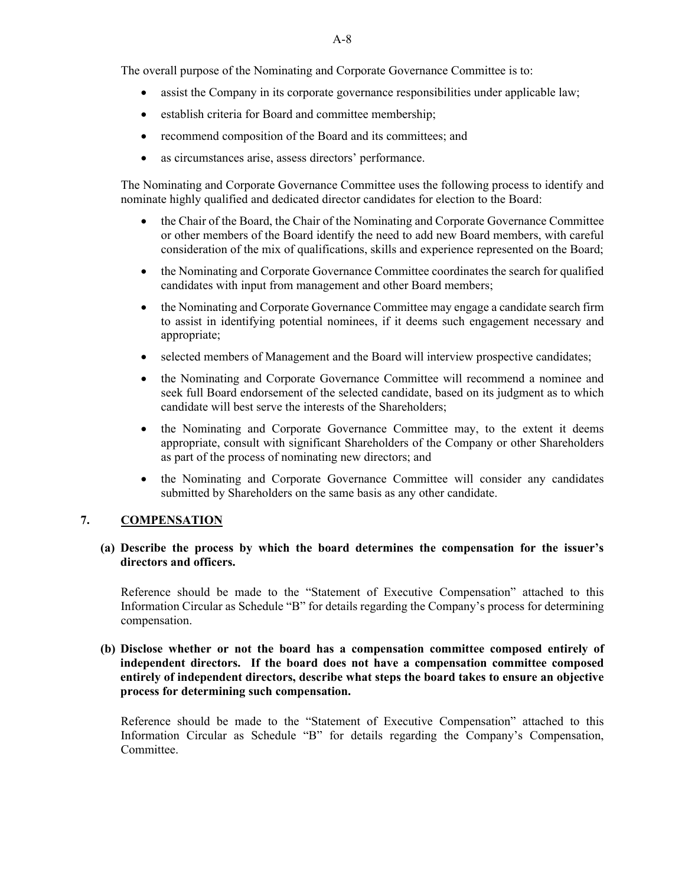The overall purpose of the Nominating and Corporate Governance Committee is to:

- assist the Company in its corporate governance responsibilities under applicable law;
- establish criteria for Board and committee membership;
- recommend composition of the Board and its committees; and
- as circumstances arise, assess directors' performance.

The Nominating and Corporate Governance Committee uses the following process to identify and nominate highly qualified and dedicated director candidates for election to the Board:

- the Chair of the Board, the Chair of the Nominating and Corporate Governance Committee or other members of the Board identify the need to add new Board members, with careful consideration of the mix of qualifications, skills and experience represented on the Board;
- the Nominating and Corporate Governance Committee coordinates the search for qualified candidates with input from management and other Board members;
- the Nominating and Corporate Governance Committee may engage a candidate search firm to assist in identifying potential nominees, if it deems such engagement necessary and appropriate;
- selected members of Management and the Board will interview prospective candidates;
- the Nominating and Corporate Governance Committee will recommend a nominee and seek full Board endorsement of the selected candidate, based on its judgment as to which candidate will best serve the interests of the Shareholders;
- the Nominating and Corporate Governance Committee may, to the extent it deems appropriate, consult with significant Shareholders of the Company or other Shareholders as part of the process of nominating new directors; and
- the Nominating and Corporate Governance Committee will consider any candidates submitted by Shareholders on the same basis as any other candidate.

#### **7. COMPENSATION**

## **(a) Describe the process by which the board determines the compensation for the issuer's directors and officers.**

Reference should be made to the "Statement of Executive Compensation" attached to this Information Circular as Schedule "B" for details regarding the Company's process for determining compensation.

## **(b) Disclose whether or not the board has a compensation committee composed entirely of independent directors. If the board does not have a compensation committee composed entirely of independent directors, describe what steps the board takes to ensure an objective process for determining such compensation.**

Reference should be made to the "Statement of Executive Compensation" attached to this Information Circular as Schedule "B" for details regarding the Company's Compensation, Committee.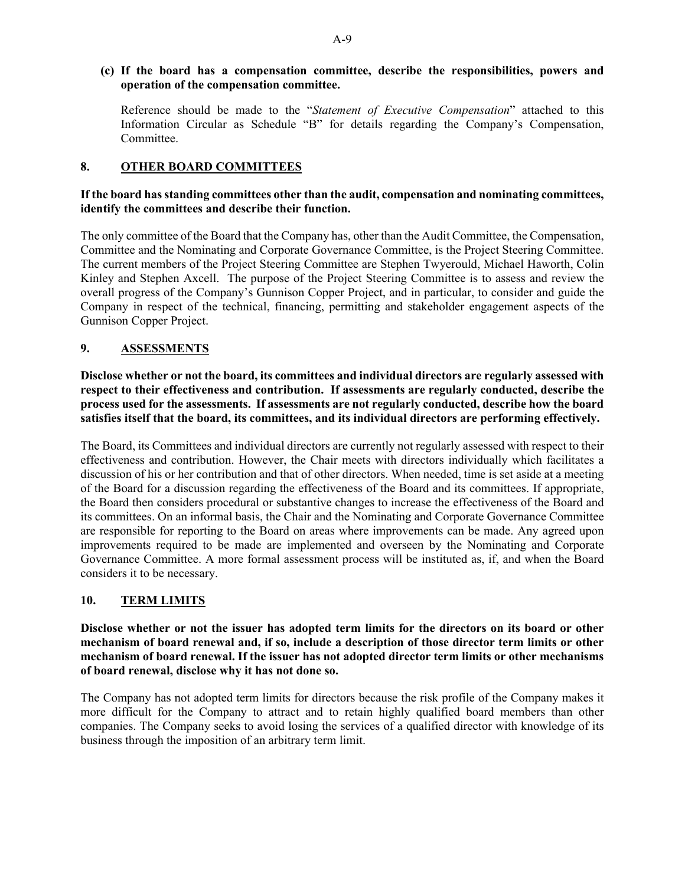#### **(c) If the board has a compensation committee, describe the responsibilities, powers and operation of the compensation committee.**

Reference should be made to the "*Statement of Executive Compensation*" attached to this Information Circular as Schedule "B" for details regarding the Company's Compensation, Committee.

## **8. OTHER BOARD COMMITTEES**

## **If the board has standing committees other than the audit, compensation and nominating committees, identify the committees and describe their function.**

The only committee of the Board that the Company has, other than the Audit Committee, the Compensation, Committee and the Nominating and Corporate Governance Committee, is the Project Steering Committee. The current members of the Project Steering Committee are Stephen Twyerould, Michael Haworth, Colin Kinley and Stephen Axcell. The purpose of the Project Steering Committee is to assess and review the overall progress of the Company's Gunnison Copper Project, and in particular, to consider and guide the Company in respect of the technical, financing, permitting and stakeholder engagement aspects of the Gunnison Copper Project.

## **9. ASSESSMENTS**

**Disclose whether or not the board, its committees and individual directors are regularly assessed with respect to their effectiveness and contribution. If assessments are regularly conducted, describe the process used for the assessments. If assessments are not regularly conducted, describe how the board satisfies itself that the board, its committees, and its individual directors are performing effectively.** 

The Board, its Committees and individual directors are currently not regularly assessed with respect to their effectiveness and contribution. However, the Chair meets with directors individually which facilitates a discussion of his or her contribution and that of other directors. When needed, time is set aside at a meeting of the Board for a discussion regarding the effectiveness of the Board and its committees. If appropriate, the Board then considers procedural or substantive changes to increase the effectiveness of the Board and its committees. On an informal basis, the Chair and the Nominating and Corporate Governance Committee are responsible for reporting to the Board on areas where improvements can be made. Any agreed upon improvements required to be made are implemented and overseen by the Nominating and Corporate Governance Committee. A more formal assessment process will be instituted as, if, and when the Board considers it to be necessary.

# **10. TERM LIMITS**

**Disclose whether or not the issuer has adopted term limits for the directors on its board or other mechanism of board renewal and, if so, include a description of those director term limits or other mechanism of board renewal. If the issuer has not adopted director term limits or other mechanisms of board renewal, disclose why it has not done so.** 

The Company has not adopted term limits for directors because the risk profile of the Company makes it more difficult for the Company to attract and to retain highly qualified board members than other companies. The Company seeks to avoid losing the services of a qualified director with knowledge of its business through the imposition of an arbitrary term limit.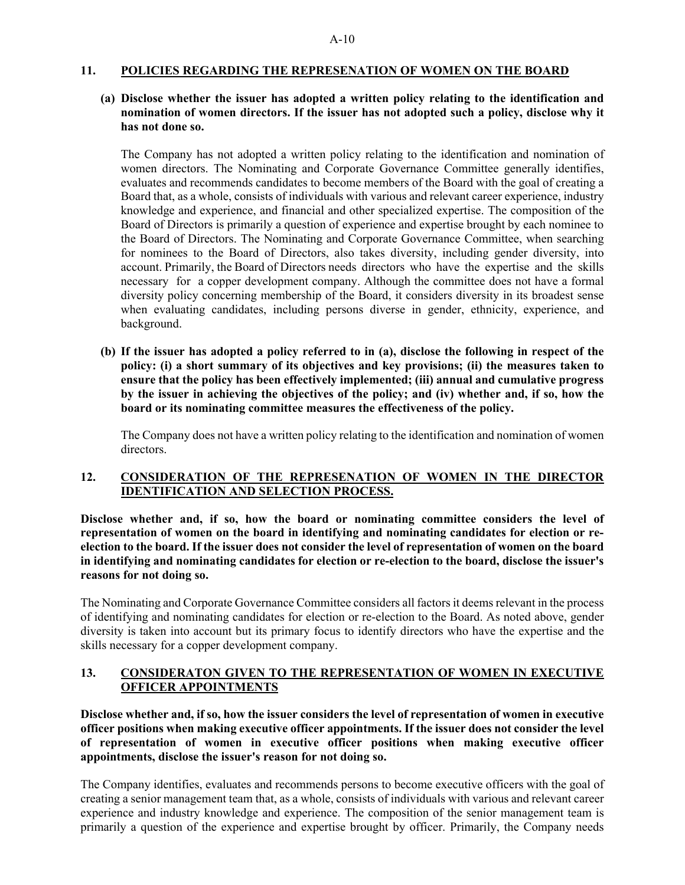#### **11. POLICIES REGARDING THE REPRESENATION OF WOMEN ON THE BOARD**

# **(a) Disclose whether the issuer has adopted a written policy relating to the identification and nomination of women directors. If the issuer has not adopted such a policy, disclose why it has not done so.**

The Company has not adopted a written policy relating to the identification and nomination of women directors. The Nominating and Corporate Governance Committee generally identifies, evaluates and recommends candidates to become members of the Board with the goal of creating a Board that, as a whole, consists of individuals with various and relevant career experience, industry knowledge and experience, and financial and other specialized expertise. The composition of the Board of Directors is primarily a question of experience and expertise brought by each nominee to the Board of Directors. The Nominating and Corporate Governance Committee, when searching for nominees to the Board of Directors, also takes diversity, including gender diversity, into account. Primarily, the Board of Directors needs directors who have the expertise and the skills necessary for a copper development company. Although the committee does not have a formal diversity policy concerning membership of the Board, it considers diversity in its broadest sense when evaluating candidates, including persons diverse in gender, ethnicity, experience, and background.

**(b) If the issuer has adopted a policy referred to in (a), disclose the following in respect of the policy: (i) a short summary of its objectives and key provisions; (ii) the measures taken to ensure that the policy has been effectively implemented; (iii) annual and cumulative progress by the issuer in achieving the objectives of the policy; and (iv) whether and, if so, how the board or its nominating committee measures the effectiveness of the policy.** 

The Company does not have a written policy relating to the identification and nomination of women directors.

### **12. CONSIDERATION OF THE REPRESENATION OF WOMEN IN THE DIRECTOR IDENTIFICATION AND SELECTION PROCESS.**

**Disclose whether and, if so, how the board or nominating committee considers the level of representation of women on the board in identifying and nominating candidates for election or reelection to the board. If the issuer does not consider the level of representation of women on the board in identifying and nominating candidates for election or re-election to the board, disclose the issuer's reasons for not doing so.** 

The Nominating and Corporate Governance Committee considers all factors it deems relevant in the process of identifying and nominating candidates for election or re-election to the Board. As noted above, gender diversity is taken into account but its primary focus to identify directors who have the expertise and the skills necessary for a copper development company.

## **13. CONSIDERATON GIVEN TO THE REPRESENTATION OF WOMEN IN EXECUTIVE OFFICER APPOINTMENTS**

**Disclose whether and, if so, how the issuer considers the level of representation of women in executive officer positions when making executive officer appointments. If the issuer does not consider the level of representation of women in executive officer positions when making executive officer appointments, disclose the issuer's reason for not doing so.** 

The Company identifies, evaluates and recommends persons to become executive officers with the goal of creating a senior management team that, as a whole, consists of individuals with various and relevant career experience and industry knowledge and experience. The composition of the senior management team is primarily a question of the experience and expertise brought by officer. Primarily, the Company needs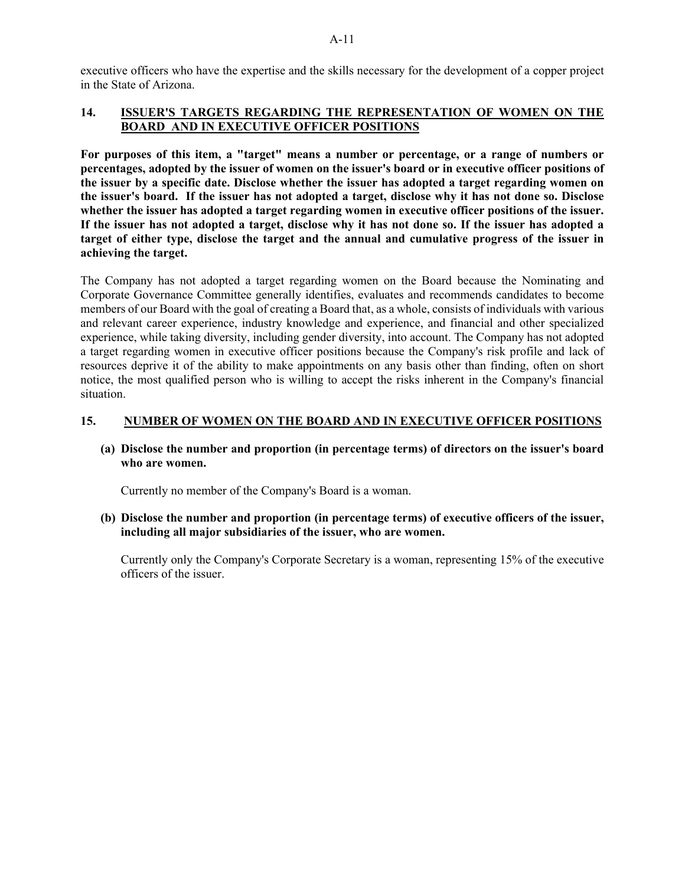executive officers who have the expertise and the skills necessary for the development of a copper project in the State of Arizona.

## **14. ISSUER'S TARGETS REGARDING THE REPRESENTATION OF WOMEN ON THE BOARD AND IN EXECUTIVE OFFICER POSITIONS**

**For purposes of this item, a "target" means a number or percentage, or a range of numbers or percentages, adopted by the issuer of women on the issuer's board or in executive officer positions of the issuer by a specific date. Disclose whether the issuer has adopted a target regarding women on the issuer's board. If the issuer has not adopted a target, disclose why it has not done so. Disclose whether the issuer has adopted a target regarding women in executive officer positions of the issuer. If the issuer has not adopted a target, disclose why it has not done so. If the issuer has adopted a target of either type, disclose the target and the annual and cumulative progress of the issuer in achieving the target.** 

The Company has not adopted a target regarding women on the Board because the Nominating and Corporate Governance Committee generally identifies, evaluates and recommends candidates to become members of our Board with the goal of creating a Board that, as a whole, consists of individuals with various and relevant career experience, industry knowledge and experience, and financial and other specialized experience, while taking diversity, including gender diversity, into account. The Company has not adopted a target regarding women in executive officer positions because the Company's risk profile and lack of resources deprive it of the ability to make appointments on any basis other than finding, often on short notice, the most qualified person who is willing to accept the risks inherent in the Company's financial situation.

### **15. NUMBER OF WOMEN ON THE BOARD AND IN EXECUTIVE OFFICER POSITIONS**

**(a) Disclose the number and proportion (in percentage terms) of directors on the issuer's board who are women.** 

Currently no member of the Company's Board is a woman.

### **(b) Disclose the number and proportion (in percentage terms) of executive officers of the issuer, including all major subsidiaries of the issuer, who are women.**

Currently only the Company's Corporate Secretary is a woman, representing 15% of the executive officers of the issuer.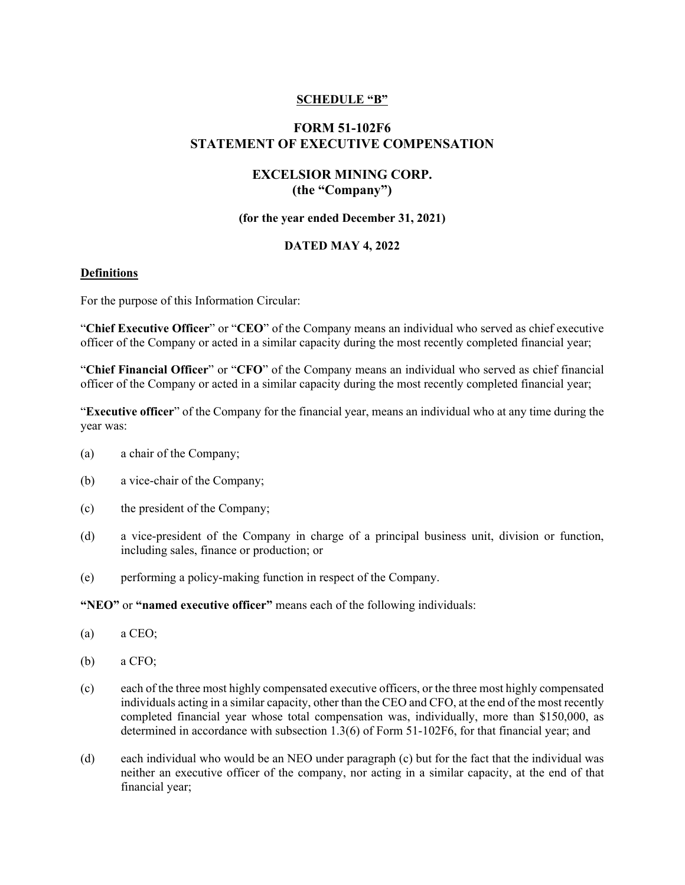## **SCHEDULE "B"**

# **FORM 51-102F6 STATEMENT OF EXECUTIVE COMPENSATION**

## **EXCELSIOR MINING CORP. (the "Company")**

#### **(for the year ended December 31, 2021)**

### **DATED MAY 4, 2022**

#### **Definitions**

For the purpose of this Information Circular:

"**Chief Executive Officer**" or "**CEO**" of the Company means an individual who served as chief executive officer of the Company or acted in a similar capacity during the most recently completed financial year;

"**Chief Financial Officer**" or "**CFO**" of the Company means an individual who served as chief financial officer of the Company or acted in a similar capacity during the most recently completed financial year;

"**Executive officer**" of the Company for the financial year, means an individual who at any time during the year was:

- (a) a chair of the Company;
- (b) a vice-chair of the Company;
- (c) the president of the Company;
- (d) a vice-president of the Company in charge of a principal business unit, division or function, including sales, finance or production; or
- (e) performing a policy-making function in respect of the Company.

#### **"NEO"** or **"named executive officer"** means each of the following individuals:

- (a) a CEO;
- (b) a CFO;
- (c) each of the three most highly compensated executive officers, or the three most highly compensated individuals acting in a similar capacity, other than the CEO and CFO, at the end of the most recently completed financial year whose total compensation was, individually, more than \$150,000, as determined in accordance with subsection 1.3(6) of Form 51-102F6, for that financial year; and
- (d) each individual who would be an NEO under paragraph (c) but for the fact that the individual was neither an executive officer of the company, nor acting in a similar capacity, at the end of that financial year;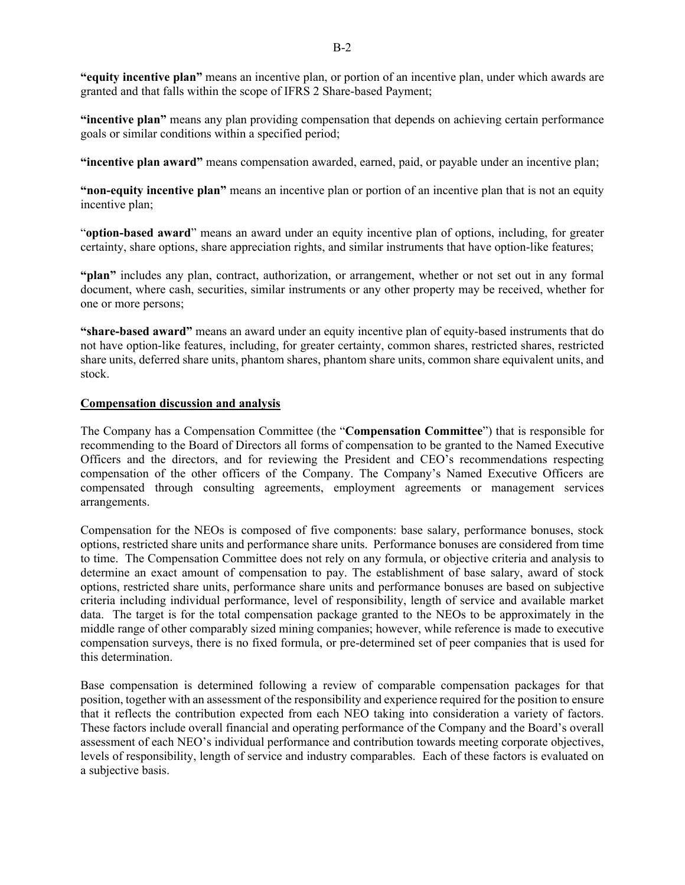**"equity incentive plan"** means an incentive plan, or portion of an incentive plan, under which awards are granted and that falls within the scope of IFRS 2 Share-based Payment;

**"incentive plan"** means any plan providing compensation that depends on achieving certain performance goals or similar conditions within a specified period;

**"incentive plan award"** means compensation awarded, earned, paid, or payable under an incentive plan;

**"non-equity incentive plan"** means an incentive plan or portion of an incentive plan that is not an equity incentive plan;

"**option-based award**" means an award under an equity incentive plan of options, including, for greater certainty, share options, share appreciation rights, and similar instruments that have option-like features;

**"plan"** includes any plan, contract, authorization, or arrangement, whether or not set out in any formal document, where cash, securities, similar instruments or any other property may be received, whether for one or more persons;

**"share-based award"** means an award under an equity incentive plan of equity-based instruments that do not have option-like features, including, for greater certainty, common shares, restricted shares, restricted share units, deferred share units, phantom shares, phantom share units, common share equivalent units, and stock.

#### **Compensation discussion and analysis**

The Company has a Compensation Committee (the "**Compensation Committee**") that is responsible for recommending to the Board of Directors all forms of compensation to be granted to the Named Executive Officers and the directors, and for reviewing the President and CEO's recommendations respecting compensation of the other officers of the Company. The Company's Named Executive Officers are compensated through consulting agreements, employment agreements or management services arrangements.

Compensation for the NEOs is composed of five components: base salary, performance bonuses, stock options, restricted share units and performance share units. Performance bonuses are considered from time to time. The Compensation Committee does not rely on any formula, or objective criteria and analysis to determine an exact amount of compensation to pay. The establishment of base salary, award of stock options, restricted share units, performance share units and performance bonuses are based on subjective criteria including individual performance, level of responsibility, length of service and available market data. The target is for the total compensation package granted to the NEOs to be approximately in the middle range of other comparably sized mining companies; however, while reference is made to executive compensation surveys, there is no fixed formula, or pre-determined set of peer companies that is used for this determination.

Base compensation is determined following a review of comparable compensation packages for that position, together with an assessment of the responsibility and experience required for the position to ensure that it reflects the contribution expected from each NEO taking into consideration a variety of factors. These factors include overall financial and operating performance of the Company and the Board's overall assessment of each NEO's individual performance and contribution towards meeting corporate objectives, levels of responsibility, length of service and industry comparables. Each of these factors is evaluated on a subjective basis.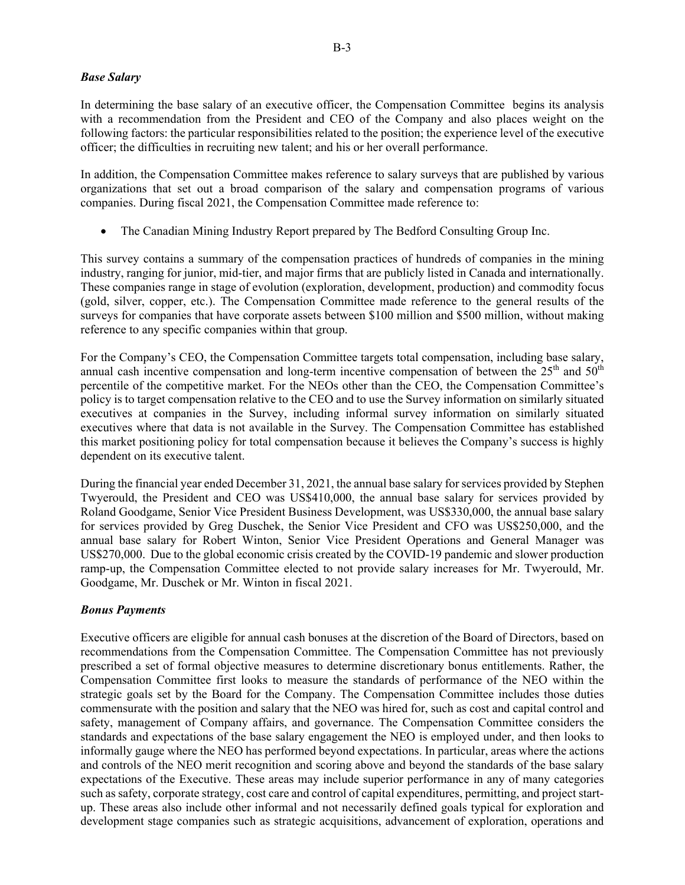#### *Base Salary*

In determining the base salary of an executive officer, the Compensation Committee begins its analysis with a recommendation from the President and CEO of the Company and also places weight on the following factors: the particular responsibilities related to the position; the experience level of the executive officer; the difficulties in recruiting new talent; and his or her overall performance.

In addition, the Compensation Committee makes reference to salary surveys that are published by various organizations that set out a broad comparison of the salary and compensation programs of various companies. During fiscal 2021, the Compensation Committee made reference to:

The Canadian Mining Industry Report prepared by The Bedford Consulting Group Inc.

This survey contains a summary of the compensation practices of hundreds of companies in the mining industry, ranging for junior, mid-tier, and major firms that are publicly listed in Canada and internationally. These companies range in stage of evolution (exploration, development, production) and commodity focus (gold, silver, copper, etc.). The Compensation Committee made reference to the general results of the surveys for companies that have corporate assets between \$100 million and \$500 million, without making reference to any specific companies within that group.

For the Company's CEO, the Compensation Committee targets total compensation, including base salary, annual cash incentive compensation and long-term incentive compensation of between the  $25<sup>th</sup>$  and  $50<sup>th</sup>$ percentile of the competitive market. For the NEOs other than the CEO, the Compensation Committee's policy is to target compensation relative to the CEO and to use the Survey information on similarly situated executives at companies in the Survey, including informal survey information on similarly situated executives where that data is not available in the Survey. The Compensation Committee has established this market positioning policy for total compensation because it believes the Company's success is highly dependent on its executive talent.

During the financial year ended December 31, 2021, the annual base salary for services provided by Stephen Twyerould, the President and CEO was US\$410,000, the annual base salary for services provided by Roland Goodgame, Senior Vice President Business Development, was US\$330,000, the annual base salary for services provided by Greg Duschek, the Senior Vice President and CFO was US\$250,000, and the annual base salary for Robert Winton, Senior Vice President Operations and General Manager was US\$270,000. Due to the global economic crisis created by the COVID-19 pandemic and slower production ramp-up, the Compensation Committee elected to not provide salary increases for Mr. Twyerould, Mr. Goodgame, Mr. Duschek or Mr. Winton in fiscal 2021.

### *Bonus Payments*

Executive officers are eligible for annual cash bonuses at the discretion of the Board of Directors, based on recommendations from the Compensation Committee. The Compensation Committee has not previously prescribed a set of formal objective measures to determine discretionary bonus entitlements. Rather, the Compensation Committee first looks to measure the standards of performance of the NEO within the strategic goals set by the Board for the Company. The Compensation Committee includes those duties commensurate with the position and salary that the NEO was hired for, such as cost and capital control and safety, management of Company affairs, and governance. The Compensation Committee considers the standards and expectations of the base salary engagement the NEO is employed under, and then looks to informally gauge where the NEO has performed beyond expectations. In particular, areas where the actions and controls of the NEO merit recognition and scoring above and beyond the standards of the base salary expectations of the Executive. These areas may include superior performance in any of many categories such as safety, corporate strategy, cost care and control of capital expenditures, permitting, and project startup. These areas also include other informal and not necessarily defined goals typical for exploration and development stage companies such as strategic acquisitions, advancement of exploration, operations and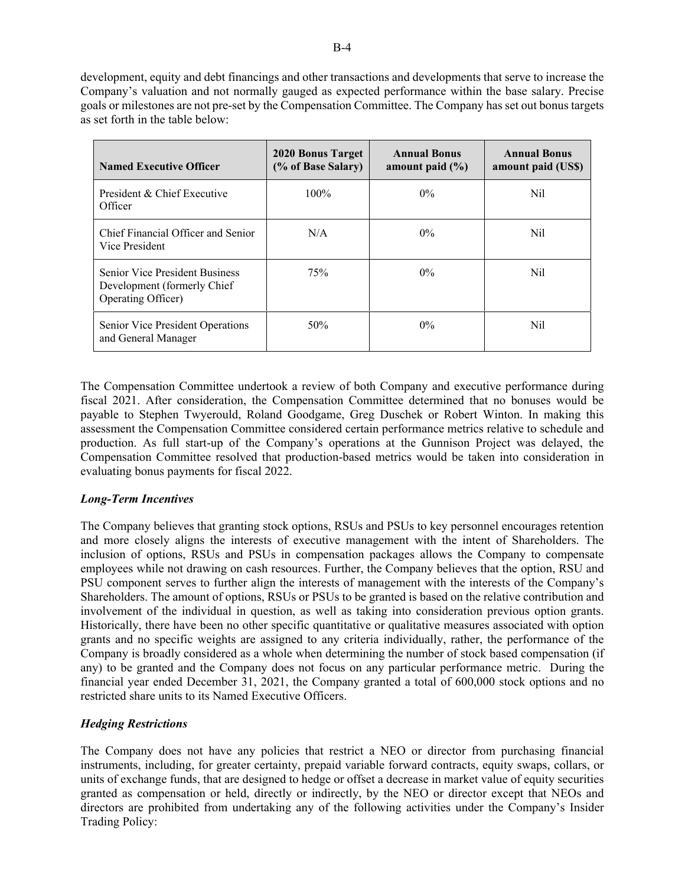development, equity and debt financings and other transactions and developments that serve to increase the Company's valuation and not normally gauged as expected performance within the base salary. Precise goals or milestones are not pre-set by the Compensation Committee. The Company has set out bonus targets as set forth in the table below:

| <b>Named Executive Officer</b>                                                              | 2020 Bonus Target<br>(% of Base Salary) | <b>Annual Bonus</b><br>amount paid $(\% )$ | <b>Annual Bonus</b><br>amount paid (US\$) |
|---------------------------------------------------------------------------------------------|-----------------------------------------|--------------------------------------------|-------------------------------------------|
| President & Chief Executive<br>Officer                                                      | $100\%$                                 | $0\%$                                      | Nil                                       |
| Chief Financial Officer and Senior<br>Vice President                                        | N/A                                     | $0\%$                                      | Nil                                       |
| <b>Senior Vice President Business</b><br>Development (formerly Chief)<br>Operating Officer) | 75%                                     | $0\%$                                      | Nil                                       |
| Senior Vice President Operations<br>and General Manager                                     | 50%                                     | $0\%$                                      | Nil                                       |

The Compensation Committee undertook a review of both Company and executive performance during fiscal 2021. After consideration, the Compensation Committee determined that no bonuses would be payable to Stephen Twyerould, Roland Goodgame, Greg Duschek or Robert Winton. In making this assessment the Compensation Committee considered certain performance metrics relative to schedule and production. As full start-up of the Company's operations at the Gunnison Project was delayed, the Compensation Committee resolved that production-based metrics would be taken into consideration in evaluating bonus payments for fiscal 2022.

# *Long-Term Incentives*

The Company believes that granting stock options, RSUs and PSUs to key personnel encourages retention and more closely aligns the interests of executive management with the intent of Shareholders. The inclusion of options, RSUs and PSUs in compensation packages allows the Company to compensate employees while not drawing on cash resources. Further, the Company believes that the option, RSU and PSU component serves to further align the interests of management with the interests of the Company's Shareholders. The amount of options, RSUs or PSUs to be granted is based on the relative contribution and involvement of the individual in question, as well as taking into consideration previous option grants. Historically, there have been no other specific quantitative or qualitative measures associated with option grants and no specific weights are assigned to any criteria individually, rather, the performance of the Company is broadly considered as a whole when determining the number of stock based compensation (if any) to be granted and the Company does not focus on any particular performance metric. During the financial year ended December 31, 2021, the Company granted a total of 600,000 stock options and no restricted share units to its Named Executive Officers.

### *Hedging Restrictions*

The Company does not have any policies that restrict a NEO or director from purchasing financial instruments, including, for greater certainty, prepaid variable forward contracts, equity swaps, collars, or units of exchange funds, that are designed to hedge or offset a decrease in market value of equity securities granted as compensation or held, directly or indirectly, by the NEO or director except that NEOs and directors are prohibited from undertaking any of the following activities under the Company's Insider Trading Policy: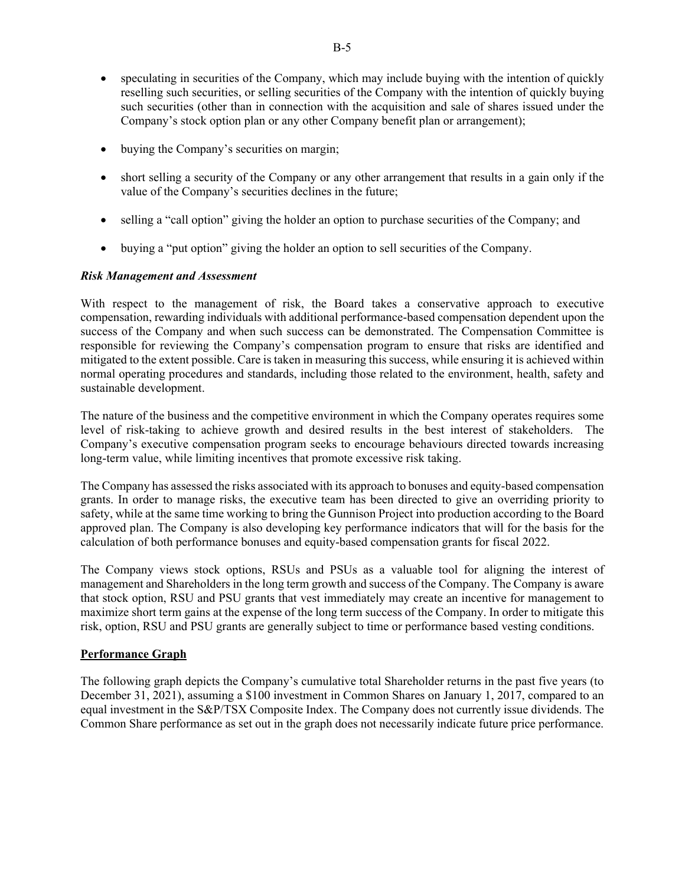- speculating in securities of the Company, which may include buying with the intention of quickly reselling such securities, or selling securities of the Company with the intention of quickly buying such securities (other than in connection with the acquisition and sale of shares issued under the Company's stock option plan or any other Company benefit plan or arrangement);
- buying the Company's securities on margin;
- short selling a security of the Company or any other arrangement that results in a gain only if the value of the Company's securities declines in the future;
- selling a "call option" giving the holder an option to purchase securities of the Company; and
- buying a "put option" giving the holder an option to sell securities of the Company.

### *Risk Management and Assessment*

With respect to the management of risk, the Board takes a conservative approach to executive compensation, rewarding individuals with additional performance-based compensation dependent upon the success of the Company and when such success can be demonstrated. The Compensation Committee is responsible for reviewing the Company's compensation program to ensure that risks are identified and mitigated to the extent possible. Care is taken in measuring this success, while ensuring it is achieved within normal operating procedures and standards, including those related to the environment, health, safety and sustainable development.

The nature of the business and the competitive environment in which the Company operates requires some level of risk-taking to achieve growth and desired results in the best interest of stakeholders. The Company's executive compensation program seeks to encourage behaviours directed towards increasing long-term value, while limiting incentives that promote excessive risk taking.

The Company has assessed the risks associated with its approach to bonuses and equity-based compensation grants. In order to manage risks, the executive team has been directed to give an overriding priority to safety, while at the same time working to bring the Gunnison Project into production according to the Board approved plan. The Company is also developing key performance indicators that will for the basis for the calculation of both performance bonuses and equity-based compensation grants for fiscal 2022.

The Company views stock options, RSUs and PSUs as a valuable tool for aligning the interest of management and Shareholders in the long term growth and success of the Company. The Company is aware that stock option, RSU and PSU grants that vest immediately may create an incentive for management to maximize short term gains at the expense of the long term success of the Company. In order to mitigate this risk, option, RSU and PSU grants are generally subject to time or performance based vesting conditions.

### **Performance Graph**

The following graph depicts the Company's cumulative total Shareholder returns in the past five years (to December 31, 2021), assuming a \$100 investment in Common Shares on January 1, 2017, compared to an equal investment in the S&P/TSX Composite Index. The Company does not currently issue dividends. The Common Share performance as set out in the graph does not necessarily indicate future price performance.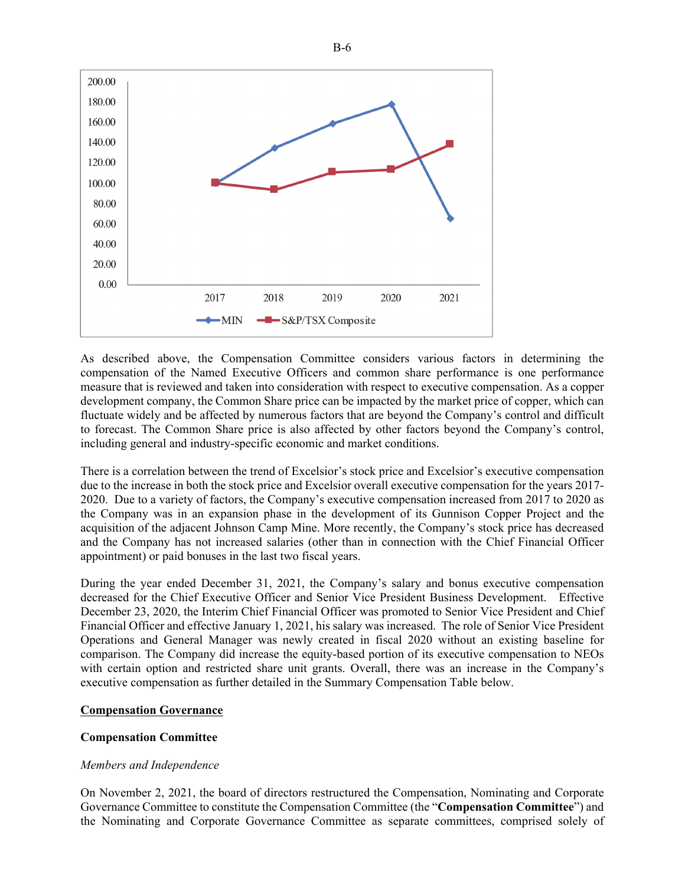

As described above, the Compensation Committee considers various factors in determining the compensation of the Named Executive Officers and common share performance is one performance measure that is reviewed and taken into consideration with respect to executive compensation. As a copper development company, the Common Share price can be impacted by the market price of copper, which can fluctuate widely and be affected by numerous factors that are beyond the Company's control and difficult to forecast. The Common Share price is also affected by other factors beyond the Company's control, including general and industry-specific economic and market conditions.

There is a correlation between the trend of Excelsior's stock price and Excelsior's executive compensation due to the increase in both the stock price and Excelsior overall executive compensation for the years 2017- 2020. Due to a variety of factors, the Company's executive compensation increased from 2017 to 2020 as the Company was in an expansion phase in the development of its Gunnison Copper Project and the acquisition of the adjacent Johnson Camp Mine. More recently, the Company's stock price has decreased and the Company has not increased salaries (other than in connection with the Chief Financial Officer appointment) or paid bonuses in the last two fiscal years.

During the year ended December 31, 2021, the Company's salary and bonus executive compensation decreased for the Chief Executive Officer and Senior Vice President Business Development. Effective December 23, 2020, the Interim Chief Financial Officer was promoted to Senior Vice President and Chief Financial Officer and effective January 1, 2021, his salary was increased. The role of Senior Vice President Operations and General Manager was newly created in fiscal 2020 without an existing baseline for comparison. The Company did increase the equity-based portion of its executive compensation to NEOs with certain option and restricted share unit grants. Overall, there was an increase in the Company's executive compensation as further detailed in the Summary Compensation Table below.

#### **Compensation Governance**

### **Compensation Committee**

### *Members and Independence*

On November 2, 2021, the board of directors restructured the Compensation, Nominating and Corporate Governance Committee to constitute the Compensation Committee (the "**Compensation Committee**") and the Nominating and Corporate Governance Committee as separate committees, comprised solely of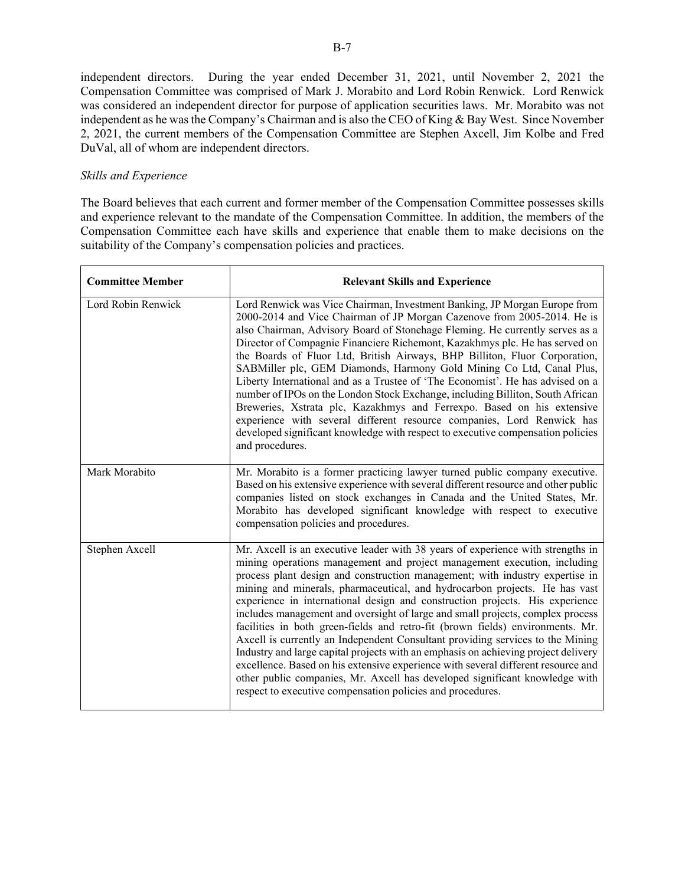independent directors. During the year ended December 31, 2021, until November 2, 2021 the Compensation Committee was comprised of Mark J. Morabito and Lord Robin Renwick. Lord Renwick was considered an independent director for purpose of application securities laws. Mr. Morabito was not independent as he was the Company's Chairman and is also the CEO of King & Bay West. Since November 2, 2021, the current members of the Compensation Committee are Stephen Axcell, Jim Kolbe and Fred DuVal, all of whom are independent directors.

#### *Skills and Experience*

The Board believes that each current and former member of the Compensation Committee possesses skills and experience relevant to the mandate of the Compensation Committee. In addition, the members of the Compensation Committee each have skills and experience that enable them to make decisions on the suitability of the Company's compensation policies and practices.

| <b>Committee Member</b> | <b>Relevant Skills and Experience</b>                                                                                                                                                                                                                                                                                                                                                                                                                                                                                                                                                                                                                                                                                                                                                                                                                                                                                                                                                   |
|-------------------------|-----------------------------------------------------------------------------------------------------------------------------------------------------------------------------------------------------------------------------------------------------------------------------------------------------------------------------------------------------------------------------------------------------------------------------------------------------------------------------------------------------------------------------------------------------------------------------------------------------------------------------------------------------------------------------------------------------------------------------------------------------------------------------------------------------------------------------------------------------------------------------------------------------------------------------------------------------------------------------------------|
| Lord Robin Renwick      | Lord Renwick was Vice Chairman, Investment Banking, JP Morgan Europe from<br>2000-2014 and Vice Chairman of JP Morgan Cazenove from 2005-2014. He is<br>also Chairman, Advisory Board of Stonehage Fleming. He currently serves as a<br>Director of Compagnie Financiere Richemont, Kazakhmys plc. He has served on<br>the Boards of Fluor Ltd, British Airways, BHP Billiton, Fluor Corporation,<br>SABMiller plc, GEM Diamonds, Harmony Gold Mining Co Ltd, Canal Plus,<br>Liberty International and as a Trustee of 'The Economist'. He has advised on a<br>number of IPOs on the London Stock Exchange, including Billiton, South African<br>Breweries, Xstrata plc, Kazakhmys and Ferrexpo. Based on his extensive<br>experience with several different resource companies, Lord Renwick has<br>developed significant knowledge with respect to executive compensation policies<br>and procedures.                                                                                 |
| Mark Morabito           | Mr. Morabito is a former practicing lawyer turned public company executive.<br>Based on his extensive experience with several different resource and other public<br>companies listed on stock exchanges in Canada and the United States, Mr.<br>Morabito has developed significant knowledge with respect to executive<br>compensation policies and procedures.                                                                                                                                                                                                                                                                                                                                                                                                                                                                                                                                                                                                                        |
| Stephen Axcell          | Mr. Axcell is an executive leader with 38 years of experience with strengths in<br>mining operations management and project management execution, including<br>process plant design and construction management; with industry expertise in<br>mining and minerals, pharmaceutical, and hydrocarbon projects. He has vast<br>experience in international design and construction projects. His experience<br>includes management and oversight of large and small projects, complex process<br>facilities in both green-fields and retro-fit (brown fields) environments. Mr.<br>Axcell is currently an Independent Consultant providing services to the Mining<br>Industry and large capital projects with an emphasis on achieving project delivery<br>excellence. Based on his extensive experience with several different resource and<br>other public companies, Mr. Axcell has developed significant knowledge with<br>respect to executive compensation policies and procedures. |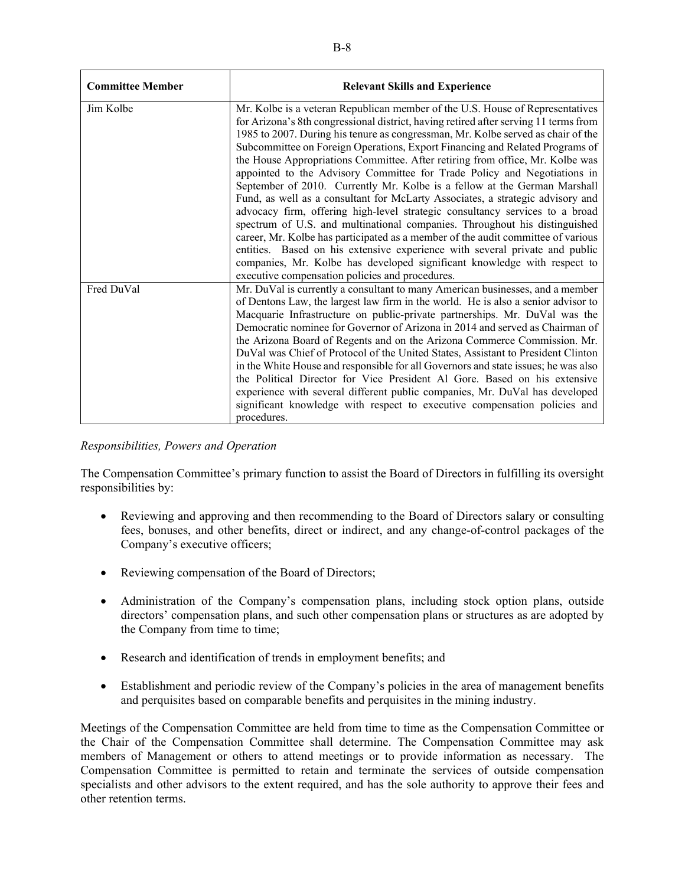| <b>Committee Member</b> | <b>Relevant Skills and Experience</b>                                                                                                                                                                                                                                                                                                                                                                                                                                                                                                                                                                                                                                                                                                                                                                                                                                                                                                                                                                                                                                                                                                 |
|-------------------------|---------------------------------------------------------------------------------------------------------------------------------------------------------------------------------------------------------------------------------------------------------------------------------------------------------------------------------------------------------------------------------------------------------------------------------------------------------------------------------------------------------------------------------------------------------------------------------------------------------------------------------------------------------------------------------------------------------------------------------------------------------------------------------------------------------------------------------------------------------------------------------------------------------------------------------------------------------------------------------------------------------------------------------------------------------------------------------------------------------------------------------------|
| Jim Kolbe               | Mr. Kolbe is a veteran Republican member of the U.S. House of Representatives<br>for Arizona's 8th congressional district, having retired after serving 11 terms from<br>1985 to 2007. During his tenure as congressman, Mr. Kolbe served as chair of the<br>Subcommittee on Foreign Operations, Export Financing and Related Programs of<br>the House Appropriations Committee. After retiring from office, Mr. Kolbe was<br>appointed to the Advisory Committee for Trade Policy and Negotiations in<br>September of 2010. Currently Mr. Kolbe is a fellow at the German Marshall<br>Fund, as well as a consultant for McLarty Associates, a strategic advisory and<br>advocacy firm, offering high-level strategic consultancy services to a broad<br>spectrum of U.S. and multinational companies. Throughout his distinguished<br>career, Mr. Kolbe has participated as a member of the audit committee of various<br>entities. Based on his extensive experience with several private and public<br>companies, Mr. Kolbe has developed significant knowledge with respect to<br>executive compensation policies and procedures. |
| Fred DuVal              | Mr. DuVal is currently a consultant to many American businesses, and a member<br>of Dentons Law, the largest law firm in the world. He is also a senior advisor to<br>Macquarie Infrastructure on public-private partnerships. Mr. DuVal was the<br>Democratic nominee for Governor of Arizona in 2014 and served as Chairman of<br>the Arizona Board of Regents and on the Arizona Commerce Commission. Mr.<br>DuVal was Chief of Protocol of the United States, Assistant to President Clinton<br>in the White House and responsible for all Governors and state issues; he was also<br>the Political Director for Vice President Al Gore. Based on his extensive<br>experience with several different public companies, Mr. DuVal has developed<br>significant knowledge with respect to executive compensation policies and<br>procedures.                                                                                                                                                                                                                                                                                        |

*Responsibilities, Powers and Operation*

The Compensation Committee's primary function to assist the Board of Directors in fulfilling its oversight responsibilities by:

- Reviewing and approving and then recommending to the Board of Directors salary or consulting fees, bonuses, and other benefits, direct or indirect, and any change-of-control packages of the Company's executive officers;
- Reviewing compensation of the Board of Directors;
- Administration of the Company's compensation plans, including stock option plans, outside directors' compensation plans, and such other compensation plans or structures as are adopted by the Company from time to time;
- Research and identification of trends in employment benefits; and
- Establishment and periodic review of the Company's policies in the area of management benefits and perquisites based on comparable benefits and perquisites in the mining industry.

Meetings of the Compensation Committee are held from time to time as the Compensation Committee or the Chair of the Compensation Committee shall determine. The Compensation Committee may ask members of Management or others to attend meetings or to provide information as necessary. The Compensation Committee is permitted to retain and terminate the services of outside compensation specialists and other advisors to the extent required, and has the sole authority to approve their fees and other retention terms.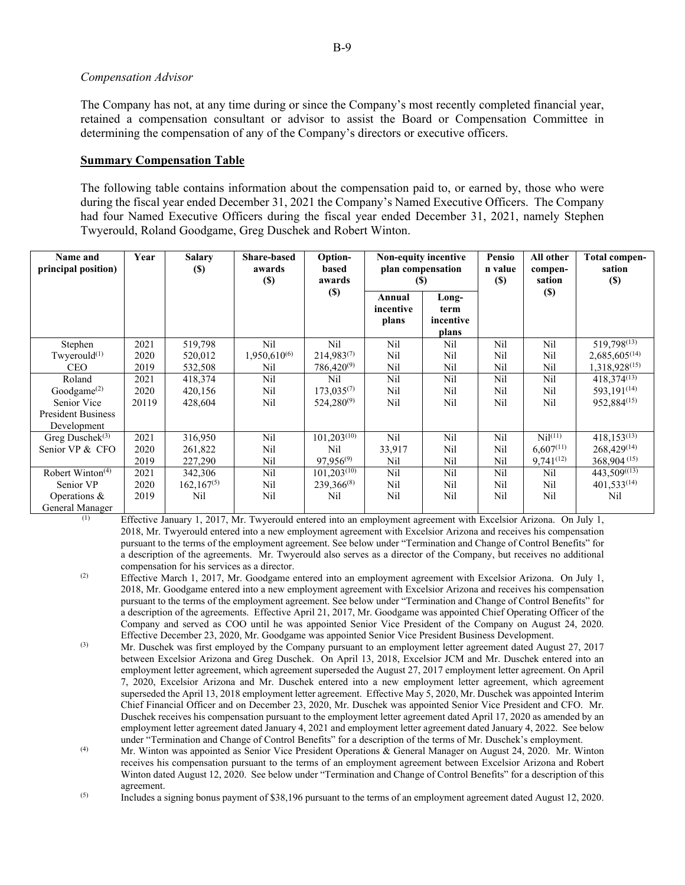#### *Compensation Advisor*

The Company has not, at any time during or since the Company's most recently completed financial year, retained a compensation consultant or advisor to assist the Board or Compensation Committee in determining the compensation of any of the Company's directors or executive officers.

#### **Summary Compensation Table**

The following table contains information about the compensation paid to, or earned by, those who were during the fiscal year ended December 31, 2021 the Company's Named Executive Officers. The Company had four Named Executive Officers during the fiscal year ended December 31, 2021, namely Stephen Twyerould, Roland Goodgame, Greg Duschek and Robert Winton.

| Name and<br>principal position) | Year  | <b>Salary</b><br>$(\$)$ | <b>Share-based</b><br>awards<br>(S) | <b>Option-</b><br>based<br>awards | <b>Non-equity incentive</b><br>plan compensation<br>$(\$)$ |                                     | Pensio<br>n value<br>$(\$)$ | All other<br>compen-<br>sation | Total compen-<br>sation<br>$(\$)$ |
|---------------------------------|-------|-------------------------|-------------------------------------|-----------------------------------|------------------------------------------------------------|-------------------------------------|-----------------------------|--------------------------------|-----------------------------------|
|                                 |       |                         |                                     | $(\$)$                            | Annual<br>incentive<br>plans                               | Long-<br>term<br>incentive<br>plans |                             | $(\$)$                         |                                   |
| Stephen                         | 2021  | 519,798                 | Nil                                 | Nil                               | Nil                                                        | Nil                                 | Nil                         | Nil                            | 519,798 <sup>(13)</sup>           |
| Twyerould $(1)$                 | 2020  | 520,012                 | $1,950,610^{(6)}$                   | $214,983^{(7)}$                   | Nil                                                        | Nil                                 | Nil                         | Nil                            | $2,685,605^{(14)}$                |
| <b>CEO</b>                      | 2019  | 532,508                 | Nil                                 | $786,420^{(9)}$                   | Nil                                                        | Nil                                 | Nil                         | Nil                            | 1,318,928(15)                     |
| Roland                          | 2021  | 418,374                 | Nil                                 | Nil                               | Nil                                                        | Nil                                 | Nil                         | Nil                            | $418.374^{(13)}$                  |
| Goodgame $(2)$                  | 2020  | 420,156                 | Nil                                 | $173,035^{(7)}$                   | Nil                                                        | Nil                                 | Nil                         | Nil                            | 593,191 <sup>(14)</sup>           |
| Senior Vice                     | 20119 | 428,604                 | Nil                                 | $524,280^{(9)}$                   | Nil                                                        | Nil                                 | Nil                         | Nil                            | 952,884(15)                       |
| <b>President Business</b>       |       |                         |                                     |                                   |                                                            |                                     |                             |                                |                                   |
| Development                     |       |                         |                                     |                                   |                                                            |                                     |                             |                                |                                   |
| Greg Dusche $k^{(3)}$           | 2021  | 316,950                 | Nil                                 | $101,203^{(10)}$                  | Nil                                                        | Nil                                 | Nil                         | Ni <sup>(11)</sup>             | $418,153^{(13)}$                  |
| Senior VP & CFO                 | 2020  | 261,822                 | Nil                                 | Nil                               | 33,917                                                     | Nil                                 | Nil                         | $6.607^{(11)}$                 | $268,429^{(14)}$                  |
|                                 | 2019  | 227,290                 | Nil                                 | $97.956^{(9)}$                    | Nil                                                        | Nil                                 | Nil                         | $9,741^{(12)}$                 | $368,904^{(15)}$                  |
| Robert Winton <sup>(4)</sup>    | 2021  | 342,306                 | Nil                                 | $101,203^{(10)}$                  | Nil                                                        | Nil                                 | Nil                         | Nil                            | 443,509((13)                      |
| Senior VP                       | 2020  | $162.167^{(5)}$         | Nil                                 | $239,366^{(8)}$                   | Nil                                                        | Nil                                 | Nil                         | Nil                            | $401,533^{(14)}$                  |
| Operations $\&$                 | 2019  | Nil                     | Nil                                 | Nil                               | Nil                                                        | Nil                                 | Nil                         | Nil                            | Nil                               |
| General Manager                 |       |                         |                                     |                                   |                                                            |                                     |                             |                                |                                   |

 (1) Effective January 1, 2017, Mr. Twyerould entered into an employment agreement with Excelsior Arizona. On July 1, 2018, Mr. Twyerould entered into a new employment agreement with Excelsior Arizona and receives his compensation pursuant to the terms of the employment agreement. See below under "Termination and Change of Control Benefits" for a description of the agreements. Mr. Twyerould also serves as a director of the Company, but receives no additional compensation for his services as a director.

- (2) Effective March 1, 2017, Mr. Goodgame entered into an employment agreement with Excelsior Arizona. On July 1, 2018, Mr. Goodgame entered into a new employment agreement with Excelsior Arizona and receives his compensation pursuant to the terms of the employment agreement. See below under "Termination and Change of Control Benefits" for a description of the agreements. Effective April 21, 2017, Mr. Goodgame was appointed Chief Operating Officer of the Company and served as COO until he was appointed Senior Vice President of the Company on August 24, 2020. Effective December 23, 2020, Mr. Goodgame was appointed Senior Vice President Business Development.
- (3) Mr. Duschek was first employed by the Company pursuant to an employment letter agreement dated August 27, 2017 between Excelsior Arizona and Greg Duschek. On April 13, 2018, Excelsior JCM and Mr. Duschek entered into an employment letter agreement, which agreement superseded the August 27, 2017 employment letter agreement. On April 7, 2020, Excelsior Arizona and Mr. Duschek entered into a new employment letter agreement, which agreement superseded the April 13, 2018 employment letter agreement. Effective May 5, 2020, Mr. Duschek was appointed Interim Chief Financial Officer and on December 23, 2020, Mr. Duschek was appointed Senior Vice President and CFO. Mr. Duschek receives his compensation pursuant to the employment letter agreement dated April 17, 2020 as amended by an employment letter agreement dated January 4, 2021 and employment letter agreement dated January 4, 2022. See below under "Termination and Change of Control Benefits" for a description of the terms of Mr. Duschek's employment.
- (4) Mr. Winton was appointed as Senior Vice President Operations & General Manager on August 24, 2020. Mr. Winton receives his compensation pursuant to the terms of an employment agreement between Excelsior Arizona and Robert Winton dated August 12, 2020. See below under "Termination and Change of Control Benefits" for a description of this agreement.

(5) Includes a signing bonus payment of \$38,196 pursuant to the terms of an employment agreement dated August 12, 2020.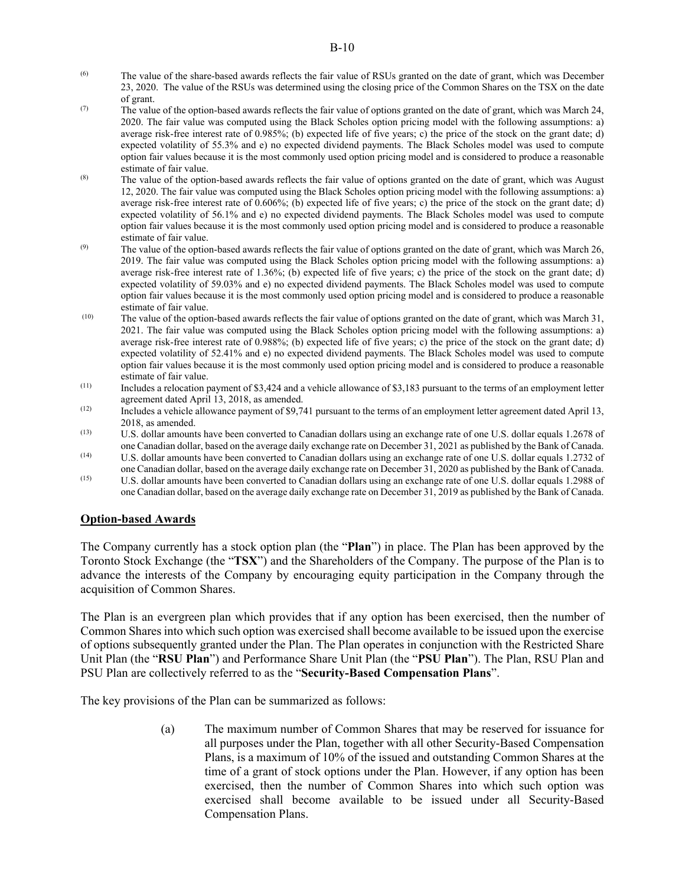- (6) The value of the share-based awards reflects the fair value of RSUs granted on the date of grant, which was December 23, 2020. The value of the RSUs was determined using the closing price of the Common Shares on the TSX on the date of grant.
- (7) The value of the option-based awards reflects the fair value of options granted on the date of grant, which was March 24, 2020. The fair value was computed using the Black Scholes option pricing model with the following assumptions: a) average risk-free interest rate of 0.985%; (b) expected life of five years; c) the price of the stock on the grant date; d) expected volatility of 55.3% and e) no expected dividend payments. The Black Scholes model was used to compute option fair values because it is the most commonly used option pricing model and is considered to produce a reasonable estimate of fair value.
- (8) The value of the option-based awards reflects the fair value of options granted on the date of grant, which was August 12, 2020. The fair value was computed using the Black Scholes option pricing model with the following assumptions: a) average risk-free interest rate of 0.606%; (b) expected life of five years; c) the price of the stock on the grant date; d) expected volatility of 56.1% and e) no expected dividend payments. The Black Scholes model was used to compute option fair values because it is the most commonly used option pricing model and is considered to produce a reasonable estimate of fair value.
- $(9)$  The value of the option-based awards reflects the fair value of options granted on the date of grant, which was March 26, 2019. The fair value was computed using the Black Scholes option pricing model with the following assumptions: a) average risk-free interest rate of 1.36%; (b) expected life of five years; c) the price of the stock on the grant date; d) expected volatility of 59.03% and e) no expected dividend payments. The Black Scholes model was used to compute option fair values because it is the most commonly used option pricing model and is considered to produce a reasonable estimate of fair value.
- $(10)$  The value of the option-based awards reflects the fair value of options granted on the date of grant, which was March 31, 2021. The fair value was computed using the Black Scholes option pricing model with the following assumptions: a) average risk-free interest rate of 0.988%; (b) expected life of five years; c) the price of the stock on the grant date; d) expected volatility of 52.41% and e) no expected dividend payments. The Black Scholes model was used to compute option fair values because it is the most commonly used option pricing model and is considered to produce a reasonable estimate of fair value.
- $(11)$  Includes a relocation payment of \$3,424 and a vehicle allowance of \$3,183 pursuant to the terms of an employment letter agreement dated April 13, 2018, as amended.
- (12) Includes a vehicle allowance payment of \$9,741 pursuant to the terms of an employment letter agreement dated April 13, 2018, as amended.
- (13) U.S. dollar amounts have been converted to Canadian dollars using an exchange rate of one U.S. dollar equals 1.2678 of one Canadian dollar, based on the average daily exchange rate on December 31, 2021 as published by the Bank of Canada.
- $(14)$  U.S. dollar amounts have been converted to Canadian dollars using an exchange rate of one U.S. dollar equals 1.2732 of one Canadian dollar, based on the average daily exchange rate on December 31, 2020 as published by the Bank of Canada.
- (15) U.S. dollar amounts have been converted to Canadian dollars using an exchange rate of one U.S. dollar equals 1.2988 of one Canadian dollar, based on the average daily exchange rate on December 31, 2019 as published by the Bank of Canada.

### **Option-based Awards**

The Company currently has a stock option plan (the "**Plan**") in place. The Plan has been approved by the Toronto Stock Exchange (the "**TSX**") and the Shareholders of the Company. The purpose of the Plan is to advance the interests of the Company by encouraging equity participation in the Company through the acquisition of Common Shares.

The Plan is an evergreen plan which provides that if any option has been exercised, then the number of Common Shares into which such option was exercised shall become available to be issued upon the exercise of options subsequently granted under the Plan. The Plan operates in conjunction with the Restricted Share Unit Plan (the "**RSU Plan**") and Performance Share Unit Plan (the "**PSU Plan**"). The Plan, RSU Plan and PSU Plan are collectively referred to as the "**Security-Based Compensation Plans**".

The key provisions of the Plan can be summarized as follows:

(a) The maximum number of Common Shares that may be reserved for issuance for all purposes under the Plan, together with all other Security-Based Compensation Plans, is a maximum of 10% of the issued and outstanding Common Shares at the time of a grant of stock options under the Plan. However, if any option has been exercised, then the number of Common Shares into which such option was exercised shall become available to be issued under all Security-Based Compensation Plans.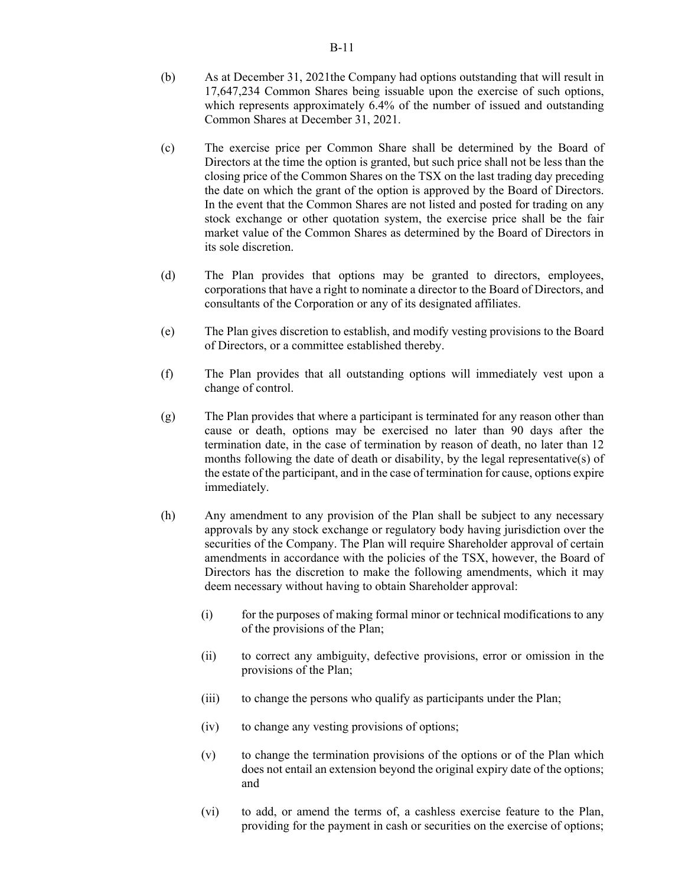- (b) As at December 31, 2021the Company had options outstanding that will result in 17,647,234 Common Shares being issuable upon the exercise of such options, which represents approximately 6.4% of the number of issued and outstanding Common Shares at December 31, 2021.
- (c) The exercise price per Common Share shall be determined by the Board of Directors at the time the option is granted, but such price shall not be less than the closing price of the Common Shares on the TSX on the last trading day preceding the date on which the grant of the option is approved by the Board of Directors. In the event that the Common Shares are not listed and posted for trading on any stock exchange or other quotation system, the exercise price shall be the fair market value of the Common Shares as determined by the Board of Directors in its sole discretion.
- (d) The Plan provides that options may be granted to directors, employees, corporations that have a right to nominate a director to the Board of Directors, and consultants of the Corporation or any of its designated affiliates.
- (e) The Plan gives discretion to establish, and modify vesting provisions to the Board of Directors, or a committee established thereby.
- (f) The Plan provides that all outstanding options will immediately vest upon a change of control.
- (g) The Plan provides that where a participant is terminated for any reason other than cause or death, options may be exercised no later than 90 days after the termination date, in the case of termination by reason of death, no later than 12 months following the date of death or disability, by the legal representative(s) of the estate of the participant, and in the case of termination for cause, options expire immediately.
- (h) Any amendment to any provision of the Plan shall be subject to any necessary approvals by any stock exchange or regulatory body having jurisdiction over the securities of the Company. The Plan will require Shareholder approval of certain amendments in accordance with the policies of the TSX, however, the Board of Directors has the discretion to make the following amendments, which it may deem necessary without having to obtain Shareholder approval:
	- (i) for the purposes of making formal minor or technical modifications to any of the provisions of the Plan;
	- (ii) to correct any ambiguity, defective provisions, error or omission in the provisions of the Plan;
	- (iii) to change the persons who qualify as participants under the Plan;
	- (iv) to change any vesting provisions of options;
	- (v) to change the termination provisions of the options or of the Plan which does not entail an extension beyond the original expiry date of the options; and
	- (vi) to add, or amend the terms of, a cashless exercise feature to the Plan, providing for the payment in cash or securities on the exercise of options;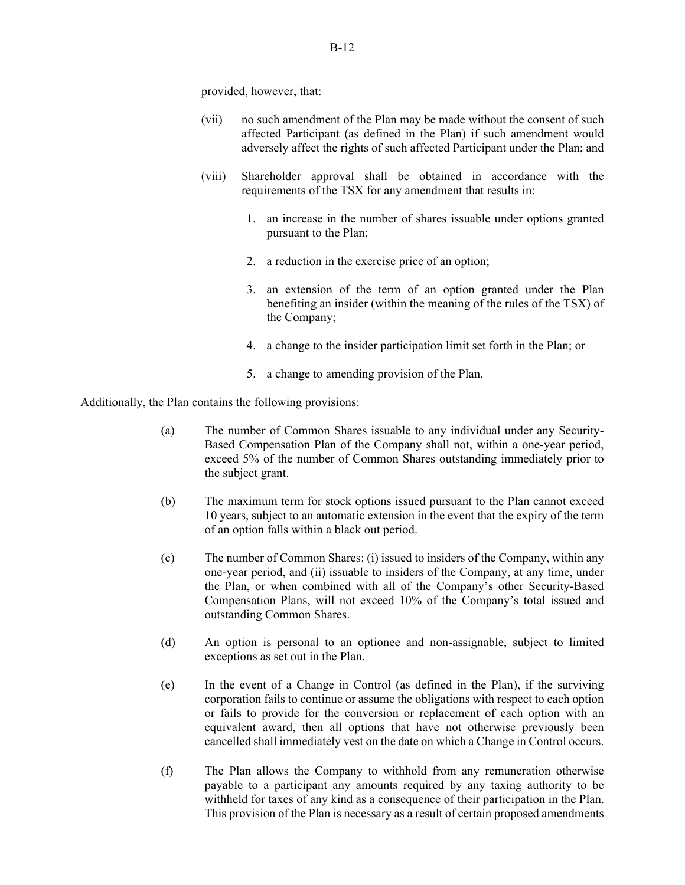provided, however, that:

- (vii) no such amendment of the Plan may be made without the consent of such affected Participant (as defined in the Plan) if such amendment would adversely affect the rights of such affected Participant under the Plan; and
- (viii) Shareholder approval shall be obtained in accordance with the requirements of the TSX for any amendment that results in:
	- 1. an increase in the number of shares issuable under options granted pursuant to the Plan;
	- 2. a reduction in the exercise price of an option;
	- 3. an extension of the term of an option granted under the Plan benefiting an insider (within the meaning of the rules of the TSX) of the Company;
	- 4. a change to the insider participation limit set forth in the Plan; or
	- 5. a change to amending provision of the Plan.

Additionally, the Plan contains the following provisions:

- (a) The number of Common Shares issuable to any individual under any Security-Based Compensation Plan of the Company shall not, within a one-year period, exceed 5% of the number of Common Shares outstanding immediately prior to the subject grant.
- (b) The maximum term for stock options issued pursuant to the Plan cannot exceed 10 years, subject to an automatic extension in the event that the expiry of the term of an option falls within a black out period.
- (c) The number of Common Shares: (i) issued to insiders of the Company, within any one-year period, and (ii) issuable to insiders of the Company, at any time, under the Plan, or when combined with all of the Company's other Security-Based Compensation Plans, will not exceed 10% of the Company's total issued and outstanding Common Shares.
- (d) An option is personal to an optionee and non-assignable, subject to limited exceptions as set out in the Plan.
- (e) In the event of a Change in Control (as defined in the Plan), if the surviving corporation fails to continue or assume the obligations with respect to each option or fails to provide for the conversion or replacement of each option with an equivalent award, then all options that have not otherwise previously been cancelled shall immediately vest on the date on which a Change in Control occurs.
- (f) The Plan allows the Company to withhold from any remuneration otherwise payable to a participant any amounts required by any taxing authority to be withheld for taxes of any kind as a consequence of their participation in the Plan. This provision of the Plan is necessary as a result of certain proposed amendments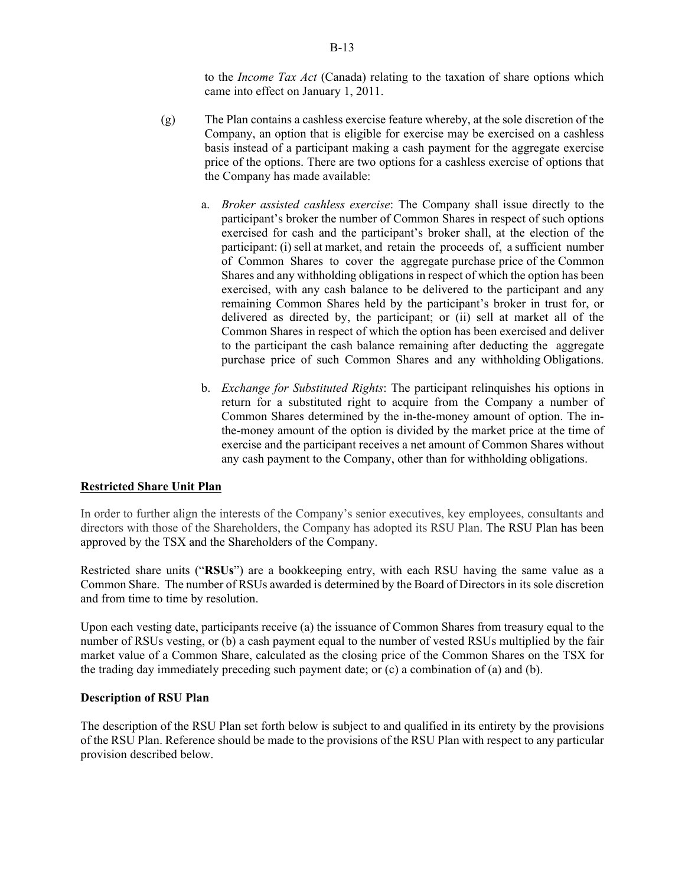to the *Income Tax Act* (Canada) relating to the taxation of share options which came into effect on January 1, 2011.

- (g) The Plan contains a cashless exercise feature whereby, at the sole discretion of the Company, an option that is eligible for exercise may be exercised on a cashless basis instead of a participant making a cash payment for the aggregate exercise price of the options. There are two options for a cashless exercise of options that the Company has made available:
	- a. *Broker assisted cashless exercise*: The Company shall issue directly to the participant's broker the number of Common Shares in respect of such options exercised for cash and the participant's broker shall, at the election of the participant: (i) sell at market, and retain the proceeds of, a sufficient number of Common Shares to cover the aggregate purchase price of the Common Shares and any withholding obligations in respect of which the option has been exercised, with any cash balance to be delivered to the participant and any remaining Common Shares held by the participant's broker in trust for, or delivered as directed by, the participant; or (ii) sell at market all of the Common Shares in respect of which the option has been exercised and deliver to the participant the cash balance remaining after deducting the aggregate purchase price of such Common Shares and any withholding Obligations.
	- b. *Exchange for Substituted Rights*: The participant relinquishes his options in return for a substituted right to acquire from the Company a number of Common Shares determined by the in-the-money amount of option. The inthe-money amount of the option is divided by the market price at the time of exercise and the participant receives a net amount of Common Shares without any cash payment to the Company, other than for withholding obligations.

### **Restricted Share Unit Plan**

In order to further align the interests of the Company's senior executives, key employees, consultants and directors with those of the Shareholders, the Company has adopted its RSU Plan. The RSU Plan has been approved by the TSX and the Shareholders of the Company.

Restricted share units ("**RSUs**") are a bookkeeping entry, with each RSU having the same value as a Common Share. The number of RSUs awarded is determined by the Board of Directors in its sole discretion and from time to time by resolution.

Upon each vesting date, participants receive (a) the issuance of Common Shares from treasury equal to the number of RSUs vesting, or (b) a cash payment equal to the number of vested RSUs multiplied by the fair market value of a Common Share, calculated as the closing price of the Common Shares on the TSX for the trading day immediately preceding such payment date; or (c) a combination of (a) and (b).

#### **Description of RSU Plan**

The description of the RSU Plan set forth below is subject to and qualified in its entirety by the provisions of the RSU Plan. Reference should be made to the provisions of the RSU Plan with respect to any particular provision described below.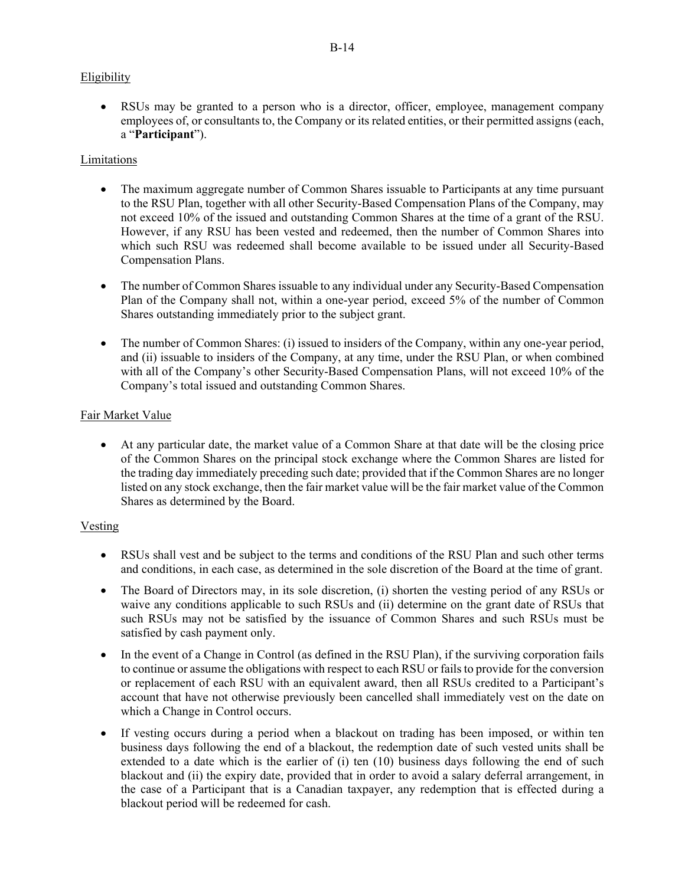# **Eligibility**

 RSUs may be granted to a person who is a director, officer, employee, management company employees of, or consultants to, the Company or its related entities, or their permitted assigns (each, a "**Participant**").

# **Limitations**

- The maximum aggregate number of Common Shares issuable to Participants at any time pursuant to the RSU Plan, together with all other Security-Based Compensation Plans of the Company, may not exceed 10% of the issued and outstanding Common Shares at the time of a grant of the RSU. However, if any RSU has been vested and redeemed, then the number of Common Shares into which such RSU was redeemed shall become available to be issued under all Security-Based Compensation Plans.
- The number of Common Shares issuable to any individual under any Security-Based Compensation Plan of the Company shall not, within a one-year period, exceed 5% of the number of Common Shares outstanding immediately prior to the subject grant.
- The number of Common Shares: (i) issued to insiders of the Company, within any one-year period, and (ii) issuable to insiders of the Company, at any time, under the RSU Plan, or when combined with all of the Company's other Security-Based Compensation Plans, will not exceed 10% of the Company's total issued and outstanding Common Shares.

# Fair Market Value

 At any particular date, the market value of a Common Share at that date will be the closing price of the Common Shares on the principal stock exchange where the Common Shares are listed for the trading day immediately preceding such date; provided that if the Common Shares are no longer listed on any stock exchange, then the fair market value will be the fair market value of the Common Shares as determined by the Board.

# Vesting

- RSUs shall vest and be subject to the terms and conditions of the RSU Plan and such other terms and conditions, in each case, as determined in the sole discretion of the Board at the time of grant.
- The Board of Directors may, in its sole discretion, (i) shorten the vesting period of any RSUs or waive any conditions applicable to such RSUs and (ii) determine on the grant date of RSUs that such RSUs may not be satisfied by the issuance of Common Shares and such RSUs must be satisfied by cash payment only.
- In the event of a Change in Control (as defined in the RSU Plan), if the surviving corporation fails to continue or assume the obligations with respect to each RSU or fails to provide for the conversion or replacement of each RSU with an equivalent award, then all RSUs credited to a Participant's account that have not otherwise previously been cancelled shall immediately vest on the date on which a Change in Control occurs.
- If vesting occurs during a period when a blackout on trading has been imposed, or within ten business days following the end of a blackout, the redemption date of such vested units shall be extended to a date which is the earlier of (i) ten (10) business days following the end of such blackout and (ii) the expiry date, provided that in order to avoid a salary deferral arrangement, in the case of a Participant that is a Canadian taxpayer, any redemption that is effected during a blackout period will be redeemed for cash.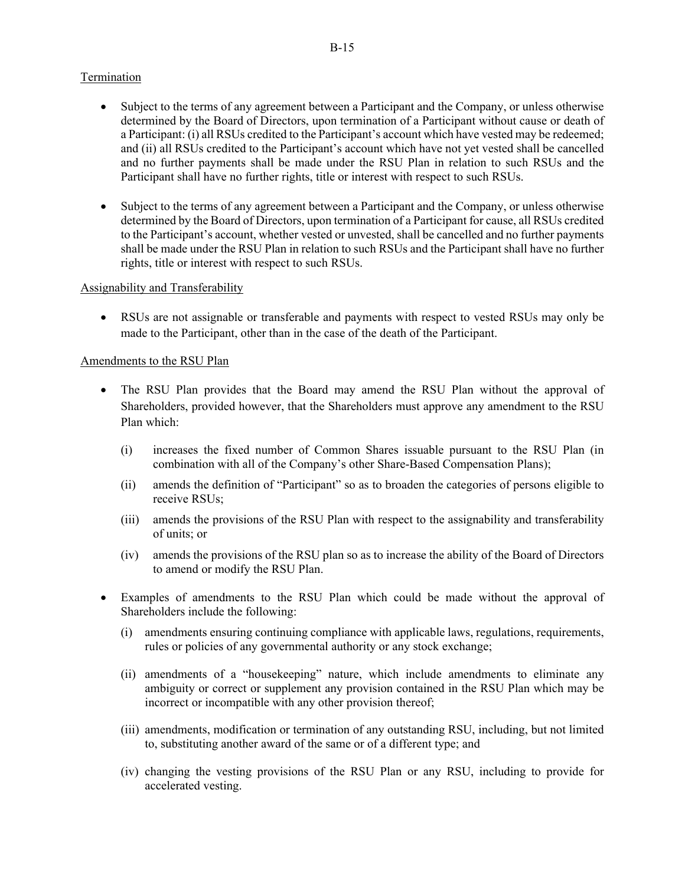### Termination

- Subject to the terms of any agreement between a Participant and the Company, or unless otherwise determined by the Board of Directors, upon termination of a Participant without cause or death of a Participant: (i) all RSUs credited to the Participant's account which have vested may be redeemed; and (ii) all RSUs credited to the Participant's account which have not yet vested shall be cancelled and no further payments shall be made under the RSU Plan in relation to such RSUs and the Participant shall have no further rights, title or interest with respect to such RSUs.
- Subject to the terms of any agreement between a Participant and the Company, or unless otherwise determined by the Board of Directors, upon termination of a Participant for cause, all RSUs credited to the Participant's account, whether vested or unvested, shall be cancelled and no further payments shall be made under the RSU Plan in relation to such RSUs and the Participant shall have no further rights, title or interest with respect to such RSUs.

#### Assignability and Transferability

 RSUs are not assignable or transferable and payments with respect to vested RSUs may only be made to the Participant, other than in the case of the death of the Participant.

#### Amendments to the RSU Plan

- The RSU Plan provides that the Board may amend the RSU Plan without the approval of Shareholders, provided however, that the Shareholders must approve any amendment to the RSU Plan which:
	- (i) increases the fixed number of Common Shares issuable pursuant to the RSU Plan (in combination with all of the Company's other Share-Based Compensation Plans);
	- (ii) amends the definition of "Participant" so as to broaden the categories of persons eligible to receive RSUs;
	- (iii) amends the provisions of the RSU Plan with respect to the assignability and transferability of units; or
	- (iv) amends the provisions of the RSU plan so as to increase the ability of the Board of Directors to amend or modify the RSU Plan.
- Examples of amendments to the RSU Plan which could be made without the approval of Shareholders include the following:
	- (i) amendments ensuring continuing compliance with applicable laws, regulations, requirements, rules or policies of any governmental authority or any stock exchange;
	- (ii) amendments of a "housekeeping" nature, which include amendments to eliminate any ambiguity or correct or supplement any provision contained in the RSU Plan which may be incorrect or incompatible with any other provision thereof;
	- (iii) amendments, modification or termination of any outstanding RSU, including, but not limited to, substituting another award of the same or of a different type; and
	- (iv) changing the vesting provisions of the RSU Plan or any RSU, including to provide for accelerated vesting.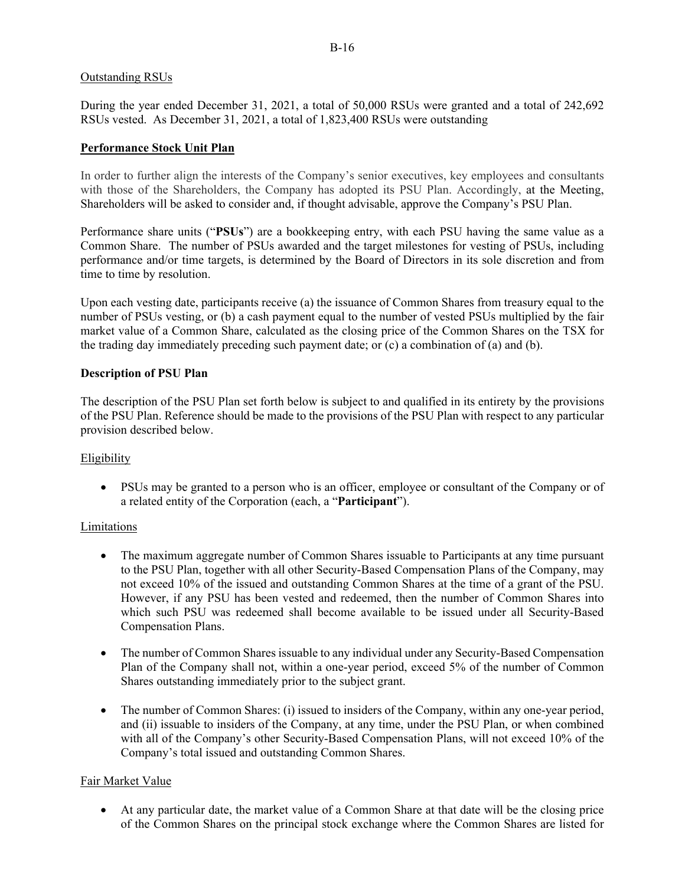#### B-16

#### Outstanding RSUs

During the year ended December 31, 2021, a total of 50,000 RSUs were granted and a total of 242,692 RSUs vested. As December 31, 2021, a total of 1,823,400 RSUs were outstanding

### **Performance Stock Unit Plan**

In order to further align the interests of the Company's senior executives, key employees and consultants with those of the Shareholders, the Company has adopted its PSU Plan. Accordingly, at the Meeting, Shareholders will be asked to consider and, if thought advisable, approve the Company's PSU Plan.

Performance share units ("**PSUs**") are a bookkeeping entry, with each PSU having the same value as a Common Share. The number of PSUs awarded and the target milestones for vesting of PSUs, including performance and/or time targets, is determined by the Board of Directors in its sole discretion and from time to time by resolution.

Upon each vesting date, participants receive (a) the issuance of Common Shares from treasury equal to the number of PSUs vesting, or (b) a cash payment equal to the number of vested PSUs multiplied by the fair market value of a Common Share, calculated as the closing price of the Common Shares on the TSX for the trading day immediately preceding such payment date; or (c) a combination of (a) and (b).

#### **Description of PSU Plan**

The description of the PSU Plan set forth below is subject to and qualified in its entirety by the provisions of the PSU Plan. Reference should be made to the provisions of the PSU Plan with respect to any particular provision described below.

### Eligibility

 PSUs may be granted to a person who is an officer, employee or consultant of the Company or of a related entity of the Corporation (each, a "**Participant**").

### Limitations

- The maximum aggregate number of Common Shares issuable to Participants at any time pursuant to the PSU Plan, together with all other Security-Based Compensation Plans of the Company, may not exceed 10% of the issued and outstanding Common Shares at the time of a grant of the PSU. However, if any PSU has been vested and redeemed, then the number of Common Shares into which such PSU was redeemed shall become available to be issued under all Security-Based Compensation Plans.
- The number of Common Shares issuable to any individual under any Security-Based Compensation Plan of the Company shall not, within a one-year period, exceed 5% of the number of Common Shares outstanding immediately prior to the subject grant.
- The number of Common Shares: (i) issued to insiders of the Company, within any one-year period, and (ii) issuable to insiders of the Company, at any time, under the PSU Plan, or when combined with all of the Company's other Security-Based Compensation Plans, will not exceed 10% of the Company's total issued and outstanding Common Shares.

### Fair Market Value

 At any particular date, the market value of a Common Share at that date will be the closing price of the Common Shares on the principal stock exchange where the Common Shares are listed for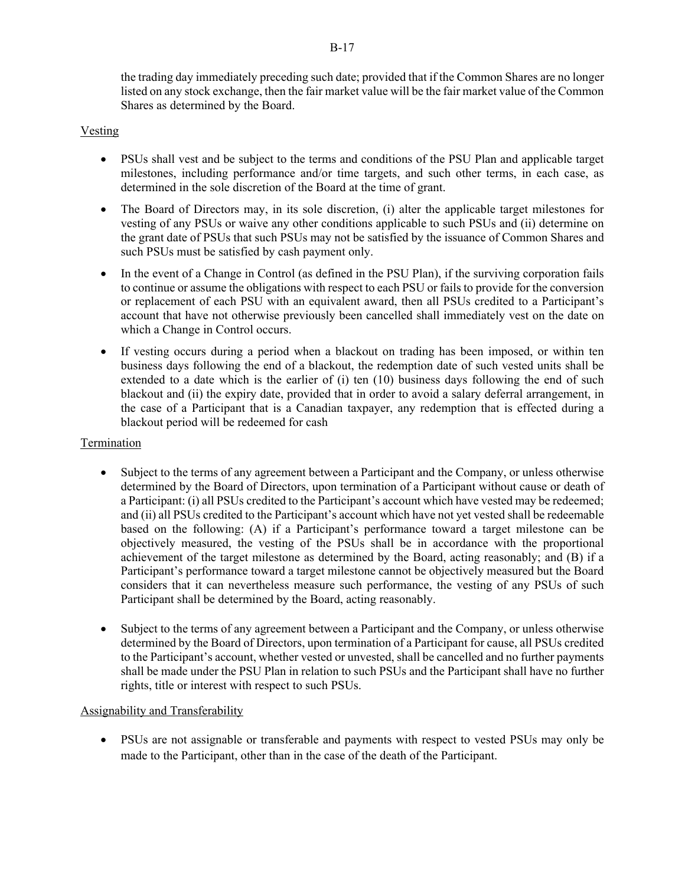the trading day immediately preceding such date; provided that if the Common Shares are no longer listed on any stock exchange, then the fair market value will be the fair market value of the Common Shares as determined by the Board.

## Vesting

- PSUs shall vest and be subject to the terms and conditions of the PSU Plan and applicable target milestones, including performance and/or time targets, and such other terms, in each case, as determined in the sole discretion of the Board at the time of grant.
- The Board of Directors may, in its sole discretion, (i) alter the applicable target milestones for vesting of any PSUs or waive any other conditions applicable to such PSUs and (ii) determine on the grant date of PSUs that such PSUs may not be satisfied by the issuance of Common Shares and such PSUs must be satisfied by cash payment only.
- In the event of a Change in Control (as defined in the PSU Plan), if the surviving corporation fails to continue or assume the obligations with respect to each PSU or fails to provide for the conversion or replacement of each PSU with an equivalent award, then all PSUs credited to a Participant's account that have not otherwise previously been cancelled shall immediately vest on the date on which a Change in Control occurs.
- If vesting occurs during a period when a blackout on trading has been imposed, or within ten business days following the end of a blackout, the redemption date of such vested units shall be extended to a date which is the earlier of (i) ten (10) business days following the end of such blackout and (ii) the expiry date, provided that in order to avoid a salary deferral arrangement, in the case of a Participant that is a Canadian taxpayer, any redemption that is effected during a blackout period will be redeemed for cash

### Termination

- Subject to the terms of any agreement between a Participant and the Company, or unless otherwise determined by the Board of Directors, upon termination of a Participant without cause or death of a Participant: (i) all PSUs credited to the Participant's account which have vested may be redeemed; and (ii) all PSUs credited to the Participant's account which have not yet vested shall be redeemable based on the following: (A) if a Participant's performance toward a target milestone can be objectively measured, the vesting of the PSUs shall be in accordance with the proportional achievement of the target milestone as determined by the Board, acting reasonably; and (B) if a Participant's performance toward a target milestone cannot be objectively measured but the Board considers that it can nevertheless measure such performance, the vesting of any PSUs of such Participant shall be determined by the Board, acting reasonably.
- Subject to the terms of any agreement between a Participant and the Company, or unless otherwise determined by the Board of Directors, upon termination of a Participant for cause, all PSUs credited to the Participant's account, whether vested or unvested, shall be cancelled and no further payments shall be made under the PSU Plan in relation to such PSUs and the Participant shall have no further rights, title or interest with respect to such PSUs.

### Assignability and Transferability

 PSUs are not assignable or transferable and payments with respect to vested PSUs may only be made to the Participant, other than in the case of the death of the Participant.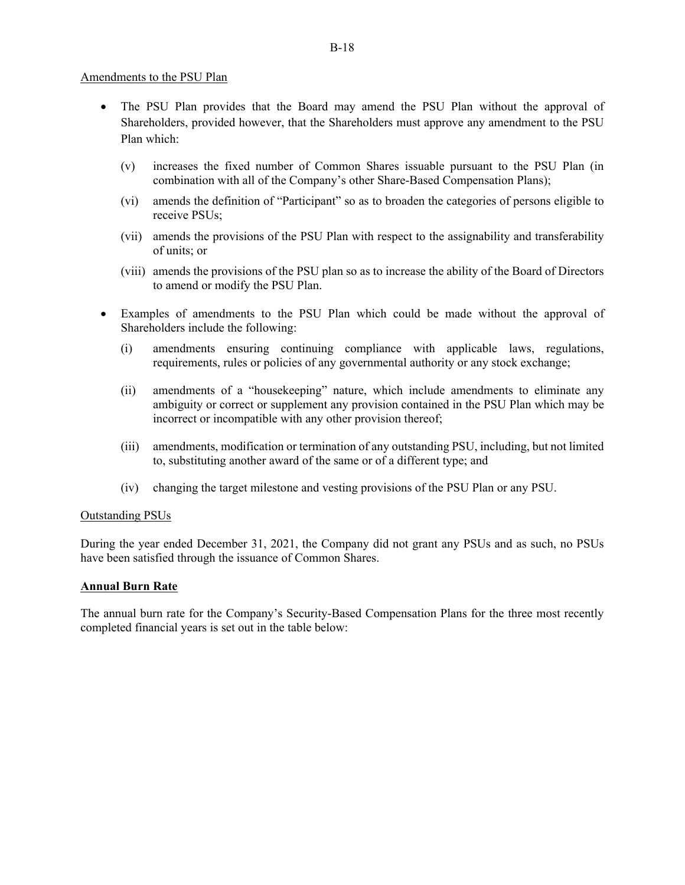#### Amendments to the PSU Plan

- The PSU Plan provides that the Board may amend the PSU Plan without the approval of Shareholders, provided however, that the Shareholders must approve any amendment to the PSU Plan which:
	- (v) increases the fixed number of Common Shares issuable pursuant to the PSU Plan (in combination with all of the Company's other Share-Based Compensation Plans);
	- (vi) amends the definition of "Participant" so as to broaden the categories of persons eligible to receive PSUs;
	- (vii) amends the provisions of the PSU Plan with respect to the assignability and transferability of units; or
	- (viii) amends the provisions of the PSU plan so as to increase the ability of the Board of Directors to amend or modify the PSU Plan.
- Examples of amendments to the PSU Plan which could be made without the approval of Shareholders include the following:
	- (i) amendments ensuring continuing compliance with applicable laws, regulations, requirements, rules or policies of any governmental authority or any stock exchange;
	- (ii) amendments of a "housekeeping" nature, which include amendments to eliminate any ambiguity or correct or supplement any provision contained in the PSU Plan which may be incorrect or incompatible with any other provision thereof;
	- (iii) amendments, modification or termination of any outstanding PSU, including, but not limited to, substituting another award of the same or of a different type; and
	- (iv) changing the target milestone and vesting provisions of the PSU Plan or any PSU.

#### Outstanding PSUs

During the year ended December 31, 2021, the Company did not grant any PSUs and as such, no PSUs have been satisfied through the issuance of Common Shares.

### **Annual Burn Rate**

The annual burn rate for the Company's Security-Based Compensation Plans for the three most recently completed financial years is set out in the table below: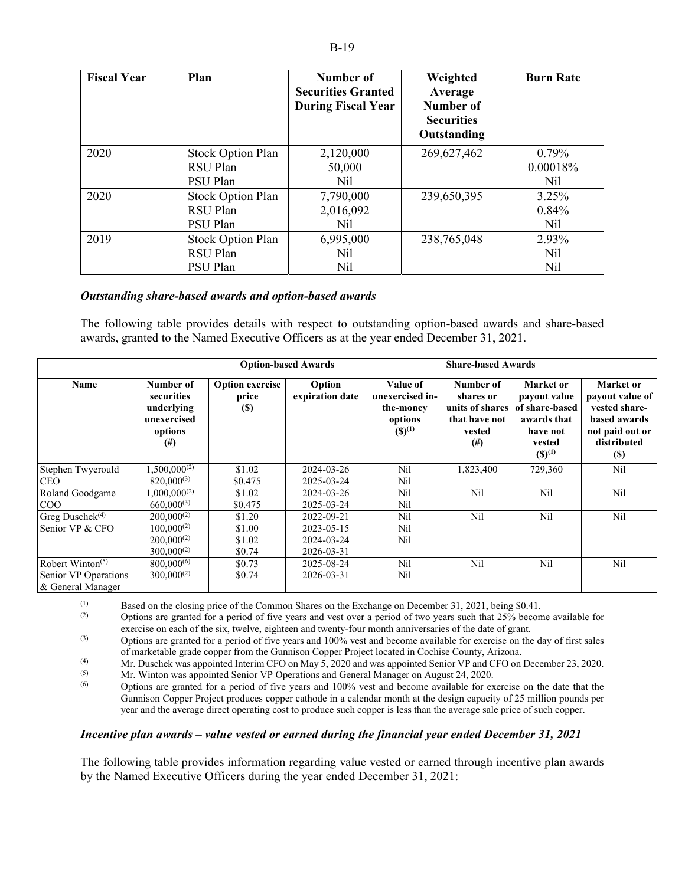| <b>Fiscal Year</b> | Plan              | Number of<br><b>Securities Granted</b><br><b>During Fiscal Year</b> | Weighted<br>Average<br>Number of<br><b>Securities</b><br>Outstanding | <b>Burn Rate</b> |
|--------------------|-------------------|---------------------------------------------------------------------|----------------------------------------------------------------------|------------------|
| 2020               | Stock Option Plan | 2,120,000                                                           | 269,627,462                                                          | $0.79\%$         |
|                    | RSU Plan          | 50,000                                                              |                                                                      | 0.00018%         |
|                    | PSU Plan          | Nil                                                                 |                                                                      | Nil              |
| 2020               | Stock Option Plan | 7,790,000                                                           | 239,650,395                                                          | 3.25%            |
|                    | RSU Plan          | 2,016,092                                                           |                                                                      | $0.84\%$         |
|                    | PSU Plan          | Nil                                                                 |                                                                      | Nil              |
| 2019               | Stock Option Plan | 6,995,000                                                           | 238,765,048                                                          | 2.93%            |
|                    | RSU Plan          | Nil                                                                 |                                                                      | N <sub>il</sub>  |
|                    | <b>PSU Plan</b>   | Nil                                                                 |                                                                      | N <sub>il</sub>  |

#### *Outstanding share-based awards and option-based awards*

The following table provides details with respect to outstanding option-based awards and share-based awards, granted to the Named Executive Officers as at the year ended December 31, 2021.

|                                           | <b>Option-based Awards</b>                                                  |                                                |                           |                                                                    | <b>Share-based Awards</b>                                                        |                                                                                                 |                                                                                                               |
|-------------------------------------------|-----------------------------------------------------------------------------|------------------------------------------------|---------------------------|--------------------------------------------------------------------|----------------------------------------------------------------------------------|-------------------------------------------------------------------------------------------------|---------------------------------------------------------------------------------------------------------------|
| Name                                      | Number of<br>securities<br>underlying<br>unexercised<br>options<br>$^{(#)}$ | <b>Option exercise</b><br>price<br><b>(\$)</b> | Option<br>expiration date | Value of<br>unexercised in-<br>the-money<br>options<br>$(S)^{(1)}$ | Number of<br>shares or<br>units of shares<br>that have not<br>vested<br>$^{(#)}$ | Market or<br>payout value<br>of share-based<br>awards that<br>have not<br>vested<br>$(S)^{(1)}$ | Market or<br>payout value of<br>vested share-<br>based awards<br>not paid out or<br>distributed<br><b>(S)</b> |
| Stephen Twyerould                         | $1,500,000^{(2)}$                                                           | \$1.02                                         | 2024-03-26                | Nil                                                                | 1,823,400                                                                        | 729,360                                                                                         | Nil                                                                                                           |
| <b>CEO</b>                                | $820,000^{(3)}$                                                             | \$0.475                                        | 2025-03-24                | Nil                                                                |                                                                                  |                                                                                                 |                                                                                                               |
| Roland Goodgame                           | $1,000,000^{(2)}$                                                           | \$1.02                                         | 2024-03-26                | Nil                                                                | Nil                                                                              | Nil                                                                                             | Nil                                                                                                           |
| $\rm{COO}$                                | $660,000^{(3)}$                                                             | \$0.475                                        | 2025-03-24                | Nil                                                                |                                                                                  |                                                                                                 |                                                                                                               |
| Greg Dusche $k^{(4)}$                     | $200,000^{(2)}$                                                             | \$1.20                                         | 2022-09-21                | Nil                                                                | Nil                                                                              | Nil                                                                                             | Nil                                                                                                           |
| Senior VP & CFO                           | $100,000^{(2)}$                                                             | \$1.00                                         | 2023-05-15                | Nil                                                                |                                                                                  |                                                                                                 |                                                                                                               |
|                                           | $200,000^{(2)}$                                                             | \$1.02                                         | 2024-03-24                | Nil                                                                |                                                                                  |                                                                                                 |                                                                                                               |
|                                           | $300,000^{(2)}$                                                             | \$0.74                                         | 2026-03-31                |                                                                    |                                                                                  |                                                                                                 |                                                                                                               |
| Robert Winton <sup><math>(5)</math></sup> | $800,000^{(6)}$                                                             | \$0.73                                         | 2025-08-24                | Nil                                                                | Nil                                                                              | Nil                                                                                             | Nil                                                                                                           |
| Senior VP Operations                      | $300,000^{(2)}$                                                             | \$0.74                                         | 2026-03-31                | Nil                                                                |                                                                                  |                                                                                                 |                                                                                                               |
| & General Manager                         |                                                                             |                                                |                           |                                                                    |                                                                                  |                                                                                                 |                                                                                                               |

(1) Based on the closing price of the Common Shares on the Exchange on December 31, 2021, being \$0.41.<br>Contions are granted for a period of five years and yest over a period of two years such that 25% becom-

(2) Options are granted for a period of five years and vest over a period of two years such that 25% become available for exercise on each of the six, twelve, eighteen and twenty-four month anniversaries of the date of grant.

(3) Options are granted for a period of five years and 100% vest and become available for exercise on the day of first sales of marketable grade copper from the Gunnison Copper Project located in Cochise County, Arizona.

(4) Mr. Duschek was appointed Interim CFO on May 5, 2020 and was appointed Senior VP and CFO on December 23, 2020.

 $M_r$ . Winton was appointed Senior VP Operations and General Manager on August 24, 2020.

Options are granted for a period of five years and 100% vest and become available for exercise on the date that the Gunnison Copper Project produces copper cathode in a calendar month at the design capacity of 25 million pounds per year and the average direct operating cost to produce such copper is less than the average sale price of such copper.

### *Incentive plan awards – value vested or earned during the financial year ended December 31, 2021*

The following table provides information regarding value vested or earned through incentive plan awards by the Named Executive Officers during the year ended December 31, 2021: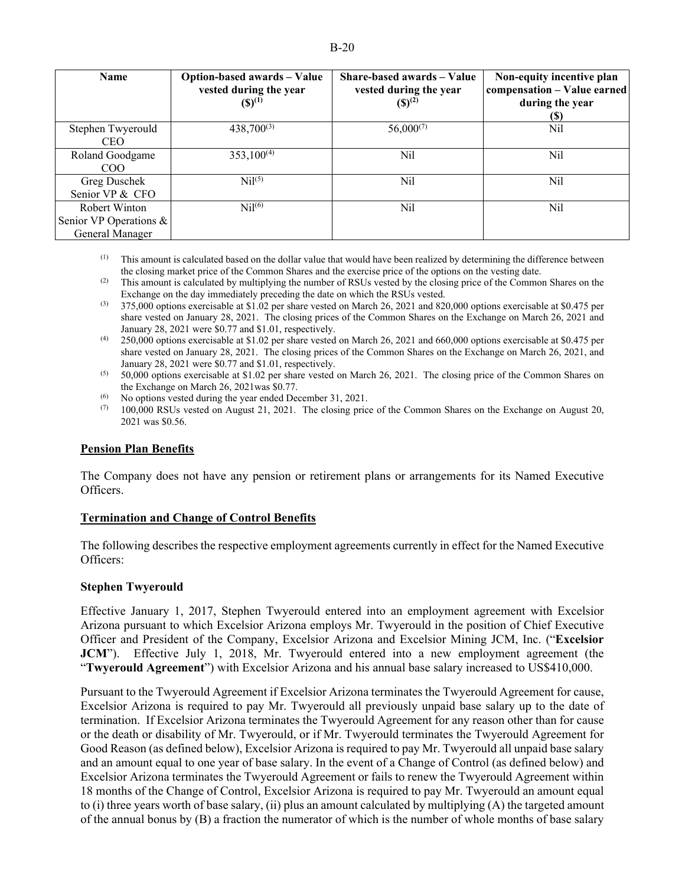| <b>Name</b>                                                | Option-based awards – Value<br>vested during the year<br>$(S)^{(1)}$ | Share-based awards - Value<br>vested during the year<br>$(S)^{(2)}$ | Non-equity incentive plan<br>compensation - Value earned<br>during the year<br>(S) |
|------------------------------------------------------------|----------------------------------------------------------------------|---------------------------------------------------------------------|------------------------------------------------------------------------------------|
| Stephen Twyerould<br><b>CEO</b>                            | $438,700^{(3)}$                                                      | $56,000^{(7)}$                                                      | Nil                                                                                |
| Roland Goodgame<br>COO                                     | $353,100^{(4)}$                                                      | Nil                                                                 | Nil                                                                                |
| Greg Duschek<br>Senior VP & CFO                            | $\mathrm{Nil}^{(5)}$                                                 | Nil                                                                 | Nil                                                                                |
| Robert Winton<br>Senior VP Operations &<br>General Manager | Ni <sup>16</sup>                                                     | Nil                                                                 | Nil                                                                                |

 $<sup>(1)</sup>$  This amount is calculated based on the dollar value that would have been realized by determining the difference between</sup> the closing market price of the Common Shares and the exercise price of the options on the vesting date.

- (2) This amount is calculated by multiplying the number of RSUs vested by the closing price of the Common Shares on the Exchange on the day immediately preceding the date on which the RSUs vested.
- (3) 375,000 options exercisable at \$1.02 per share vested on March 26, 2021 and 820,000 options exercisable at \$0.475 per share vested on January 28, 2021. The closing prices of the Common Shares on the Exchange on March 26, 2021 and January 28, 2021 were \$0.77 and \$1.01, respectively.
- (4) 250,000 options exercisable at \$1.02 per share vested on March 26, 2021 and 660,000 options exercisable at \$0.475 per share vested on January 28, 2021. The closing prices of the Common Shares on the Exchange on March 26, 2021, and January 28, 2021 were \$0.77 and \$1.01, respectively.
- (5) 50,000 options exercisable at \$1.02 per share vested on March 26, 2021. The closing price of the Common Shares on the Exchange on March 26, 2021was \$0.77.
- (6) No options vested during the year ended December 31, 2021.
- $(7)$  100,000 RSUs vested on August 21, 2021. The closing price of the Common Shares on the Exchange on August 20, 2021 was \$0.56.

### **Pension Plan Benefits**

The Company does not have any pension or retirement plans or arrangements for its Named Executive Officers.

#### **Termination and Change of Control Benefits**

The following describes the respective employment agreements currently in effect for the Named Executive Officers:

#### **Stephen Twyerould**

Effective January 1, 2017, Stephen Twyerould entered into an employment agreement with Excelsior Arizona pursuant to which Excelsior Arizona employs Mr. Twyerould in the position of Chief Executive Officer and President of the Company, Excelsior Arizona and Excelsior Mining JCM, Inc. ("**Excelsior JCM**"). Effective July 1, 2018, Mr. Twyerould entered into a new employment agreement (the "**Twyerould Agreement**") with Excelsior Arizona and his annual base salary increased to US\$410,000.

Pursuant to the Twyerould Agreement if Excelsior Arizona terminates the Twyerould Agreement for cause, Excelsior Arizona is required to pay Mr. Twyerould all previously unpaid base salary up to the date of termination. If Excelsior Arizona terminates the Twyerould Agreement for any reason other than for cause or the death or disability of Mr. Twyerould, or if Mr. Twyerould terminates the Twyerould Agreement for Good Reason (as defined below), Excelsior Arizona is required to pay Mr. Twyerould all unpaid base salary and an amount equal to one year of base salary. In the event of a Change of Control (as defined below) and Excelsior Arizona terminates the Twyerould Agreement or fails to renew the Twyerould Agreement within 18 months of the Change of Control, Excelsior Arizona is required to pay Mr. Twyerould an amount equal to (i) three years worth of base salary, (ii) plus an amount calculated by multiplying (A) the targeted amount of the annual bonus by (B) a fraction the numerator of which is the number of whole months of base salary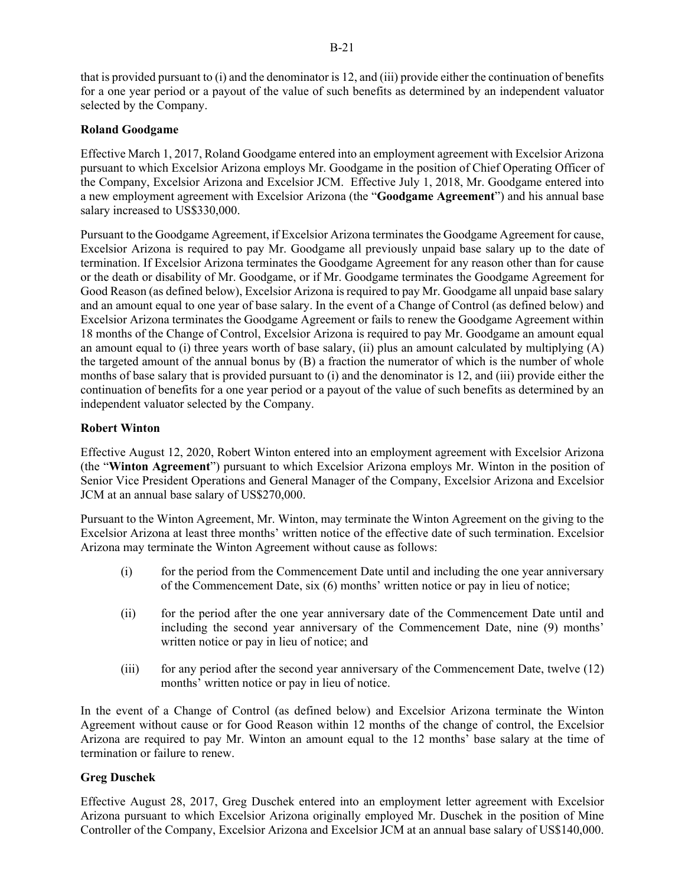that is provided pursuant to (i) and the denominator is 12, and (iii) provide either the continuation of benefits for a one year period or a payout of the value of such benefits as determined by an independent valuator

## **Roland Goodgame**

selected by the Company.

Effective March 1, 2017, Roland Goodgame entered into an employment agreement with Excelsior Arizona pursuant to which Excelsior Arizona employs Mr. Goodgame in the position of Chief Operating Officer of the Company, Excelsior Arizona and Excelsior JCM. Effective July 1, 2018, Mr. Goodgame entered into a new employment agreement with Excelsior Arizona (the "**Goodgame Agreement**") and his annual base salary increased to US\$330,000.

Pursuant to the Goodgame Agreement, if Excelsior Arizona terminates the Goodgame Agreement for cause, Excelsior Arizona is required to pay Mr. Goodgame all previously unpaid base salary up to the date of termination. If Excelsior Arizona terminates the Goodgame Agreement for any reason other than for cause or the death or disability of Mr. Goodgame, or if Mr. Goodgame terminates the Goodgame Agreement for Good Reason (as defined below), Excelsior Arizona is required to pay Mr. Goodgame all unpaid base salary and an amount equal to one year of base salary. In the event of a Change of Control (as defined below) and Excelsior Arizona terminates the Goodgame Agreement or fails to renew the Goodgame Agreement within 18 months of the Change of Control, Excelsior Arizona is required to pay Mr. Goodgame an amount equal an amount equal to (i) three years worth of base salary, (ii) plus an amount calculated by multiplying  $(A)$ the targeted amount of the annual bonus by (B) a fraction the numerator of which is the number of whole months of base salary that is provided pursuant to (i) and the denominator is 12, and (iii) provide either the continuation of benefits for a one year period or a payout of the value of such benefits as determined by an independent valuator selected by the Company.

### **Robert Winton**

Effective August 12, 2020, Robert Winton entered into an employment agreement with Excelsior Arizona (the "**Winton Agreement**") pursuant to which Excelsior Arizona employs Mr. Winton in the position of Senior Vice President Operations and General Manager of the Company, Excelsior Arizona and Excelsior JCM at an annual base salary of US\$270,000.

Pursuant to the Winton Agreement, Mr. Winton, may terminate the Winton Agreement on the giving to the Excelsior Arizona at least three months' written notice of the effective date of such termination. Excelsior Arizona may terminate the Winton Agreement without cause as follows:

- (i) for the period from the Commencement Date until and including the one year anniversary of the Commencement Date, six (6) months' written notice or pay in lieu of notice;
- (ii) for the period after the one year anniversary date of the Commencement Date until and including the second year anniversary of the Commencement Date, nine (9) months' written notice or pay in lieu of notice; and
- (iii) for any period after the second year anniversary of the Commencement Date, twelve (12) months' written notice or pay in lieu of notice.

In the event of a Change of Control (as defined below) and Excelsior Arizona terminate the Winton Agreement without cause or for Good Reason within 12 months of the change of control, the Excelsior Arizona are required to pay Mr. Winton an amount equal to the 12 months' base salary at the time of termination or failure to renew.

### **Greg Duschek**

Effective August 28, 2017, Greg Duschek entered into an employment letter agreement with Excelsior Arizona pursuant to which Excelsior Arizona originally employed Mr. Duschek in the position of Mine Controller of the Company, Excelsior Arizona and Excelsior JCM at an annual base salary of US\$140,000.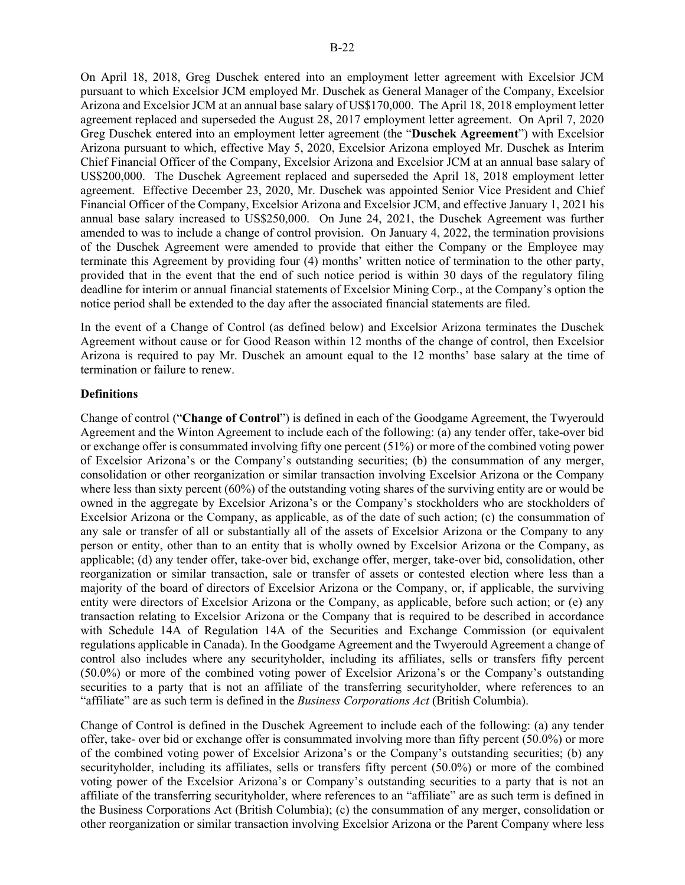On April 18, 2018, Greg Duschek entered into an employment letter agreement with Excelsior JCM pursuant to which Excelsior JCM employed Mr. Duschek as General Manager of the Company, Excelsior Arizona and Excelsior JCM at an annual base salary of US\$170,000. The April 18, 2018 employment letter agreement replaced and superseded the August 28, 2017 employment letter agreement. On April 7, 2020 Greg Duschek entered into an employment letter agreement (the "**Duschek Agreement**") with Excelsior Arizona pursuant to which, effective May 5, 2020, Excelsior Arizona employed Mr. Duschek as Interim Chief Financial Officer of the Company, Excelsior Arizona and Excelsior JCM at an annual base salary of US\$200,000. The Duschek Agreement replaced and superseded the April 18, 2018 employment letter agreement. Effective December 23, 2020, Mr. Duschek was appointed Senior Vice President and Chief Financial Officer of the Company, Excelsior Arizona and Excelsior JCM, and effective January 1, 2021 his annual base salary increased to US\$250,000. On June 24, 2021, the Duschek Agreement was further amended to was to include a change of control provision. On January 4, 2022, the termination provisions of the Duschek Agreement were amended to provide that either the Company or the Employee may terminate this Agreement by providing four (4) months' written notice of termination to the other party, provided that in the event that the end of such notice period is within 30 days of the regulatory filing deadline for interim or annual financial statements of Excelsior Mining Corp., at the Company's option the notice period shall be extended to the day after the associated financial statements are filed.

In the event of a Change of Control (as defined below) and Excelsior Arizona terminates the Duschek Agreement without cause or for Good Reason within 12 months of the change of control, then Excelsior Arizona is required to pay Mr. Duschek an amount equal to the 12 months' base salary at the time of termination or failure to renew.

#### **Definitions**

Change of control ("**Change of Control**") is defined in each of the Goodgame Agreement, the Twyerould Agreement and the Winton Agreement to include each of the following: (a) any tender offer, take-over bid or exchange offer is consummated involving fifty one percent (51%) or more of the combined voting power of Excelsior Arizona's or the Company's outstanding securities; (b) the consummation of any merger, consolidation or other reorganization or similar transaction involving Excelsior Arizona or the Company where less than sixty percent (60%) of the outstanding voting shares of the surviving entity are or would be owned in the aggregate by Excelsior Arizona's or the Company's stockholders who are stockholders of Excelsior Arizona or the Company, as applicable, as of the date of such action; (c) the consummation of any sale or transfer of all or substantially all of the assets of Excelsior Arizona or the Company to any person or entity, other than to an entity that is wholly owned by Excelsior Arizona or the Company, as applicable; (d) any tender offer, take-over bid, exchange offer, merger, take-over bid, consolidation, other reorganization or similar transaction, sale or transfer of assets or contested election where less than a majority of the board of directors of Excelsior Arizona or the Company, or, if applicable, the surviving entity were directors of Excelsior Arizona or the Company, as applicable, before such action; or (e) any transaction relating to Excelsior Arizona or the Company that is required to be described in accordance with Schedule 14A of Regulation 14A of the Securities and Exchange Commission (or equivalent regulations applicable in Canada). In the Goodgame Agreement and the Twyerould Agreement a change of control also includes where any securityholder, including its affiliates, sells or transfers fifty percent (50.0%) or more of the combined voting power of Excelsior Arizona's or the Company's outstanding securities to a party that is not an affiliate of the transferring securityholder, where references to an "affiliate" are as such term is defined in the *Business Corporations Act* (British Columbia).

Change of Control is defined in the Duschek Agreement to include each of the following: (a) any tender offer, take- over bid or exchange offer is consummated involving more than fifty percent (50.0%) or more of the combined voting power of Excelsior Arizona's or the Company's outstanding securities; (b) any securityholder, including its affiliates, sells or transfers fifty percent (50.0%) or more of the combined voting power of the Excelsior Arizona's or Company's outstanding securities to a party that is not an affiliate of the transferring securityholder, where references to an "affiliate" are as such term is defined in the Business Corporations Act (British Columbia); (c) the consummation of any merger, consolidation or other reorganization or similar transaction involving Excelsior Arizona or the Parent Company where less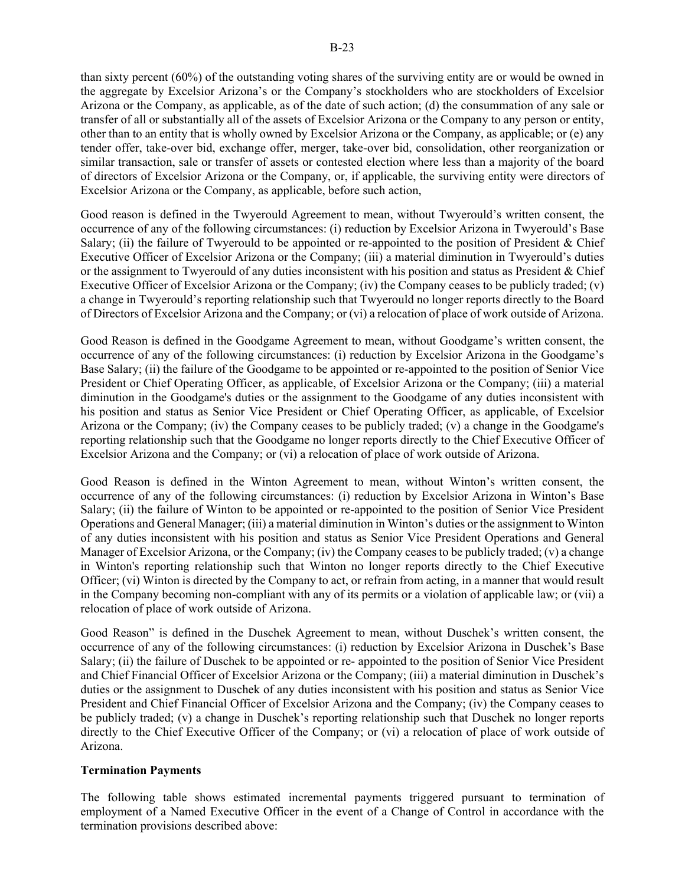than sixty percent (60%) of the outstanding voting shares of the surviving entity are or would be owned in the aggregate by Excelsior Arizona's or the Company's stockholders who are stockholders of Excelsior Arizona or the Company, as applicable, as of the date of such action; (d) the consummation of any sale or transfer of all or substantially all of the assets of Excelsior Arizona or the Company to any person or entity, other than to an entity that is wholly owned by Excelsior Arizona or the Company, as applicable; or (e) any tender offer, take-over bid, exchange offer, merger, take-over bid, consolidation, other reorganization or similar transaction, sale or transfer of assets or contested election where less than a majority of the board of directors of Excelsior Arizona or the Company, or, if applicable, the surviving entity were directors of Excelsior Arizona or the Company, as applicable, before such action,

Good reason is defined in the Twyerould Agreement to mean, without Twyerould's written consent, the occurrence of any of the following circumstances: (i) reduction by Excelsior Arizona in Twyerould's Base Salary; (ii) the failure of Twyerould to be appointed or re-appointed to the position of President & Chief Executive Officer of Excelsior Arizona or the Company; (iii) a material diminution in Twyerould's duties or the assignment to Twyerould of any duties inconsistent with his position and status as President & Chief Executive Officer of Excelsior Arizona or the Company; (iv) the Company ceases to be publicly traded; (v) a change in Twyerould's reporting relationship such that Twyerould no longer reports directly to the Board of Directors of Excelsior Arizona and the Company; or (vi) a relocation of place of work outside of Arizona.

Good Reason is defined in the Goodgame Agreement to mean, without Goodgame's written consent, the occurrence of any of the following circumstances: (i) reduction by Excelsior Arizona in the Goodgame's Base Salary; (ii) the failure of the Goodgame to be appointed or re-appointed to the position of Senior Vice President or Chief Operating Officer, as applicable, of Excelsior Arizona or the Company; (iii) a material diminution in the Goodgame's duties or the assignment to the Goodgame of any duties inconsistent with his position and status as Senior Vice President or Chief Operating Officer, as applicable, of Excelsior Arizona or the Company; (iv) the Company ceases to be publicly traded; (v) a change in the Goodgame's reporting relationship such that the Goodgame no longer reports directly to the Chief Executive Officer of Excelsior Arizona and the Company; or (vi) a relocation of place of work outside of Arizona.

Good Reason is defined in the Winton Agreement to mean, without Winton's written consent, the occurrence of any of the following circumstances: (i) reduction by Excelsior Arizona in Winton's Base Salary; (ii) the failure of Winton to be appointed or re-appointed to the position of Senior Vice President Operations and General Manager; (iii) a material diminution in Winton's duties or the assignment to Winton of any duties inconsistent with his position and status as Senior Vice President Operations and General Manager of Excelsior Arizona, or the Company; (iv) the Company ceases to be publicly traded; (v) a change in Winton's reporting relationship such that Winton no longer reports directly to the Chief Executive Officer; (vi) Winton is directed by the Company to act, or refrain from acting, in a manner that would result in the Company becoming non-compliant with any of its permits or a violation of applicable law; or (vii) a relocation of place of work outside of Arizona.

Good Reason" is defined in the Duschek Agreement to mean, without Duschek's written consent, the occurrence of any of the following circumstances: (i) reduction by Excelsior Arizona in Duschek's Base Salary; (ii) the failure of Duschek to be appointed or re- appointed to the position of Senior Vice President and Chief Financial Officer of Excelsior Arizona or the Company; (iii) a material diminution in Duschek's duties or the assignment to Duschek of any duties inconsistent with his position and status as Senior Vice President and Chief Financial Officer of Excelsior Arizona and the Company; (iv) the Company ceases to be publicly traded; (v) a change in Duschek's reporting relationship such that Duschek no longer reports directly to the Chief Executive Officer of the Company; or (vi) a relocation of place of work outside of Arizona.

#### **Termination Payments**

The following table shows estimated incremental payments triggered pursuant to termination of employment of a Named Executive Officer in the event of a Change of Control in accordance with the termination provisions described above: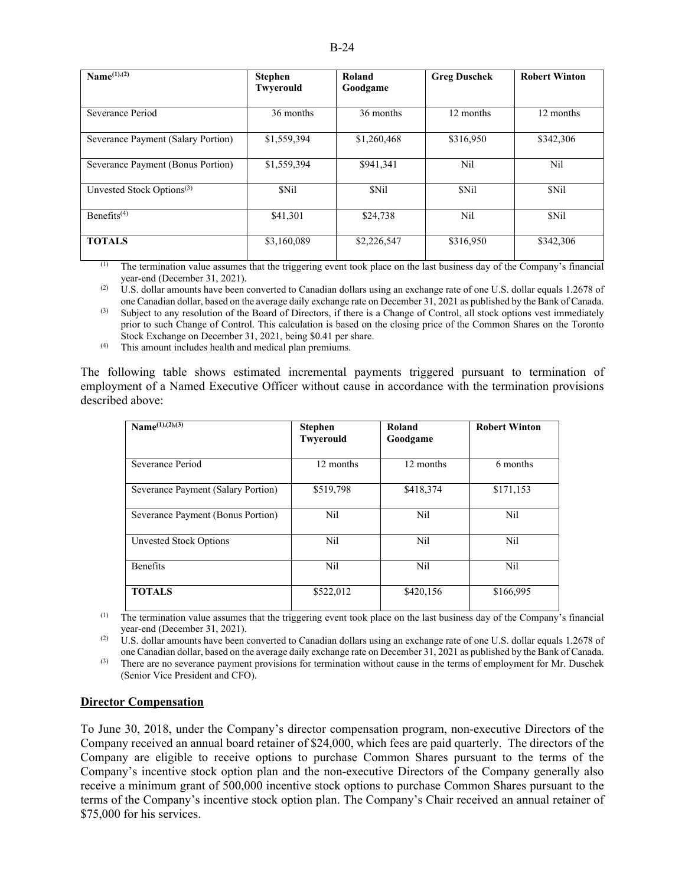| Name $(1)$ , $(2)$                    | <b>Stephen</b><br>Twyerould | Roland<br>Goodgame | <b>Greg Duschek</b> | <b>Robert Winton</b> |
|---------------------------------------|-----------------------------|--------------------|---------------------|----------------------|
| Severance Period                      | 36 months                   | 36 months          | 12 months           | 12 months            |
| Severance Payment (Salary Portion)    | \$1,559,394                 | \$1,260,468        | \$316,950           | \$342,306            |
| Severance Payment (Bonus Portion)     | \$1,559,394                 | \$941,341          | Nil                 | Nil                  |
| Unvested Stock Options <sup>(3)</sup> | \$Nil                       | \$Nil              | \$Nil               | \$Nil                |
| Benefits <sup>(4)</sup>               | \$41,301                    | \$24,738           | Nil                 | \$Nil                |
| <b>TOTALS</b>                         | \$3,160,089                 | \$2,226,547        | \$316,950           | \$342,306            |

 $<sup>(1)</sup>$  The termination value assumes that the triggering event took place on the last business day of the Company's financial</sup> year-end (December 31, 2021).

 $(2)$  U.S. dollar amounts have been converted to Canadian dollars using an exchange rate of one U.S. dollar equals 1.2678 of one Canadian dollar, based on the average daily exchange rate on December 31, 2021 as published by the Bank of Canada.

(3) Subject to any resolution of the Board of Directors, if there is a Change of Control, all stock options vest immediately prior to such Change of Control. This calculation is based on the closing price of the Common Shares on the Toronto Stock Exchange on December 31, 2021, being \$0.41 per share.

(4) This amount includes health and medical plan premiums.

The following table shows estimated incremental payments triggered pursuant to termination of employment of a Named Executive Officer without cause in accordance with the termination provisions described above:

| Name $\frac{(1)}{(2)}$             | <b>Stephen</b><br>Twyerould | Roland<br>Goodgame | <b>Robert Winton</b> |
|------------------------------------|-----------------------------|--------------------|----------------------|
| Severance Period                   | 12 months                   | 12 months          | 6 months             |
| Severance Payment (Salary Portion) | \$519,798                   | \$418,374          | \$171,153            |
| Severance Payment (Bonus Portion)  | Nil                         | Nil                | Nil                  |
| Unvested Stock Options             | Nil                         | Nil                | Nil                  |
| <b>Benefits</b>                    | Nil                         | Nil                | Nil                  |
| <b>TOTALS</b>                      | \$522,012                   | \$420,156          | \$166,995            |

(1) The termination value assumes that the triggering event took place on the last business day of the Company's financial year-end (December 31, 2021).

(2) U.S. dollar amounts have been converted to Canadian dollars using an exchange rate of one U.S. dollar equals 1.2678 of one Canadian dollar, based on the average daily exchange rate on December 31, 2021 as published by the Bank of Canada.

<sup>(3)</sup> There are no severance payment provisions for termination without cause in the terms of employment for Mr. Duschek (Senior Vice President and CFO).

#### **Director Compensation**

To June 30, 2018, under the Company's director compensation program, non-executive Directors of the Company received an annual board retainer of \$24,000, which fees are paid quarterly. The directors of the Company are eligible to receive options to purchase Common Shares pursuant to the terms of the Company's incentive stock option plan and the non-executive Directors of the Company generally also receive a minimum grant of 500,000 incentive stock options to purchase Common Shares pursuant to the terms of the Company's incentive stock option plan. The Company's Chair received an annual retainer of \$75,000 for his services.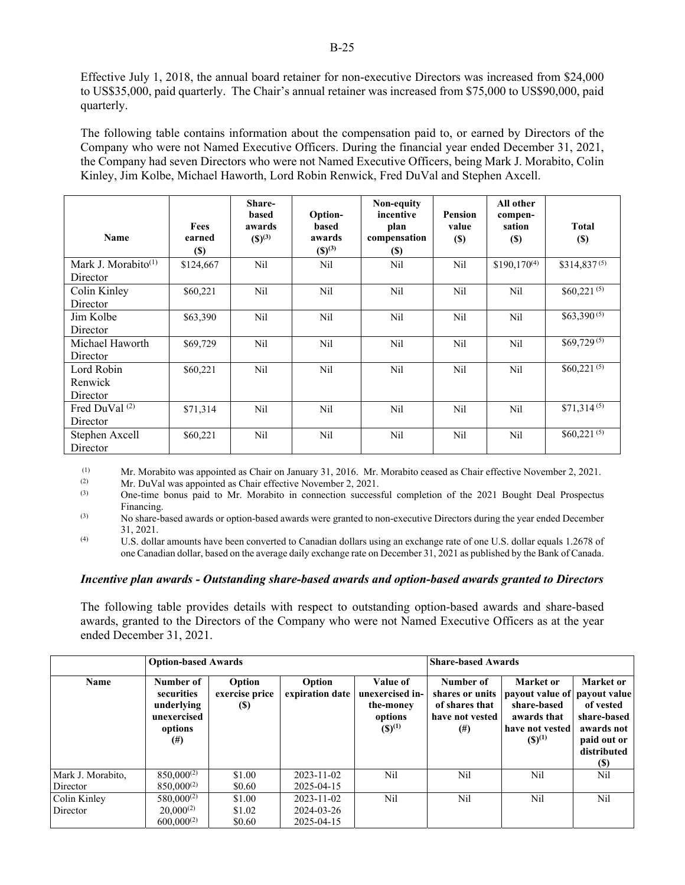Effective July 1, 2018, the annual board retainer for non-executive Directors was increased from \$24,000 to US\$35,000, paid quarterly. The Chair's annual retainer was increased from \$75,000 to US\$90,000, paid quarterly.

The following table contains information about the compensation paid to, or earned by Directors of the Company who were not Named Executive Officers. During the financial year ended December 31, 2021, the Company had seven Directors who were not Named Executive Officers, being Mark J. Morabito, Colin Kinley, Jim Kolbe, Michael Haworth, Lord Robin Renwick, Fred DuVal and Stephen Axcell.

| Name                            | Fees<br>earned<br><b>(\$)</b> | Share-<br>based<br>awards<br>$(S)^{(3)}$ | Option-<br>based<br>awards<br>$(S)^{(3)}$ | Non-equity<br>incentive<br>plan<br>compensation<br><b>(\$)</b> | <b>Pension</b><br>value<br><b>(\$)</b> | All other<br>compen-<br>sation<br><b>(\$)</b> | <b>Total</b><br><b>(\$)</b> |
|---------------------------------|-------------------------------|------------------------------------------|-------------------------------------------|----------------------------------------------------------------|----------------------------------------|-----------------------------------------------|-----------------------------|
| Mark J. Morabito <sup>(1)</sup> | \$124,667                     | Nil                                      | Nil                                       | Nil                                                            | Nil                                    | $$190,170^{(4)}$                              | $$314,837^{(5)}$            |
| Director                        |                               |                                          |                                           |                                                                |                                        |                                               |                             |
| Colin Kinley                    | \$60,221                      | Nil                                      | Nil                                       | Nil                                                            | Nil                                    | Nil                                           | $$60,221^{(5)}$$            |
| Director                        |                               |                                          |                                           |                                                                |                                        |                                               |                             |
| Jim Kolbe                       | \$63,390                      | Nil                                      | Nil                                       | Nil                                                            | Nil                                    | Nil                                           | $$63,390^{(5)}$$            |
| Director                        |                               |                                          |                                           |                                                                |                                        |                                               |                             |
| Michael Haworth                 | \$69,729                      | Nil                                      | Nil                                       | Nil                                                            | Nil                                    | Nil                                           | $$69,729^{(5)}$             |
| Director                        |                               |                                          |                                           |                                                                |                                        |                                               |                             |
| Lord Robin                      | \$60,221                      | Nil                                      | Nil                                       | N <sub>il</sub>                                                | Nil                                    | Nil                                           | $$60,221^{(5)}$             |
| Renwick                         |                               |                                          |                                           |                                                                |                                        |                                               |                             |
| Director                        |                               |                                          |                                           |                                                                |                                        |                                               |                             |
| Fred DuVal <sup>(2)</sup>       | \$71,314                      | Nil                                      | Nil                                       | Nil                                                            | Nil                                    | Nil                                           | $$71,314^{(5)}$             |
| Director                        |                               |                                          |                                           |                                                                |                                        |                                               |                             |
| Stephen Axcell                  | \$60,221                      | Nil                                      | Nil                                       | Nil                                                            | Nil                                    | Nil                                           | $$60,221^{(5)}$             |
| Director                        |                               |                                          |                                           |                                                                |                                        |                                               |                             |

(1) Mr. Morabito was appointed as Chair on January 31, 2016. Mr. Morabito ceased as Chair effective November 2, 2021.<br>
Mr. DuVal was appointed as Chair effective November 2, 2021

(2)  $\mu$  Mr. DuVal was appointed as Chair effective November 2, 2021.<br>(3) One-time bonus naid to Mr. Morabito in connection success

(3) One-time bonus paid to Mr. Morabito in connection successful completion of the 2021 Bought Deal Prospectus Financing.

(3) No share-based awards or option-based awards were granted to non-executive Directors during the year ended December 31, 2021.

(4) U.S. dollar amounts have been converted to Canadian dollars using an exchange rate of one U.S. dollar equals 1.2678 of one Canadian dollar, based on the average daily exchange rate on December 31, 2021 as published by the Bank of Canada.

### *Incentive plan awards - Outstanding share-based awards and option-based awards granted to Directors*

The following table provides details with respect to outstanding option-based awards and share-based awards, granted to the Directors of the Company who were not Named Executive Officers as at the year ended December 31, 2021.

|                               | <b>Option-based Awards</b>                                                  |                                        |                                              |                                                                    | <b>Share-based Awards</b>                                                      |                                                                                                           |                                                                                                 |
|-------------------------------|-----------------------------------------------------------------------------|----------------------------------------|----------------------------------------------|--------------------------------------------------------------------|--------------------------------------------------------------------------------|-----------------------------------------------------------------------------------------------------------|-------------------------------------------------------------------------------------------------|
| Name                          | Number of<br>securities<br>underlying<br>unexercised<br>options<br>$^{(#)}$ | Option<br>exercise price<br><b>(S)</b> | Option<br>expiration date                    | Value of<br>unexercised in-<br>the-money<br>options<br>$(S)^{(1)}$ | Number of<br>shares or units<br>of shares that<br>have not vested<br>$^{(\#)}$ | Market or<br>payout value of payout value<br>share-based<br>awards that<br>have not vested<br>$(S)^{(1)}$ | Market or<br>of vested<br>share-based<br>awards not<br>paid out or<br>distributed<br><b>(S)</b> |
| Mark J. Morabito,<br>Director | $850,000^{(2)}$<br>$850,000^{(2)}$                                          | \$1.00<br>\$0.60                       | $2023 - 11 - 02$<br>2025-04-15               | Nil                                                                | Nil                                                                            | Nil                                                                                                       | N <sub>i</sub> l                                                                                |
| Colin Kinley<br>Director      | $580,000^{(2)}$<br>$20,000^{(2)}$<br>$600.000^{(2)}$                        | \$1.00<br>\$1.02<br>\$0.60             | $2023 - 11 - 02$<br>2024-03-26<br>2025-04-15 | Nil                                                                | Nil                                                                            | Nil                                                                                                       | Nil                                                                                             |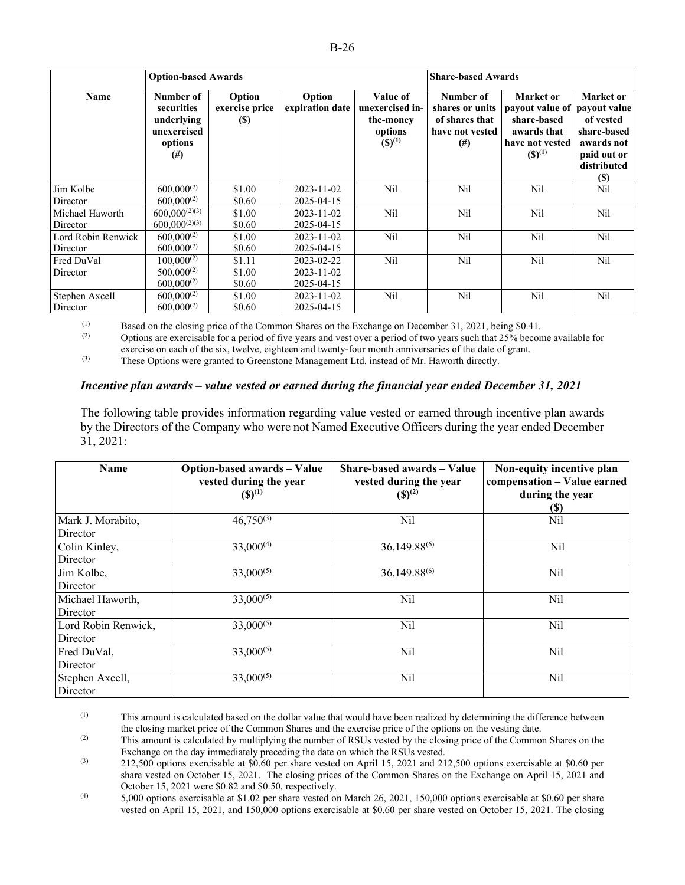|                    | <b>Option-based Awards</b>                                                  |                                 |                           |                                                                    | <b>Share-based Awards</b>                                                     |                                                                                                           |                                                                                                  |
|--------------------|-----------------------------------------------------------------------------|---------------------------------|---------------------------|--------------------------------------------------------------------|-------------------------------------------------------------------------------|-----------------------------------------------------------------------------------------------------------|--------------------------------------------------------------------------------------------------|
| Name               | Number of<br>securities<br>underlying<br>unexercised<br>options<br>$^{(#)}$ | Option<br>exercise price<br>(S) | Option<br>expiration date | Value of<br>unexercised in-<br>the-money<br>options<br>$(S)^{(1)}$ | Number of<br>shares or units<br>of shares that<br>have not vested<br>$^{(#)}$ | Market or<br>payout value of payout value<br>share-based<br>awards that<br>have not vested<br>$(S)^{(1)}$ | Market or<br>of vested<br>share-based<br>awards not<br>paid out or<br>distributed<br><b>(\$)</b> |
| Jim Kolbe          | $600,000^{(2)}$                                                             | \$1.00                          | 2023-11-02                | N <sub>il</sub>                                                    | Nil                                                                           | Nil                                                                                                       | Nil                                                                                              |
| Director           | $600.000^{(2)}$                                                             | \$0.60                          | 2025-04-15                |                                                                    |                                                                               |                                                                                                           |                                                                                                  |
| Michael Haworth    | $600,000^{(2)(3)}$                                                          | \$1.00                          | $2023 - 11 - 02$          | Nil                                                                | Nil                                                                           | Nil                                                                                                       | Nil                                                                                              |
| Director           | $600,000^{(2)(3)}$                                                          | \$0.60                          | 2025-04-15                |                                                                    |                                                                               |                                                                                                           |                                                                                                  |
| Lord Robin Renwick | $600,000^{(2)}$                                                             | \$1.00                          | 2023-11-02                | N <sub>il</sub>                                                    | Nil                                                                           | Nil                                                                                                       | Nil                                                                                              |
| Director           | $600.000^{(2)}$                                                             | \$0.60                          | 2025-04-15                |                                                                    |                                                                               |                                                                                                           |                                                                                                  |
| Fred DuVal         | $100,000^{(2)}$                                                             | \$1.11                          | 2023-02-22                | N <sub>i</sub>                                                     | Nil                                                                           | Nil                                                                                                       | Nil                                                                                              |
| Director           | $500,000^{(2)}$                                                             | \$1.00                          | 2023-11-02                |                                                                    |                                                                               |                                                                                                           |                                                                                                  |
|                    | $600.000^{(2)}$                                                             | \$0.60                          | 2025-04-15                |                                                                    |                                                                               |                                                                                                           |                                                                                                  |
| Stephen Axcell     | $600,000^{(2)}$                                                             | \$1.00                          | $2023 - 11 - 02$          | N <sub>il</sub>                                                    | Nil                                                                           | Nil                                                                                                       | Nil                                                                                              |
| Director           | $600.000^{(2)}$                                                             | \$0.60                          | 2025-04-15                |                                                                    |                                                                               |                                                                                                           |                                                                                                  |

(1) Based on the closing price of the Common Shares on the Exchange on December 31, 2021, being \$0.41.<br>
Ontions are exercisable for a period of five years and yest over a period of two years such that 25% become

Options are exercisable for a period of five years and vest over a period of two years such that 25% become available for exercise on each of the six, twelve, eighteen and twenty-four month anniversaries of the date of grant.

(3) These Options were granted to Greenstone Management Ltd. instead of Mr. Haworth directly.

#### *Incentive plan awards – value vested or earned during the financial year ended December 31, 2021*

The following table provides information regarding value vested or earned through incentive plan awards by the Directors of the Company who were not Named Executive Officers during the year ended December 31, 2021:

| <b>Name</b>                     | Option-based awards - Value<br>vested during the year<br>$({\bf S})^{(1)}$ | Share-based awards – Value<br>vested during the year<br>$(S)^{(2)}$ | Non-equity incentive plan<br>compensation - Value earned<br>during the year<br>(S) |
|---------------------------------|----------------------------------------------------------------------------|---------------------------------------------------------------------|------------------------------------------------------------------------------------|
| Mark J. Morabito,<br>Director   | $46,750^{(3)}$                                                             | Nil                                                                 | Nil                                                                                |
| Colin Kinley,<br>Director       | $33,000^{(4)}$                                                             | 36,149.88 <sup>(6)</sup>                                            | Nil                                                                                |
| Jim Kolbe,<br>Director          | $33,000^{(5)}$                                                             | 36,149.88 <sup>(6)</sup>                                            | Nil                                                                                |
| Michael Haworth,<br>Director    | $33,000^{(5)}$                                                             | Nil                                                                 | Nil                                                                                |
| Lord Robin Renwick,<br>Director | $33,000^{(5)}$                                                             | Nil                                                                 | Nil                                                                                |
| Fred DuVal,<br>Director         | $33,000^{(5)}$                                                             | Nil                                                                 | Nil                                                                                |
| Stephen Axcell,<br>Director     | $33,000^{(5)}$                                                             | Nil                                                                 | Nil                                                                                |

(1) This amount is calculated based on the dollar value that would have been realized by determining the difference between the closing market price of the Common Shares and the exercise price of the options on the vesting date.

(2) This amount is calculated by multiplying the number of RSUs vested by the closing price of the Common Shares on the Exchange on the day immediately preceding the date on which the RSUs vested.

 $(3)$  212,500 options exercisable at \$0.60 per share vested on April 15, 2021 and 212,500 options exercisable at \$0.60 per share vested on October 15, 2021. The closing prices of the Common Shares on the Exchange on April 15, 2021 and October 15, 2021 were \$0.82 and \$0.50, respectively.

(4) 5,000 options exercisable at \$1.02 per share vested on March 26, 2021, 150,000 options exercisable at \$0.60 per share vested on April 15, 2021, and 150,000 options exercisable at \$0.60 per share vested on October 15, 2021. The closing